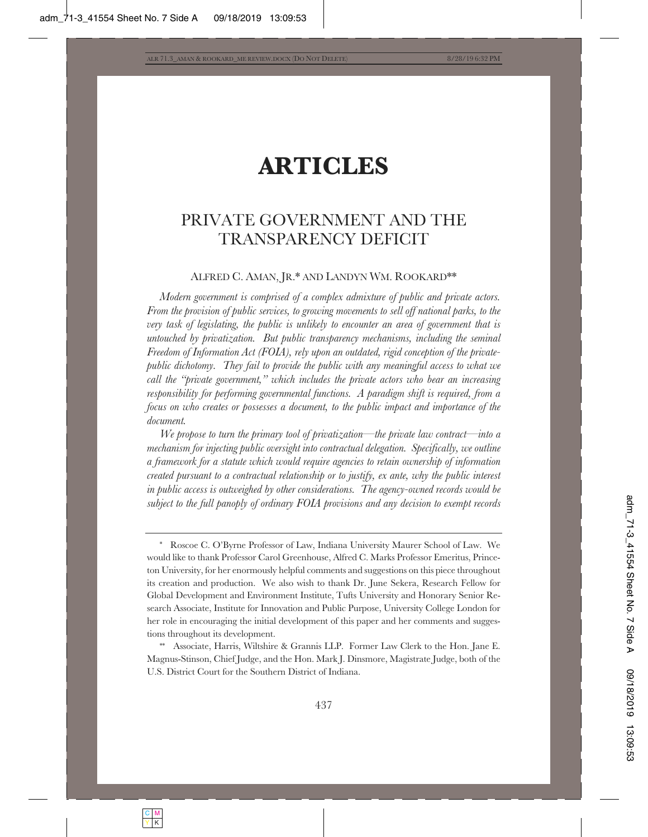# **ARTICLES**

# PRIVATE GOVERNMENT AND THE TRANSPARENCY DEFICIT

# ALFRED C. AMAN, JR.\* AND LANDYN WM. ROOKARD\*\*

*Modern government is comprised of a complex admixture of public and private actors. From the provision of public services, to growing movements to sell off national parks, to the very task of legislating, the public is unlikely to encounter an area of government that is untouched by privatization. But public transparency mechanisms, including the seminal Freedom of Information Act (FOIA), rely upon an outdated, rigid conception of the privatepublic dichotomy. They fail to provide the public with any meaningful access to what we call the "private government," which includes the private actors who bear an increasing responsibility for performing governmental functions. A paradigm shift is required, from a focus on who creates or possesses a document, to the public impact and importance of the document.*

*We propose to turn the primary tool of privatization—the private law contract—into a mechanism for injecting public oversight into contractual delegation. Specifically, we outline a framework for a statute which would require agencies to retain ownership of information created pursuant to a contractual relationship or to justify, ex ante, why the public interest in public access is outweighed by other considerations. The agency-owned records would be subject to the full panoply of ordinary FOIA provisions and any decision to exempt records* 

Associate, Harris, Wiltshire & Grannis LLP. Former Law Clerk to the Hon. Jane E. Magnus-Stinson, Chief Judge, and the Hon. Mark J. Dinsmore, Magistrate Judge, both of the U.S. District Court for the Southern District of Indiana.

<sup>\*</sup> Roscoe C. O'Byrne Professor of Law, Indiana University Maurer School of Law. We would like to thank Professor Carol Greenhouse, Alfred C. Marks Professor Emeritus, Princeton University, for her enormously helpful comments and suggestions on this piece throughout its creation and production. We also wish to thank Dr. June Sekera, Research Fellow for Global Development and Environment Institute, Tufts University and Honorary Senior Research Associate, Institute for Innovation and Public Purpose, University College London for her role in encouraging the initial development of this paper and her comments and suggestions throughout its development.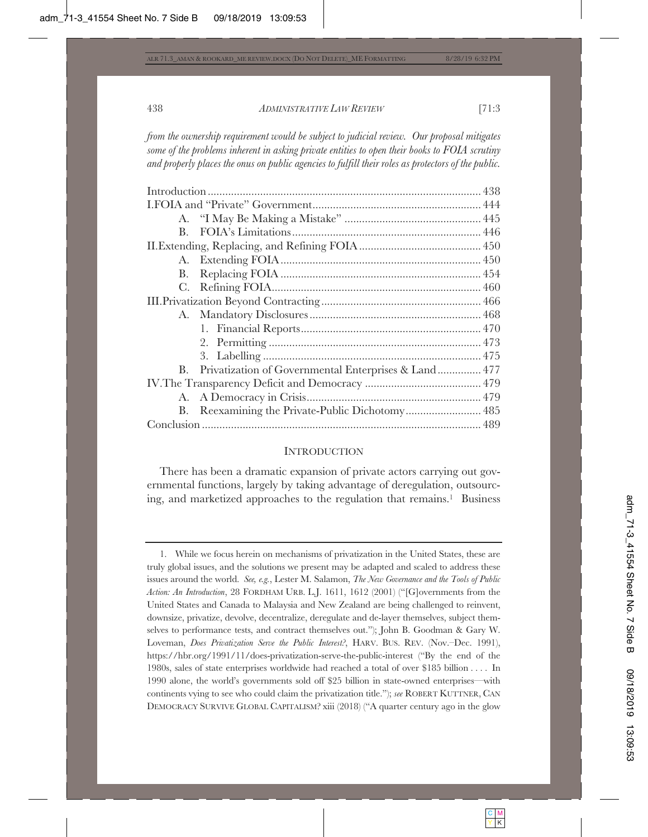*from the ownership requirement would be subject to judicial review. Our proposal mitigates some of the problems inherent in asking private entities to open their books to FOIA scrutiny and properly places the onus on public agencies to fulfill their roles as protectors of the public.* 

| $\mathbf{B}$ . |                                                         |  |
|----------------|---------------------------------------------------------|--|
|                |                                                         |  |
|                |                                                         |  |
|                |                                                         |  |
|                |                                                         |  |
|                |                                                         |  |
|                |                                                         |  |
|                |                                                         |  |
|                |                                                         |  |
|                |                                                         |  |
|                | B. Privatization of Governmental Enterprises & Land 477 |  |
|                |                                                         |  |
|                |                                                         |  |
|                | B. Reexamining the Private-Public Dichotomy 485         |  |
|                |                                                         |  |

#### **INTRODUCTION**

There has been a dramatic expansion of private actors carrying out governmental functions, largely by taking advantage of deregulation, outsourcing, and marketized approaches to the regulation that remains.1 Business

<sup>1.</sup> While we focus herein on mechanisms of privatization in the United States, these are truly global issues, and the solutions we present may be adapted and scaled to address these issues around the world. *See, e.g.*, Lester M. Salamon, *The New Governance and the Tools of Public Action: An Introduction*, 28 FORDHAM URB. L.J. 1611, 1612 (2001) ("[G]overnments from the United States and Canada to Malaysia and New Zealand are being challenged to reinvent, downsize, privatize, devolve, decentralize, deregulate and de-layer themselves, subject themselves to performance tests, and contract themselves out."); John B. Goodman & Gary W. Loveman, *Does Privatization Serve the Public Interest?*, HARV. BUS. REV. (Nov.–Dec. 1991), https://hbr.org/1991/11/does-privatization-serve-the-public-interest ("By the end of the 1980s, sales of state enterprises worldwide had reached a total of over \$185 billion . . . . In 1990 alone, the world's governments sold off \$25 billion in state-owned enterprises—with continents vying to see who could claim the privatization title."); *see* ROBERT KUTTNER, CAN DEMOCRACY SURVIVE GLOBAL CAPITALISM? xiii (2018) ("A quarter century ago in the glow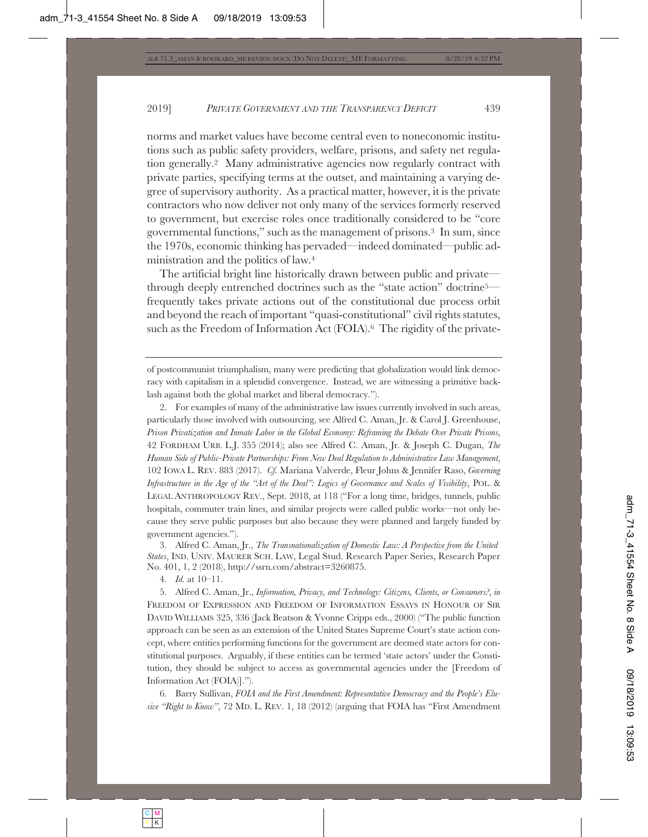norms and market values have become central even to noneconomic institutions such as public safety providers, welfare, prisons, and safety net regulation generally.2 Many administrative agencies now regularly contract with private parties, specifying terms at the outset, and maintaining a varying degree of supervisory authority. As a practical matter, however, it is the private contractors who now deliver not only many of the services formerly reserved to government, but exercise roles once traditionally considered to be "core governmental functions," such as the management of prisons.3 In sum, since the 1970s, economic thinking has pervaded—indeed dominated—public administration and the politics of law.4

The artificial bright line historically drawn between public and private through deeply entrenched doctrines such as the "state action" doctrine5 frequently takes private actions out of the constitutional due process orbit and beyond the reach of important "quasi-constitutional" civil rights statutes, such as the Freedom of Information Act (FOIA).<sup>6</sup> The rigidity of the private-

2. For examples of many of the administrative law issues currently involved in such areas, particularly those involved with outsourcing, see Alfred C. Aman, Jr. & Carol J. Greenhouse, *Prison Privatization and Inmate Labor in the Global Economy: Reframing the Debate Over Private Prisons*, 42 FORDHAM URB. L.J. 355 (2014); also see Alfred C. Aman, Jr. & Joseph C. Dugan, *The Human Side of Public-Private Partnerships: From New Deal Regulation to Administrative Law Management*, 102 IOWA L. REV. 883 (2017). *Cf.* Mariana Valverde, Fleur Johns & Jennifer Raso, *Governing Infrastructure in the Age of the "Art of the Deal": Logics of Governance and Scales of Visibility*, POL. & LEGAL ANTHROPOLOGY REV., Sept. 2018, at 118 ("For a long time, bridges, tunnels, public hospitals, commuter train lines, and similar projects were called public works—not only because they serve public purposes but also because they were planned and largely funded by government agencies.").

3. Alfred C. Aman, Jr., *The Transnationalization of Domestic Law: A Perspective from the United States*, IND. UNIV. MAURER SCH. LAW, Legal Stud. Research Paper Series, Research Paper No. 401, 1, 2 (2018), http://ssrn.com/abstract=3260875.

4*. Id.* at 10–11.

5. Alfred C. Aman, Jr., *Information, Privacy, and Technology: Citizens, Clients, or Consumers?*, *in* FREEDOM OF EXPRESSION AND FREEDOM OF INFORMATION ESSAYS IN HONOUR OF SIR DAVID WILLIAMS 325, 336 (Jack Beatson & Yvonne Cripps eds., 2000) ("The public function approach can be seen as an extension of the United States Supreme Court's state action concept, where entities performing functions for the government are deemed state actors for constitutional purposes. Arguably, if these entities can be termed 'state actors' under the Constitution, they should be subject to access as governmental agencies under the [Freedom of Information Act (FOIA)].").

6. Barry Sullivan, *FOIA and the First Amendment: Representative Democracy and the People's Elusive "Right to Know"*, 72 MD. L. REV. 1, 18 (2012) (arguing that FOIA has "First Amendment

of postcommunist triumphalism, many were predicting that globalization would link democracy with capitalism in a splendid convergence. Instead, we are witnessing a primitive backlash against both the global market and liberal democracy.").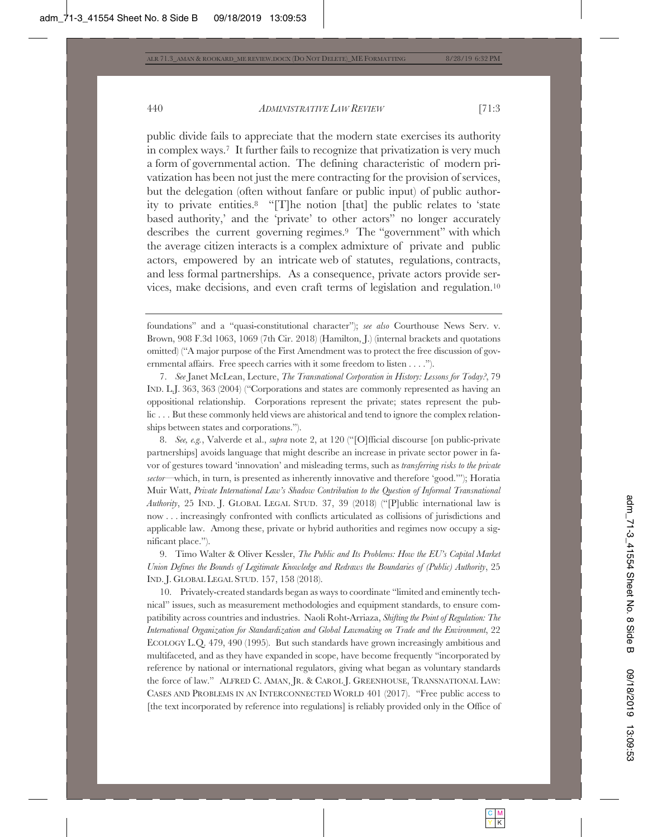public divide fails to appreciate that the modern state exercises its authority in complex ways.7 It further fails to recognize that privatization is very much a form of governmental action. The defining characteristic of modern privatization has been not just the mere contracting for the provision of services, but the delegation (often without fanfare or public input) of public authority to private entities.8 "[T]he notion [that] the public relates to 'state based authority,' and the 'private' to other actors" no longer accurately describes the current governing regimes.9 The "government" with which the average citizen interacts is a complex admixture of private and public actors, empowered by an intricate web of statutes, regulations, contracts, and less formal partnerships. As a consequence, private actors provide services, make decisions, and even craft terms of legislation and regulation.10

8. *See, e.g.*, Valverde et al., *supra* note 2, at 120 ("[O]fficial discourse [on public-private partnerships] avoids language that might describe an increase in private sector power in favor of gestures toward 'innovation' and misleading terms, such as *transferring risks to the private sector*—which, in turn, is presented as inherently innovative and therefore 'good.'"); Horatia Muir Watt, *Private International Law's Shadow Contribution to the Question of Informal Transnational Authority*, 25 IND. J. GLOBAL LEGAL STUD. 37, 39 (2018) ("[P]ublic international law is now . . . increasingly confronted with conflicts articulated as collisions of jurisdictions and applicable law. Among these, private or hybrid authorities and regimes now occupy a significant place.").

9. Timo Walter & Oliver Kessler, *The Public and Its Problems: How the EU's Capital Market Union Defines the Bounds of Legitimate Knowledge and Redraws the Boundaries of (Public) Authority*, 25 IND. J. GLOBAL LEGAL STUD. 157, 158 (2018).

10. Privately-created standards began as ways to coordinate "limited and eminently technical" issues, such as measurement methodologies and equipment standards, to ensure compatibility across countries and industries. Naoli Roht-Arriaza, *Shifting the Point of Regulation: The International Organization for Standardization and Global Lawmaking on Trade and the Environment*, 22 ECOLOGY L.Q. 479, 490 (1995). But such standards have grown increasingly ambitious and multifaceted, and as they have expanded in scope, have become frequently "incorporated by reference by national or international regulators, giving what began as voluntary standards the force of law." ALFRED C. AMAN, JR.&CAROL J. GREENHOUSE, TRANSNATIONAL LAW: CASES AND PROBLEMS IN AN INTERCONNECTED WORLD 401 (2017). "Free public access to [the text incorporated by reference into regulations] is reliably provided only in the Office of

foundations" and a "quasi-constitutional character"); *see also* Courthouse News Serv. v. Brown, 908 F.3d 1063, 1069 (7th Cir. 2018) (Hamilton, J.) (internal brackets and quotations omitted) ("A major purpose of the First Amendment was to protect the free discussion of governmental affairs. Free speech carries with it some freedom to listen . . . .").

<sup>7.</sup> *See* Janet McLean, Lecture, *The Transnational Corporation in History: Lessons for Today?*, 79 IND. L.J. 363, 363 (2004) ("Corporations and states are commonly represented as having an oppositional relationship. Corporations represent the private; states represent the public . . . But these commonly held views are ahistorical and tend to ignore the complex relationships between states and corporations.").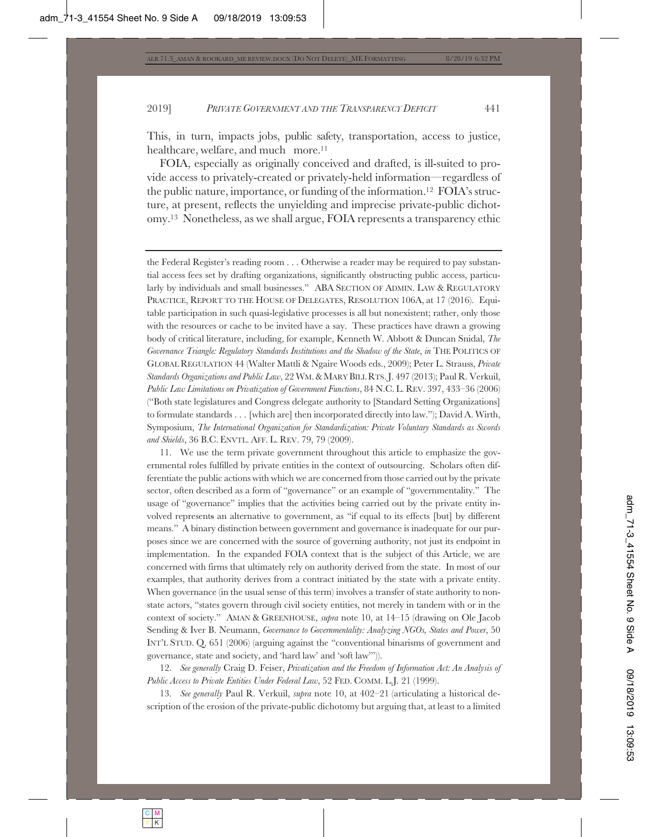This, in turn, impacts jobs, public safety, transportation, access to justice, healthcare, welfare, and much more.<sup>11</sup>

FOIA, especially as originally conceived and drafted, is ill-suited to provide access to privately-created or privately-held information—regardless of the public nature, importance, or funding of the information.12 FOIA's structure, at present, reflects the unyielding and imprecise private-public dichotomy.13 Nonetheless, as we shall argue, FOIA represents a transparency ethic

the Federal Register's reading room . . . Otherwise a reader may be required to pay substantial access fees set by drafting organizations, significantly obstructing public access, particularly by individuals and small businesses." ABA SECTION OF ADMIN. LAW & REGULATORY PRACTICE, REPORT TO THE HOUSE OF DELEGATES, RESOLUTION 106A, at 17 (2016). Equitable participation in such quasi-legislative processes is all but nonexistent; rather, only those with the resources or cache to be invited have a say. These practices have drawn a growing body of critical literature, including, for example, Kenneth W. Abbott & Duncan Snidal, *The* Governance Triangle: Regulatory Standards Institutions and the Shadow of the State, in THE POLITICS OF GLOBAL REGULATION 44 (Walter Mattli & Ngaire Woods eds., 2009); Peter L. Strauss, *Private Standards Organizations and Public Law*, 22 WM.&MARY BILL RTS. J. 497 (2013); Paul R. Verkuil, *Public Law Limitations on Privatization of Government Functions*, 84 N.C. L. REV. 397, 433–36 (2006) ("Both state legislatures and Congress delegate authority to [Standard Setting Organizations] to formulate standards . . . [which are] then incorporated directly into law."); David A. Wirth, Symposium, *The International Organization for Standardization: Private Voluntary Standards as Swords and Shields*, 36 B.C. ENVTL. AFF. L. REV. 79, 79 (2009).

11. We use the term private government throughout this article to emphasize the governmental roles fulfilled by private entities in the context of outsourcing. Scholars often differentiate the public actions with which we are concerned from those carried out by the private sector, often described as a form of "governance" or an example of "governmentality." The usage of "governance" implies that the activities being carried out by the private entity involved represents an alternative to government, as "if equal to its effects [but] by different means." A binary distinction between government and governance is inadequate for our purposes since we are concerned with the source of governing authority, not just its endpoint in implementation. In the expanded FOIA context that is the subject of this Article, we are concerned with firms that ultimately rely on authority derived from the state. In most of our examples, that authority derives from a contract initiated by the state with a private entity. When governance (in the usual sense of this term) involves a transfer of state authority to nonstate actors, "states govern through civil society entities, not merely in tandem with or in the context of society." AMAN & GREENHOUSE, *supra* note 10, at 14–15 (drawing on Ole Jacob Sending & Iver B. Neumann, *Governance to Governmentality: Analyzing NGOs, States and Power*, 50 INT'L STUD. Q. 651 (2006) (arguing against the "conventional binarisms of government and governance, state and society, and 'hard law' and 'soft law'")).

12. *See generally* Craig D. Feiser, *Privatization and the Freedom of Information Act: An Analysis of Public Access to Private Entities Under Federal Law*, 52 FED. COMM. L.J. 21 (1999).

13. *See generally* Paul R. Verkuil, *supra* note 10, at 402–21 (articulating a historical description of the erosion of the private-public dichotomy but arguing that, at least to a limited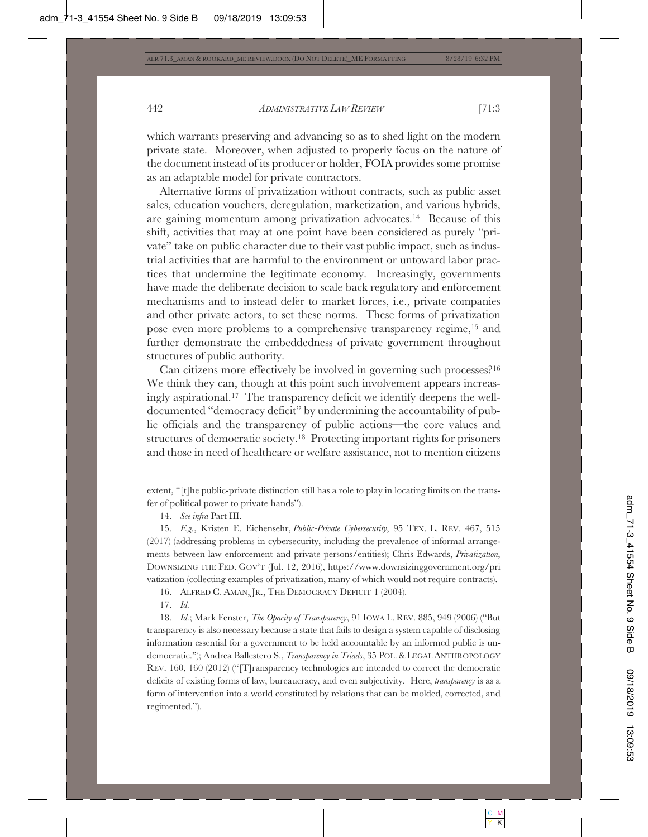which warrants preserving and advancing so as to shed light on the modern private state. Moreover, when adjusted to properly focus on the nature of the document instead of its producer or holder, FOIA provides some promise as an adaptable model for private contractors.

Alternative forms of privatization without contracts, such as public asset sales, education vouchers, deregulation, marketization, and various hybrids, are gaining momentum among privatization advocates.14 Because of this shift, activities that may at one point have been considered as purely "private" take on public character due to their vast public impact, such as industrial activities that are harmful to the environment or untoward labor practices that undermine the legitimate economy. Increasingly, governments have made the deliberate decision to scale back regulatory and enforcement mechanisms and to instead defer to market forces, i.e., private companies and other private actors, to set these norms. These forms of privatization pose even more problems to a comprehensive transparency regime,15 and further demonstrate the embeddedness of private government throughout structures of public authority.

Can citizens more effectively be involved in governing such processes?16 We think they can, though at this point such involvement appears increasingly aspirational.17 The transparency deficit we identify deepens the welldocumented "democracy deficit" by undermining the accountability of public officials and the transparency of public actions—the core values and structures of democratic society.18 Protecting important rights for prisoners and those in need of healthcare or welfare assistance, not to mention citizens

16. ALFRED C. AMAN, JR., THE DEMOCRACY DEFICIT 1 (2004).

17. *Id.*

18. *Id.*; Mark Fenster, *The Opacity of Transparency*, 91 IOWA L. REV. 885, 949 (2006) ("But transparency is also necessary because a state that fails to design a system capable of disclosing information essential for a government to be held accountable by an informed public is undemocratic."); Andrea Ballestero S., *Transparency in Triads*, 35 POL.&LEGAL ANTHROPOLOGY REV. 160, 160 (2012) ("[T]ransparency technologies are intended to correct the democratic deficits of existing forms of law, bureaucracy, and even subjectivity. Here, *transparency* is as a form of intervention into a world constituted by relations that can be molded, corrected, and regimented.").

extent, "[t]he public-private distinction still has a role to play in locating limits on the transfer of political power to private hands").

<sup>14.</sup> *See infra* Part III.

<sup>15.</sup> *E.g.*, Kristen E. Eichensehr, *Public-Private Cybersecurity*, 95 TEX. L. REV. 467, 515 (2017) (addressing problems in cybersecurity, including the prevalence of informal arrangements between law enforcement and private persons/entities); Chris Edwards, *Privatization*, DOWNSIZING THE FED. GOV'T (Jul. 12, 2016), https://www.downsizinggovernment.org/pri vatization (collecting examples of privatization, many of which would not require contracts).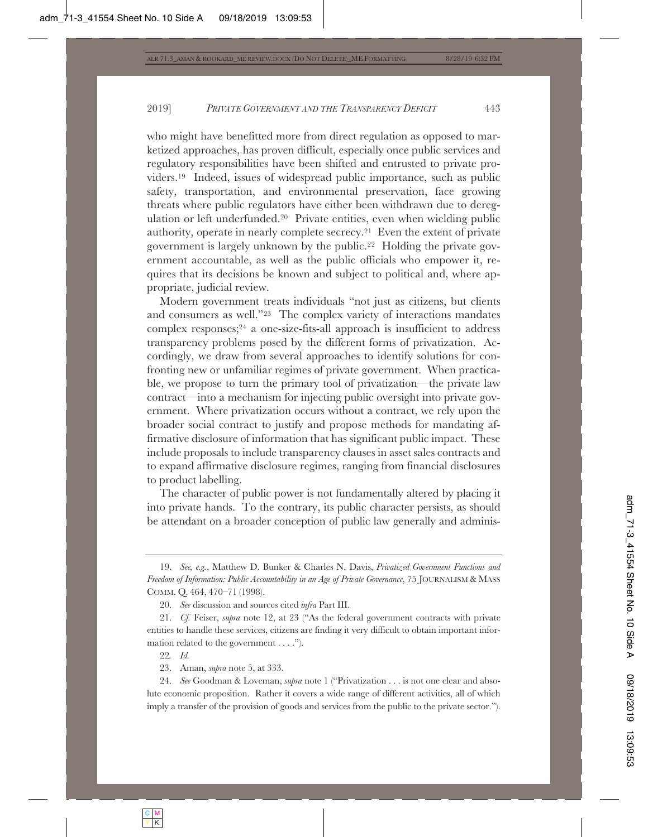who might have benefitted more from direct regulation as opposed to marketized approaches, has proven difficult, especially once public services and regulatory responsibilities have been shifted and entrusted to private providers.19 Indeed, issues of widespread public importance, such as public safety, transportation, and environmental preservation, face growing threats where public regulators have either been withdrawn due to deregulation or left underfunded.20 Private entities, even when wielding public authority, operate in nearly complete secrecy.21 Even the extent of private government is largely unknown by the public.22 Holding the private government accountable, as well as the public officials who empower it, requires that its decisions be known and subject to political and, where appropriate, judicial review.

Modern government treats individuals "not just as citizens, but clients and consumers as well."23 The complex variety of interactions mandates complex responses;24 a one-size-fits-all approach is insufficient to address transparency problems posed by the different forms of privatization. Accordingly, we draw from several approaches to identify solutions for confronting new or unfamiliar regimes of private government. When practicable, we propose to turn the primary tool of privatization—the private law contract—into a mechanism for injecting public oversight into private government. Where privatization occurs without a contract, we rely upon the broader social contract to justify and propose methods for mandating affirmative disclosure of information that has significant public impact. These include proposals to include transparency clauses in asset sales contracts and to expand affirmative disclosure regimes, ranging from financial disclosures to product labelling.

The character of public power is not fundamentally altered by placing it into private hands. To the contrary, its public character persists, as should be attendant on a broader conception of public law generally and adminis-

22*. Id.*

23. Aman, *supra* note 5, at 333.

24. *See* Goodman & Loveman, *supra* note 1 ("Privatization . . . is not one clear and absolute economic proposition. Rather it covers a wide range of different activities, all of which imply a transfer of the provision of goods and services from the public to the private sector.").

<sup>19.</sup> *See, e.g.*, Matthew D. Bunker & Charles N. Davis, *Privatized Government Functions and Freedom of Information: Public Accountability in an Age of Private Governance*, 75 JOURNALISM & MASS COMM. Q. 464, 470–71 (1998).

<sup>20.</sup> *See* discussion and sources cited *infra* Part III.

<sup>21.</sup> *Cf.* Feiser, *supra* note 12, at 23 ("As the federal government contracts with private entities to handle these services, citizens are finding it very difficult to obtain important information related to the government . . . .").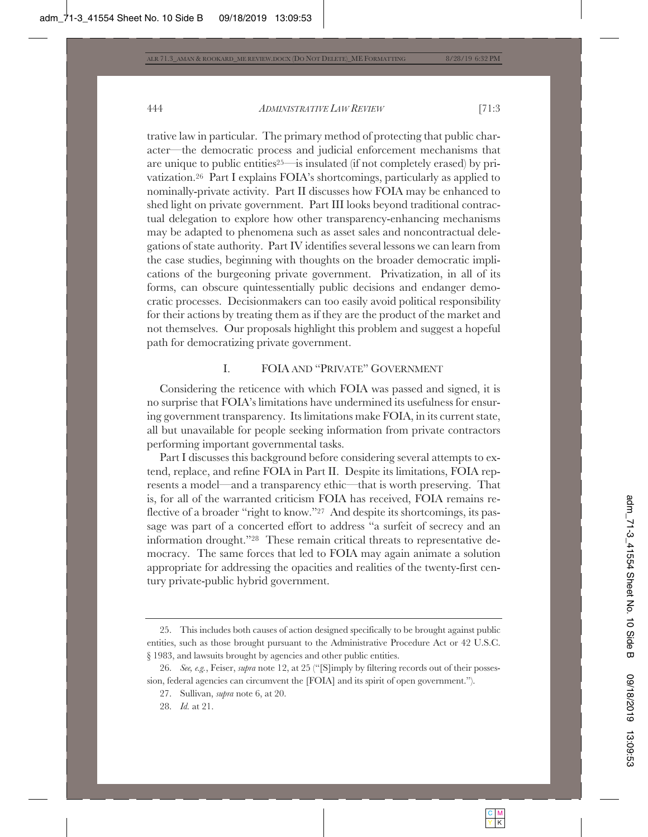trative law in particular. The primary method of protecting that public character—the democratic process and judicial enforcement mechanisms that are unique to public entities25—is insulated (if not completely erased) by privatization.26 Part I explains FOIA's shortcomings, particularly as applied to nominally-private activity. Part II discusses how FOIA may be enhanced to shed light on private government. Part III looks beyond traditional contractual delegation to explore how other transparency-enhancing mechanisms may be adapted to phenomena such as asset sales and noncontractual delegations of state authority. Part IV identifies several lessons we can learn from the case studies, beginning with thoughts on the broader democratic implications of the burgeoning private government. Privatization, in all of its forms, can obscure quintessentially public decisions and endanger democratic processes. Decisionmakers can too easily avoid political responsibility for their actions by treating them as if they are the product of the market and not themselves. Our proposals highlight this problem and suggest a hopeful path for democratizing private government.

# I. FOIA AND "PRIVATE" GOVERNMENT

Considering the reticence with which FOIA was passed and signed, it is no surprise that FOIA's limitations have undermined its usefulness for ensuring government transparency. Its limitations make FOIA, in its current state, all but unavailable for people seeking information from private contractors performing important governmental tasks.

Part I discusses this background before considering several attempts to extend, replace, and refine FOIA in Part II. Despite its limitations, FOIA represents a model—and a transparency ethic—that is worth preserving. That is, for all of the warranted criticism FOIA has received, FOIA remains reflective of a broader "right to know."27 And despite its shortcomings, its passage was part of a concerted effort to address "a surfeit of secrecy and an information drought."28 These remain critical threats to representative democracy. The same forces that led to FOIA may again animate a solution appropriate for addressing the opacities and realities of the twenty-first century private-public hybrid government.

<sup>25.</sup> This includes both causes of action designed specifically to be brought against public entities, such as those brought pursuant to the Administrative Procedure Act or 42 U.S.C. § 1983, and lawsuits brought by agencies and other public entities.

<sup>26.</sup> *See, e.g.*, Feiser, *supra* note 12, at 25 ("[S]imply by filtering records out of their possession, federal agencies can circumvent the [FOIA] and its spirit of open government.").

<sup>27.</sup> Sullivan, *supra* note 6, at 20.

<sup>28.</sup> *Id.* at 21.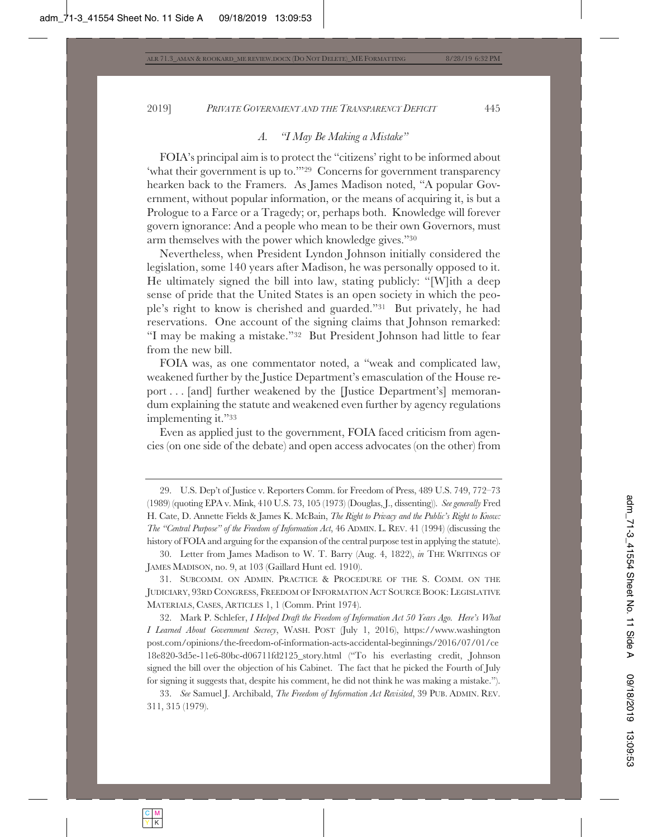# *A. "I May Be Making a Mistake"*

FOIA's principal aim is to protect the "citizens' right to be informed about 'what their government is up to.'"29 Concerns for government transparency hearken back to the Framers. As James Madison noted, "A popular Government, without popular information, or the means of acquiring it, is but a Prologue to a Farce or a Tragedy; or, perhaps both. Knowledge will forever govern ignorance: And a people who mean to be their own Governors, must arm themselves with the power which knowledge gives."30

Nevertheless, when President Lyndon Johnson initially considered the legislation, some 140 years after Madison, he was personally opposed to it. He ultimately signed the bill into law, stating publicly: "[W]ith a deep sense of pride that the United States is an open society in which the people's right to know is cherished and guarded."31 But privately, he had reservations. One account of the signing claims that Johnson remarked: "I may be making a mistake."32 But President Johnson had little to fear from the new bill.

FOIA was, as one commentator noted, a "weak and complicated law, weakened further by the Justice Department's emasculation of the House report . . . [and] further weakened by the [Justice Department's] memorandum explaining the statute and weakened even further by agency regulations implementing it."33

Even as applied just to the government, FOIA faced criticism from agencies (on one side of the debate) and open access advocates (on the other) from

31. SUBCOMM. ON ADMIN. PRACTICE & PROCEDURE OF THE S. COMM. ON THE JUDICIARY, 93RD CONGRESS, FREEDOM OF INFORMATION ACT SOURCE BOOK: LEGISLATIVE MATERIALS, CASES, ARTICLES 1, 1 (Comm. Print 1974).

32. Mark P. Schlefer, *I Helped Draft the Freedom of Information Act 50 Years Ago. Here's What I Learned About Government Secrecy*, WASH. POST (July 1, 2016), https://www.washington post.com/opinions/the-freedom-of-information-acts-accidental-beginnings/2016/07/01/ce 18e820-3d5e-11e6-80bc-d06711fd2125\_story.html ("To his everlasting credit, Johnson signed the bill over the objection of his Cabinet. The fact that he picked the Fourth of July for signing it suggests that, despite his comment, he did not think he was making a mistake.").

33. *See* Samuel J. Archibald, *The Freedom of Information Act Revisited*, 39 PUB. ADMIN. REV. 311, 315 (1979).

<sup>29.</sup> U.S. Dep't of Justice v. Reporters Comm. for Freedom of Press, 489 U.S. 749, 772–73 (1989) (quoting EPA v. Mink, 410 U.S. 73, 105 (1973) (Douglas, J., dissenting)). *See generally* Fred H. Cate, D. Annette Fields & James K. McBain, *The Right to Privacy and the Public's Right to Know: The "Central Purpose" of the Freedom of Information Act*, 46 ADMIN. L. REV. 41 (1994) (discussing the history of FOIA and arguing for the expansion of the central purpose test in applying the statute).

<sup>30.</sup> Letter from James Madison to W. T. Barry (Aug. 4, 1822), *in* THE WRITINGS OF JAMES MADISON, no. 9, at 103 (Gaillard Hunt ed. 1910).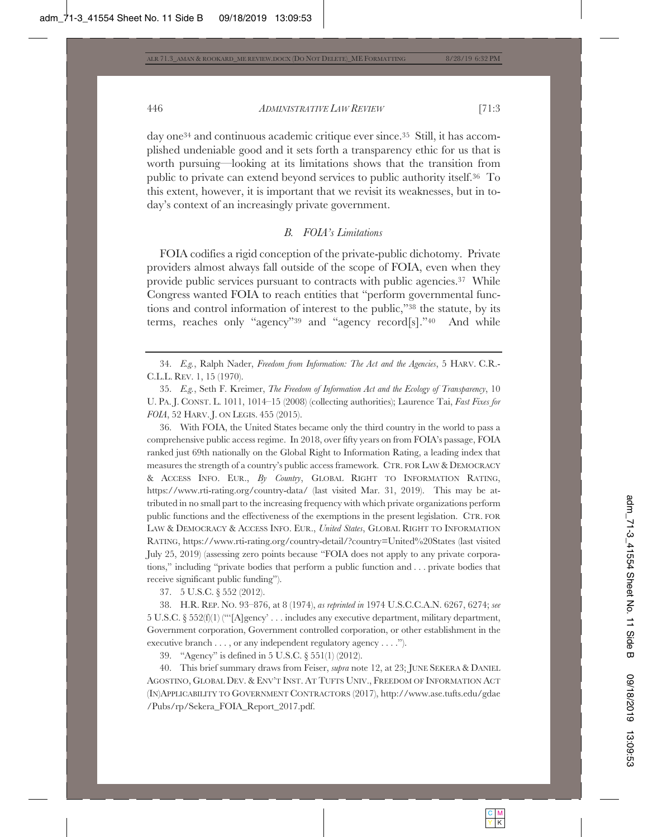day one34 and continuous academic critique ever since.35 Still, it has accomplished undeniable good and it sets forth a transparency ethic for us that is worth pursuing—looking at its limitations shows that the transition from public to private can extend beyond services to public authority itself.36 To this extent, however, it is important that we revisit its weaknesses, but in today's context of an increasingly private government.

# *B. FOIA's Limitations*

FOIA codifies a rigid conception of the private-public dichotomy. Private providers almost always fall outside of the scope of FOIA, even when they provide public services pursuant to contracts with public agencies.37 While Congress wanted FOIA to reach entities that "perform governmental functions and control information of interest to the public,"38 the statute, by its terms, reaches only "agency"39 and "agency record[s]."40 And while

36. With FOIA, the United States became only the third country in the world to pass a comprehensive public access regime. In 2018, over fifty years on from FOIA's passage, FOIA ranked just 69th nationally on the Global Right to Information Rating, a leading index that measures the strength of a country's public access framework. CTR. FOR LAW & DEMOCRACY & ACCESS INFO. EUR., *By Country*, GLOBAL RIGHT TO INFORMATION RATING, https://www.rti-rating.org/country-data/ (last visited Mar. 31, 2019). This may be attributed in no small part to the increasing frequency with which private organizations perform public functions and the effectiveness of the exemptions in the present legislation. CTR. FOR LAW & DEMOCRACY & ACCESS INFO. EUR., *United States*, GLOBAL RIGHT TO INFORMATION RATING, https://www.rti-rating.org/country-detail/?country=United%20States (last visited July 25, 2019) (assessing zero points because "FOIA does not apply to any private corporations," including "private bodies that perform a public function and . . . private bodies that receive significant public funding").

37. 5 U.S.C. § 552 (2012).

38. H.R. REP. NO. 93–876, at 8 (1974), *as reprinted in* 1974 U.S.C.C.A.N. 6267, 6274; *see* 5 U.S.C. § 552(f)(1) ("'[A]gency' . . . includes any executive department, military department, Government corporation, Government controlled corporation, or other establishment in the executive branch . . . , or any independent regulatory agency . . . .").

39. "Agency" is defined in 5 U.S.C. § 551(1) (2012).

40. This brief summary draws from Feiser, *supra* note 12, at 23; JUNE SEKERA & DANIEL AGOSTINO, GLOBAL DEV.&ENV'T INST. AT TUFTS UNIV., FREEDOM OF INFORMATION ACT (IN)APPLICABILITY TO GOVERNMENT CONTRACTORS (2017), http://www.ase.tufts.edu/gdae /Pubs/rp/Sekera\_FOIA\_Report\_2017.pdf.

<sup>34.</sup> *E.g.*, Ralph Nader, *Freedom from Information: The Act and the Agencies*, 5 HARV. C.R.- C.L.L. REV. 1, 15 (1970).

<sup>35.</sup> *E.g.*, Seth F. Kreimer, *The Freedom of Information Act and the Ecology of Transparency*, 10 U. PA. J. CONST. L. 1011, 1014–15 (2008) (collecting authorities); Laurence Tai, *Fast Fixes for FOIA*, 52 HARV. J. ON LEGIS. 455 (2015).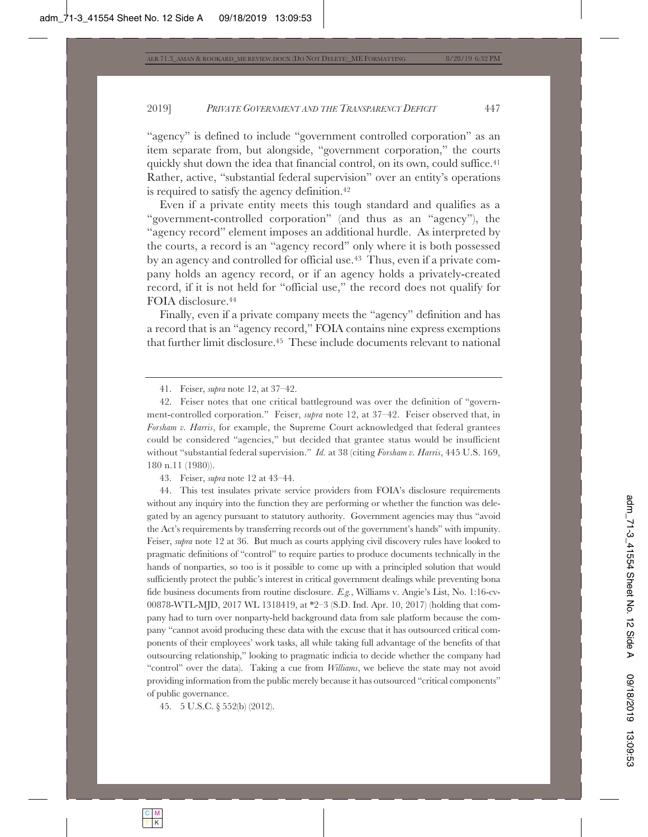"agency" is defined to include "government controlled corporation" as an item separate from, but alongside, "government corporation," the courts quickly shut down the idea that financial control, on its own, could suffice.<sup>41</sup> Rather, active, "substantial federal supervision" over an entity's operations is required to satisfy the agency definition.42

Even if a private entity meets this tough standard and qualifies as a "government-controlled corporation" (and thus as an "agency"), the "agency record" element imposes an additional hurdle. As interpreted by the courts, a record is an "agency record" only where it is both possessed by an agency and controlled for official use.43 Thus, even if a private company holds an agency record, or if an agency holds a privately-created record, if it is not held for "official use," the record does not qualify for FOIA disclosure.44

Finally, even if a private company meets the "agency" definition and has a record that is an "agency record," FOIA contains nine express exemptions that further limit disclosure.45 These include documents relevant to national

41. Feiser, *supra* note 12, at 37–42.

42. Feiser notes that one critical battleground was over the definition of "government-controlled corporation." Feiser, *supra* note 12, at 37–42. Feiser observed that, in *Forsham v. Harris*, for example, the Supreme Court acknowledged that federal grantees could be considered "agencies," but decided that grantee status would be insufficient without "substantial federal supervision." *Id.* at 38 (citing *Forsham v. Harris*, 445 U.S. 169, 180 n.11 (1980)).

43. Feiser, *supra* note 12 at 43–44.

44. This test insulates private service providers from FOIA's disclosure requirements without any inquiry into the function they are performing or whether the function was delegated by an agency pursuant to statutory authority. Government agencies may thus "avoid the Act's requirements by transferring records out of the government's hands" with impunity. Feiser, *supra* note 12 at 36. But much as courts applying civil discovery rules have looked to pragmatic definitions of "control" to require parties to produce documents technically in the hands of nonparties, so too is it possible to come up with a principled solution that would sufficiently protect the public's interest in critical government dealings while preventing bona fide business documents from routine disclosure. *E.g.*, Williams v. Angie's List, No. 1:16-cv-00878-WTL-MJD, 2017 WL 1318419, at \*2–3 (S.D. Ind. Apr. 10, 2017) (holding that company had to turn over nonparty-held background data from sale platform because the company "cannot avoid producing these data with the excuse that it has outsourced critical components of their employees' work tasks, all while taking full advantage of the benefits of that outsourcing relationship," looking to pragmatic indicia to decide whether the company had "control" over the data). Taking a cue from *Williams*, we believe the state may not avoid providing information from the public merely because it has outsourced "critical components" of public governance.

45. 5 U.S.C. § 552(b) (2012).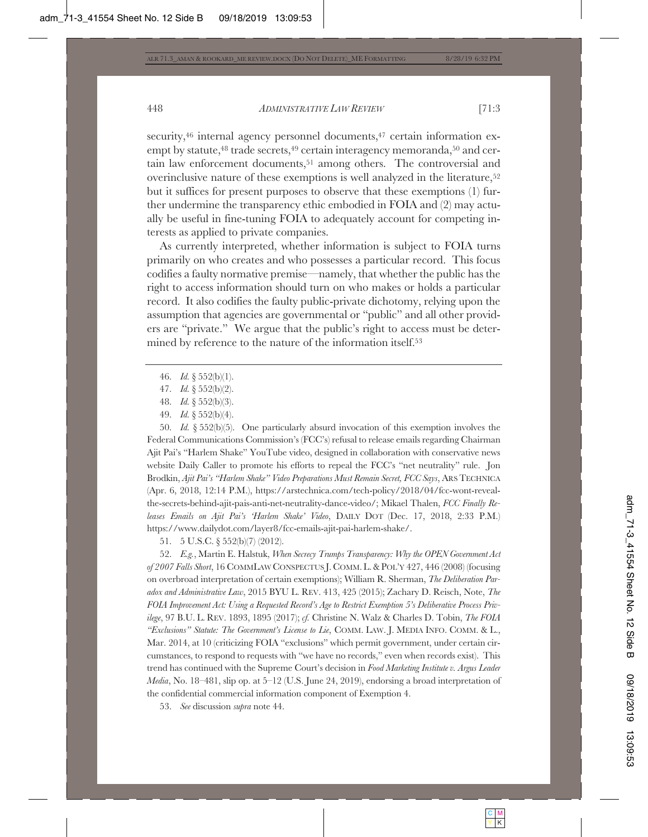security,<sup>46</sup> internal agency personnel documents,<sup>47</sup> certain information exempt by statute,<sup>48</sup> trade secrets,<sup>49</sup> certain interagency memoranda,<sup>50</sup> and certain law enforcement documents,<sup>51</sup> among others. The controversial and overinclusive nature of these exemptions is well analyzed in the literature,<sup>52</sup> but it suffices for present purposes to observe that these exemptions (1) further undermine the transparency ethic embodied in FOIA and (2) may actually be useful in fine-tuning FOIA to adequately account for competing interests as applied to private companies.

As currently interpreted, whether information is subject to FOIA turns primarily on who creates and who possesses a particular record. This focus codifies a faulty normative premise—namely, that whether the public has the right to access information should turn on who makes or holds a particular record. It also codifies the faulty public-private dichotomy, relying upon the assumption that agencies are governmental or "public" and all other providers are "private." We argue that the public's right to access must be determined by reference to the nature of the information itself.53

- 46. *Id.* § 552(b)(1).
- 47. *Id.* § 552(b)(2).
- 48. *Id.* § 552(b)(3).
- 49. *Id.* § 552(b)(4).

50. *Id.* § 552(b)(5). One particularly absurd invocation of this exemption involves the Federal Communications Commission's (FCC's) refusal to release emails regarding Chairman Ajit Pai's "Harlem Shake" YouTube video, designed in collaboration with conservative news website Daily Caller to promote his efforts to repeal the FCC's "net neutrality" rule. Jon Brodkin, *Ajit Pai's "Harlem Shake" Video Preparations Must Remain Secret, FCC Says*, ARSTECHNICA (Apr. 6, 2018, 12:14 P.M.), https://arstechnica.com/tech-policy/2018/04/fcc-wont-revealthe-secrets-behind-ajit-pais-anti-net-neutrality-dance-video/; Mikael Thalen, *FCC Finally Releases Emails on Ajit Pai's 'Harlem Shake' Video*, DAILY DOT (Dec. 17, 2018, 2:33 P.M.) https://www.dailydot.com/layer8/fcc-emails-ajit-pai-harlem-shake/.

51. 5 U.S.C. § 552(b)(7) (2012).

52. *E.g.*, Martin E. Halstuk, *When Secrecy Trumps Transparency: Why the OPEN Government Act of 2007 Falls Short*, 16 COMMLAW CONSPECTUS J. COMM. L. & POL'Y 427, 446 (2008) (focusing on overbroad interpretation of certain exemptions); William R. Sherman, *The Deliberation Paradox and Administrative Law*, 2015 BYU L. REV. 413, 425 (2015); Zachary D. Reisch, Note, *The FOIA Improvement Act: Using a Requested Record's Age to Restrict Exemption 5's Deliberative Process Privilege*, 97 B.U. L. REV. 1893, 1895 (2017); *cf.* Christine N. Walz & Charles D. Tobin, *The FOIA "Exclusions" Statute: The Government's License to Lie*, COMM. LAW. J. MEDIA INFO. COMM. & L., Mar. 2014, at 10 (criticizing FOIA "exclusions" which permit government, under certain circumstances, to respond to requests with "we have no records," even when records exist). This trend has continued with the Supreme Court's decision in *Food Marketing Institute v. Argus Leader Media*, No. 18–481, slip op. at 5–12 (U.S. June 24, 2019), endorsing a broad interpretation of the confidential commercial information component of Exemption 4.

53. *See* discussion *supra* note 44.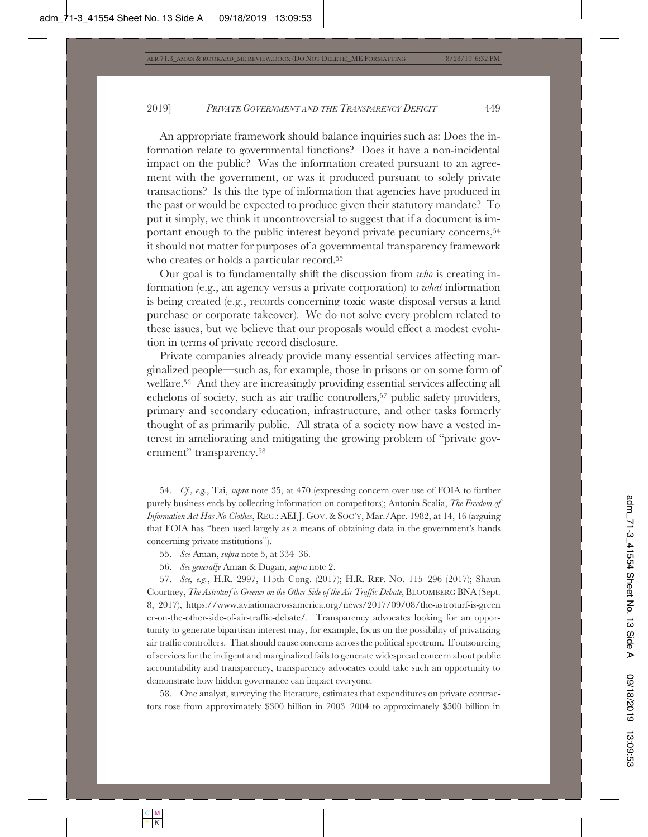An appropriate framework should balance inquiries such as: Does the information relate to governmental functions? Does it have a non-incidental impact on the public? Was the information created pursuant to an agreement with the government, or was it produced pursuant to solely private transactions? Is this the type of information that agencies have produced in the past or would be expected to produce given their statutory mandate? To put it simply, we think it uncontroversial to suggest that if a document is important enough to the public interest beyond private pecuniary concerns,54 it should not matter for purposes of a governmental transparency framework who creates or holds a particular record.55

Our goal is to fundamentally shift the discussion from *who* is creating information (e.g., an agency versus a private corporation) to *what* information is being created (e.g., records concerning toxic waste disposal versus a land purchase or corporate takeover). We do not solve every problem related to these issues, but we believe that our proposals would effect a modest evolution in terms of private record disclosure.

Private companies already provide many essential services affecting marginalized people—such as, for example, those in prisons or on some form of welfare.56 And they are increasingly providing essential services affecting all echelons of society, such as air traffic controllers,<sup>57</sup> public safety providers, primary and secondary education, infrastructure, and other tasks formerly thought of as primarily public. All strata of a society now have a vested interest in ameliorating and mitigating the growing problem of "private government" transparency.58

58. One analyst, surveying the literature, estimates that expenditures on private contractors rose from approximately \$300 billion in 2003–2004 to approximately \$500 billion in

<sup>54.</sup> *Cf., e.g.*, Tai, *supra* note 35, at 470 (expressing concern over use of FOIA to further purely business ends by collecting information on competitors); Antonin Scalia, *The Freedom of Information Act Has No Clothes*, REG.: AEI J. GOV.&SOC'Y, Mar./Apr. 1982, at 14, 16 (arguing that FOIA has "been used largely as a means of obtaining data in the government's hands concerning private institutions").

<sup>55.</sup> *See* Aman, *supra* note 5, at 334–36.

<sup>56.</sup> *See generally* Aman & Dugan, *supra* note 2.

<sup>57.</sup> *See, e.g.*, H.R. 2997, 115th Cong. (2017); H.R. REP. NO. 115–296 (2017); Shaun Courtney, *The Astroturf is Greener on the Other Side of the Air Traffic Debate*, BLOOMBERG BNA (Sept. 8, 2017), https://www.aviationacrossamerica.org/news/2017/09/08/the-astroturf-is-green er-on-the-other-side-of-air-traffic-debate/. Transparency advocates looking for an opportunity to generate bipartisan interest may, for example, focus on the possibility of privatizing air traffic controllers. That should cause concerns across the political spectrum. If outsourcing of services for the indigent and marginalized fails to generate widespread concern about public accountability and transparency, transparency advocates could take such an opportunity to demonstrate how hidden governance can impact everyone.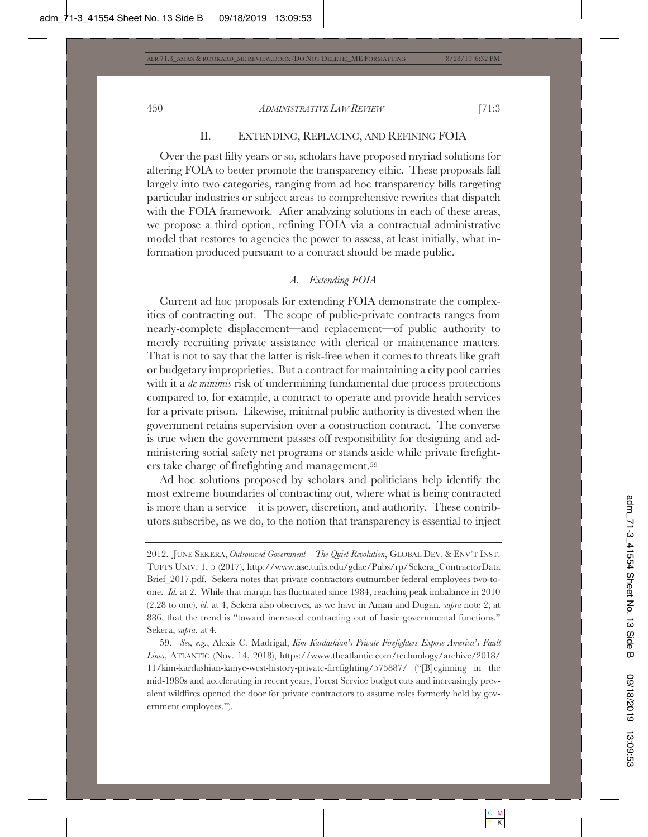# II. EXTENDING, REPLACING, AND REFINING FOIA

Over the past fifty years or so, scholars have proposed myriad solutions for altering FOIA to better promote the transparency ethic. These proposals fall largely into two categories, ranging from ad hoc transparency bills targeting particular industries or subject areas to comprehensive rewrites that dispatch with the FOIA framework. After analyzing solutions in each of these areas, we propose a third option, refining FOIA via a contractual administrative model that restores to agencies the power to assess, at least initially, what information produced pursuant to a contract should be made public.

## *A. Extending FOIA*

Current ad hoc proposals for extending FOIA demonstrate the complexities of contracting out. The scope of public-private contracts ranges from nearly-complete displacement—and replacement—of public authority to merely recruiting private assistance with clerical or maintenance matters. That is not to say that the latter is risk-free when it comes to threats like graft or budgetary improprieties. But a contract for maintaining a city pool carries with it a *de minimis* risk of undermining fundamental due process protections compared to, for example, a contract to operate and provide health services for a private prison. Likewise, minimal public authority is divested when the government retains supervision over a construction contract. The converse is true when the government passes off responsibility for designing and administering social safety net programs or stands aside while private firefighters take charge of firefighting and management.59

Ad hoc solutions proposed by scholars and politicians help identify the most extreme boundaries of contracting out, where what is being contracted is more than a service—it is power, discretion, and authority. These contributors subscribe, as we do, to the notion that transparency is essential to inject

59. *See, e.g.*, Alexis C. Madrigal, *Kim Kardashian's Private Firefighters Expose America's Fault Lines*, ATLANTIC (Nov. 14, 2018), https://www.theatlantic.com/technology/archive/2018/ 11/kim-kardashian-kanye-west-history-private-firefighting/575887/ ("[B]eginning in the mid-1980s and accelerating in recent years, Forest Service budget cuts and increasingly prevalent wildfires opened the door for private contractors to assume roles formerly held by government employees.").

<sup>2012.</sup> JUNE SEKERA, *Outsourced Government—The Quiet Revolution*, GLOBAL DEV.&ENV'T INST. TUFTS UNIV. 1, 5 (2017), http://www.ase.tufts.edu/gdae/Pubs/rp/Sekera\_ContractorData Brief\_2017.pdf. Sekera notes that private contractors outnumber federal employees two-toone. *Id.* at 2. While that margin has fluctuated since 1984, reaching peak imbalance in 2010 (2.28 to one), *id.* at 4, Sekera also observes, as we have in Aman and Dugan, *supra* note 2, at 886, that the trend is "toward increased contracting out of basic governmental functions." Sekera, *supra*, at 4.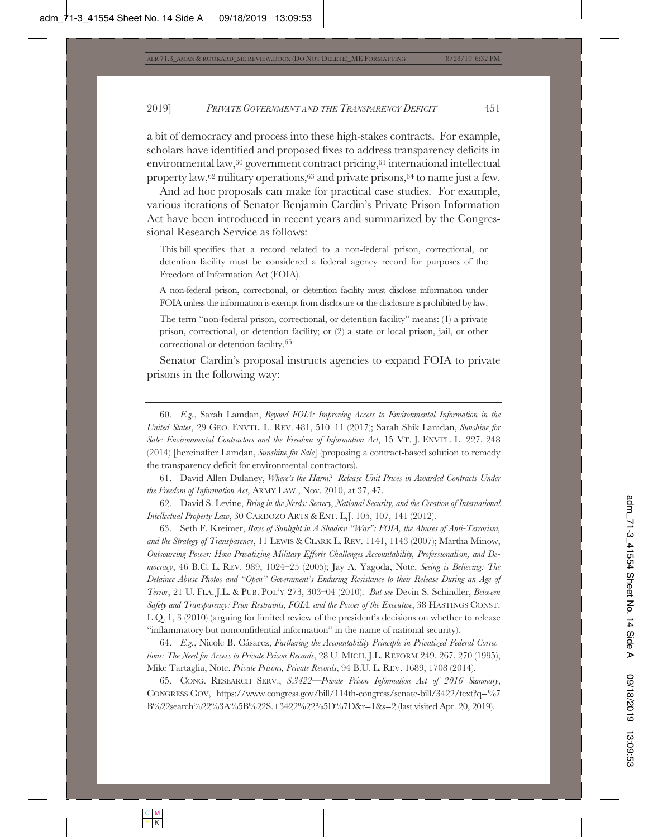a bit of democracy and process into these high-stakes contracts. For example, scholars have identified and proposed fixes to address transparency deficits in environmental law,  $60$  government contract pricing,  $61$  international intellectual property law,  $62$  military operations,  $63$  and private prisons,  $64$  to name just a few.

And ad hoc proposals can make for practical case studies. For example, various iterations of Senator Benjamin Cardin's Private Prison Information Act have been introduced in recent years and summarized by the Congressional Research Service as follows:

This bill specifies that a record related to a non-federal prison, correctional, or detention facility must be considered a federal agency record for purposes of the Freedom of Information Act (FOIA).

A non-federal prison, correctional, or detention facility must disclose information under FOIA unless the information is exempt from disclosure or the disclosure is prohibited by law.

The term "non-federal prison, correctional, or detention facility" means: (1) a private prison, correctional, or detention facility; or (2) a state or local prison, jail, or other correctional or detention facility.65

Senator Cardin's proposal instructs agencies to expand FOIA to private prisons in the following way:

61. David Allen Dulaney, *Where's the Harm? Release Unit Prices in Awarded Contracts Under the Freedom of Information Act*, ARMY LAW., Nov. 2010, at 37, 47.

62. David S. Levine, *Bring in the Nerds: Secrecy, National Security, and the Creation of International Intellectual Property Law*, 30 CARDOZO ARTS & ENT. L.J. 105, 107, 141 (2012).

63. Seth F. Kreimer, *Rays of Sunlight in A Shadow "War": FOIA, the Abuses of Anti-Terrorism, and the Strategy of Transparency*, 11 LEWIS & CLARK L. REV. 1141, 1143 (2007); Martha Minow, *Outsourcing Power: How Privatizing Military Efforts Challenges Accountability, Professionalism, and Democracy*, 46 B.C. L. REV. 989, 1024–25 (2005); Jay A. Yagoda, Note, *Seeing is Believing: The Detainee Abuse Photos and "Open" Government's Enduring Resistance to their Release During an Age of Terror*, 21 U. FLA. J.L. & PUB. POL'Y 273, 303–04 (2010). *But see* Devin S. Schindler, *Between Safety and Transparency: Prior Restraints, FOIA, and the Power of the Executive*, 38 HASTINGS CONST. L.Q. 1, 3 (2010) (arguing for limited review of the president's decisions on whether to release "inflammatory but nonconfidential information" in the name of national security).

64. *E.g.*, Nicole B. Cásarez, *Furthering the Accountability Principle in Privatized Federal Corrections: The Need for Access to Private Prison Records*, 28 U. MICH. J.L. REFORM 249, 267, 270 (1995); Mike Tartaglia, Note, *Private Prisons, Private Records*, 94 B.U. L. REV. 1689, 1708 (2014).

65. CONG. RESEARCH SERV., *S.3422—Private Prison Information Act of 2016 Summary*, CONGRESS.GOV, https://www.congress.gov/bill/114th-congress/senate-bill/3422/text?q=%7 B%22search%22%3A%5B%22S.+3422%22%5D%7D&r=1&s=2 (last visited Apr. 20, 2019).

<sup>60.</sup> *E.g.*, Sarah Lamdan, *Beyond FOIA: Improving Access to Environmental Information in the United States*, 29 GEO. ENVTL. L. REV. 481, 510–11 (2017); Sarah Shik Lamdan, *Sunshine for Sale: Environmental Contractors and the Freedom of Information Act*, 15 VT. J. ENVTL. L. 227, 248 (2014) [hereinafter Lamdan, *Sunshine for Sale*] (proposing a contract-based solution to remedy the transparency deficit for environmental contractors).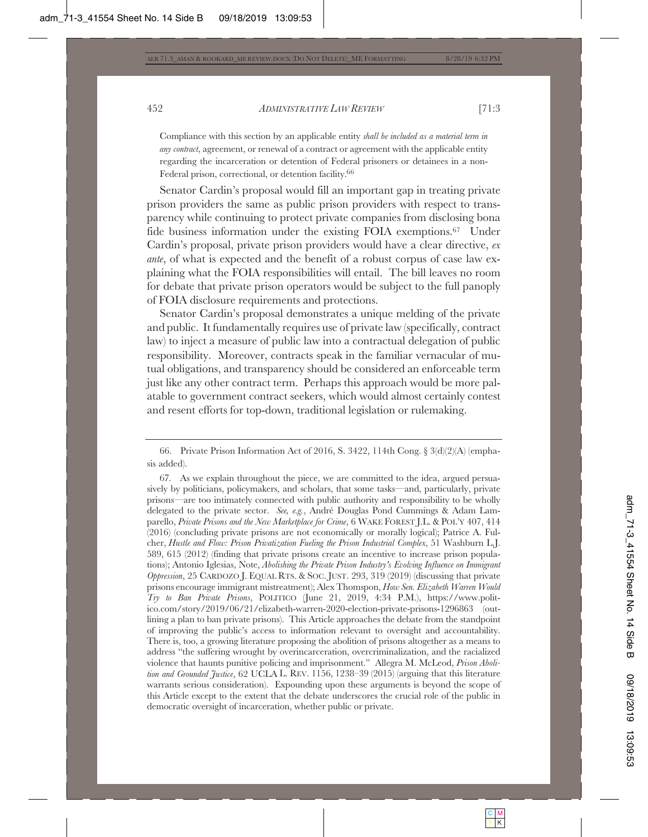Compliance with this section by an applicable entity *shall be included as a material term in any contract*, agreement, or renewal of a contract or agreement with the applicable entity regarding the incarceration or detention of Federal prisoners or detainees in a non-Federal prison, correctional, or detention facility.66

Senator Cardin's proposal would fill an important gap in treating private prison providers the same as public prison providers with respect to transparency while continuing to protect private companies from disclosing bona fide business information under the existing FOIA exemptions.<sup>67</sup> Under Cardin's proposal, private prison providers would have a clear directive, *ex ante*, of what is expected and the benefit of a robust corpus of case law explaining what the FOIA responsibilities will entail. The bill leaves no room for debate that private prison operators would be subject to the full panoply of FOIA disclosure requirements and protections.

Senator Cardin's proposal demonstrates a unique melding of the private and public. It fundamentally requires use of private law (specifically, contract law) to inject a measure of public law into a contractual delegation of public responsibility. Moreover, contracts speak in the familiar vernacular of mutual obligations, and transparency should be considered an enforceable term just like any other contract term. Perhaps this approach would be more palatable to government contract seekers, which would almost certainly contest and resent efforts for top-down, traditional legislation or rulemaking.

<sup>66.</sup> Private Prison Information Act of 2016, S. 3422, 114th Cong. § 3(d)(2)(A) (emphasis added).

<sup>67</sup>*.* As we explain throughout the piece, we are committed to the idea, argued persuasively by politicians, policymakers, and scholars, that some tasks—and, particularly, private prisons—are too intimately connected with public authority and responsibility to be wholly delegated to the private sector. *See, e.g.*, André Douglas Pond Cummings & Adam Lamparello, *Private Prisons and the New Marketplace for Crime*, 6 WAKE FOREST J.L. & POL'Y 407, 414 (2016) (concluding private prisons are not economically or morally logical); Patrice A. Fulcher, *Hustle and Flow: Prison Privatization Fueling the Prison Industrial Complex*, 51 Washburn L.J. 589, 615 (2012) (finding that private prisons create an incentive to increase prison populations); Antonio Iglesias, Note, *Abolishing the Private Prison Industry's Evolving Influence on Immigrant Oppression*, 25 CARDOZO J. EQUAL RTS.&SOC. JUST. 293, 319 (2019) (discussing that private prisons encourage immigrant mistreatment); Alex Thomspon, *How Sen. Elizabeth Warren Would Try to Ban Private Prisons*, POLITICO (June 21, 2019, 4:34 P.M.), https://www.politico.com/story/2019/06/21/elizabeth-warren-2020-election-private-prisons-1296863 (outlining a plan to ban private prisons). This Article approaches the debate from the standpoint of improving the public's access to information relevant to oversight and accountability. There is, too, a growing literature proposing the abolition of prisons altogether as a means to address "the suffering wrought by overincarceration, overcriminalization, and the racialized violence that haunts punitive policing and imprisonment." Allegra M. McLeod, *Prison Abolition and Grounded Justice*, 62 UCLA L. REV. 1156, 1238–39 (2015) (arguing that this literature warrants serious consideration). Expounding upon these arguments is beyond the scope of this Article except to the extent that the debate underscores the crucial role of the public in democratic oversight of incarceration, whether public or private.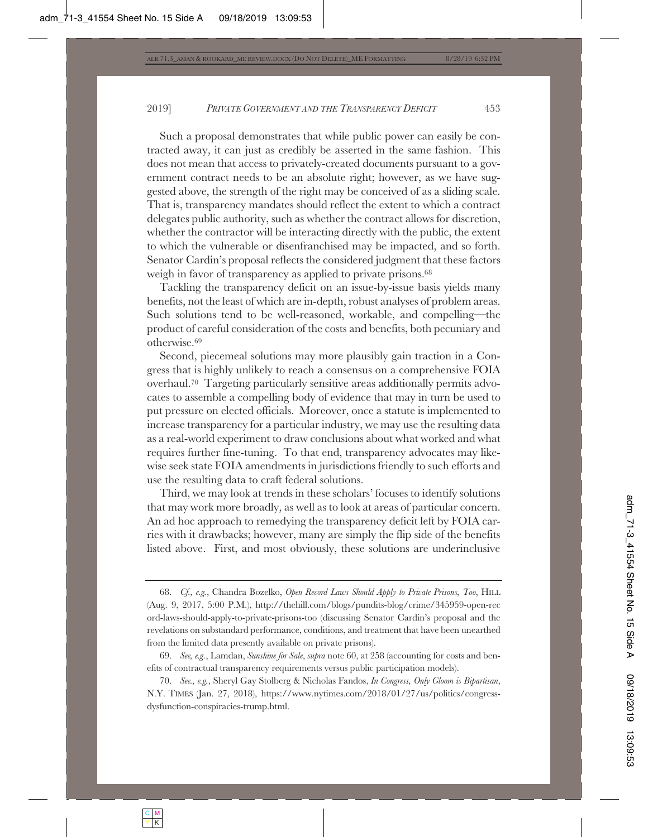Such a proposal demonstrates that while public power can easily be contracted away, it can just as credibly be asserted in the same fashion. This does not mean that access to privately-created documents pursuant to a government contract needs to be an absolute right; however, as we have suggested above, the strength of the right may be conceived of as a sliding scale. That is, transparency mandates should reflect the extent to which a contract delegates public authority, such as whether the contract allows for discretion, whether the contractor will be interacting directly with the public, the extent to which the vulnerable or disenfranchised may be impacted, and so forth. Senator Cardin's proposal reflects the considered judgment that these factors weigh in favor of transparency as applied to private prisons.<sup>68</sup>

Tackling the transparency deficit on an issue-by-issue basis yields many benefits, not the least of which are in-depth, robust analyses of problem areas. Such solutions tend to be well-reasoned, workable, and compelling—the product of careful consideration of the costs and benefits, both pecuniary and otherwise.69

Second, piecemeal solutions may more plausibly gain traction in a Congress that is highly unlikely to reach a consensus on a comprehensive FOIA overhaul.70 Targeting particularly sensitive areas additionally permits advocates to assemble a compelling body of evidence that may in turn be used to put pressure on elected officials. Moreover, once a statute is implemented to increase transparency for a particular industry, we may use the resulting data as a real-world experiment to draw conclusions about what worked and what requires further fine-tuning. To that end, transparency advocates may likewise seek state FOIA amendments in jurisdictions friendly to such efforts and use the resulting data to craft federal solutions.

Third, we may look at trends in these scholars' focuses to identify solutions that may work more broadly, as well as to look at areas of particular concern. An ad hoc approach to remedying the transparency deficit left by FOIA carries with it drawbacks; however, many are simply the flip side of the benefits listed above. First, and most obviously, these solutions are underinclusive

<sup>68.</sup> *Cf., e.g.*, Chandra Bozelko, *Open Record Laws Should Apply to Private Prisons, Too*, HILL (Aug. 9, 2017, 5:00 P.M.), http://thehill.com/blogs/pundits-blog/crime/345959-open-rec ord-laws-should-apply-to-private-prisons-too (discussing Senator Cardin's proposal and the revelations on substandard performance, conditions, and treatment that have been unearthed from the limited data presently available on private prisons).

<sup>69.</sup> *See, e.g.*, Lamdan, *Sunshine for Sale*, *supra* note 60, at 258 (accounting for costs and benefits of contractual transparency requirements versus public participation models).

<sup>70.</sup> *See., e.g.*, Sheryl Gay Stolberg & Nicholas Fandos, *In Congress, Only Gloom is Bipartisan*, N.Y. TIMES (Jan. 27, 2018), https://www.nytimes.com/2018/01/27/us/politics/congressdysfunction-conspiracies-trump.html.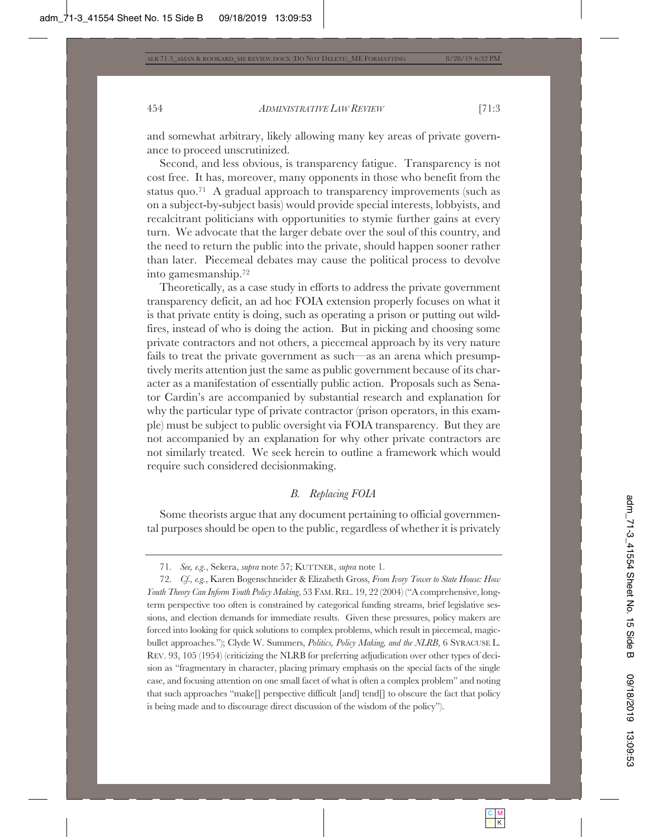and somewhat arbitrary, likely allowing many key areas of private governance to proceed unscrutinized.

Second, and less obvious, is transparency fatigue. Transparency is not cost free. It has, moreover, many opponents in those who benefit from the status quo.71 A gradual approach to transparency improvements (such as on a subject-by-subject basis) would provide special interests, lobbyists, and recalcitrant politicians with opportunities to stymie further gains at every turn. We advocate that the larger debate over the soul of this country, and the need to return the public into the private, should happen sooner rather than later. Piecemeal debates may cause the political process to devolve into gamesmanship.72

Theoretically, as a case study in efforts to address the private government transparency deficit, an ad hoc FOIA extension properly focuses on what it is that private entity is doing, such as operating a prison or putting out wildfires, instead of who is doing the action. But in picking and choosing some private contractors and not others, a piecemeal approach by its very nature fails to treat the private government as such—as an arena which presumptively merits attention just the same as public government because of its character as a manifestation of essentially public action. Proposals such as Senator Cardin's are accompanied by substantial research and explanation for why the particular type of private contractor (prison operators, in this example) must be subject to public oversight via FOIA transparency. But they are not accompanied by an explanation for why other private contractors are not similarly treated. We seek herein to outline a framework which would require such considered decisionmaking.

## *B. Replacing FOIA*

Some theorists argue that any document pertaining to official governmental purposes should be open to the public, regardless of whether it is privately

<sup>71.</sup> *See, e.g.*, Sekera, *supra* note 57; KUTTNER, *supra* note 1.

<sup>72.</sup> *Cf., e.g.*, Karen Bogenschneider & Elizabeth Gross, *From Ivory Tower to State House: How Youth Theory Can Inform Youth Policy Making*, 53 FAM. REL. 19, 22 (2004) ("A comprehensive, longterm perspective too often is constrained by categorical funding streams, brief legislative sessions, and election demands for immediate results. Given these pressures, policy makers are forced into looking for quick solutions to complex problems, which result in piecemeal, magicbullet approaches."); Clyde W. Summers, *Politics, Policy Making, and the NLRB*, 6 SYRACUSE L. REV. 93, 105 (1954) (criticizing the NLRB for preferring adjudication over other types of decision as "fragmentary in character, placing primary emphasis on the special facts of the single case, and focusing attention on one small facet of what is often a complex problem" and noting that such approaches "make[] perspective difficult [and] tend[] to obscure the fact that policy is being made and to discourage direct discussion of the wisdom of the policy").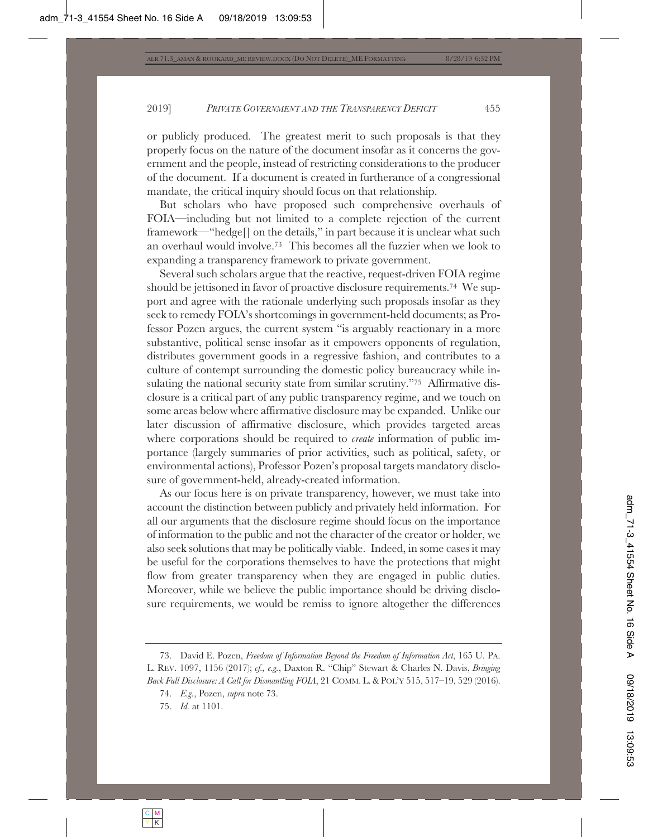or publicly produced. The greatest merit to such proposals is that they properly focus on the nature of the document insofar as it concerns the government and the people, instead of restricting considerations to the producer of the document. If a document is created in furtherance of a congressional mandate, the critical inquiry should focus on that relationship.

But scholars who have proposed such comprehensive overhauls of FOIA—including but not limited to a complete rejection of the current framework—"hedge[] on the details," in part because it is unclear what such an overhaul would involve.73 This becomes all the fuzzier when we look to expanding a transparency framework to private government.

Several such scholars argue that the reactive, request-driven FOIA regime should be jettisoned in favor of proactive disclosure requirements.74 We support and agree with the rationale underlying such proposals insofar as they seek to remedy FOIA's shortcomings in government-held documents; as Professor Pozen argues, the current system "is arguably reactionary in a more substantive, political sense insofar as it empowers opponents of regulation, distributes government goods in a regressive fashion, and contributes to a culture of contempt surrounding the domestic policy bureaucracy while insulating the national security state from similar scrutiny."75 Affirmative disclosure is a critical part of any public transparency regime, and we touch on some areas below where affirmative disclosure may be expanded. Unlike our later discussion of affirmative disclosure, which provides targeted areas where corporations should be required to *create* information of public importance (largely summaries of prior activities, such as political, safety, or environmental actions), Professor Pozen's proposal targets mandatory disclosure of government-held, already-created information.

As our focus here is on private transparency, however, we must take into account the distinction between publicly and privately held information. For all our arguments that the disclosure regime should focus on the importance of information to the public and not the character of the creator or holder, we also seek solutions that may be politically viable. Indeed, in some cases it may be useful for the corporations themselves to have the protections that might flow from greater transparency when they are engaged in public duties. Moreover, while we believe the public importance should be driving disclosure requirements, we would be remiss to ignore altogether the differences

<sup>73.</sup> David E. Pozen, *Freedom of Information Beyond the Freedom of Information Act*, 165 U. PA. L. REV. 1097, 1156 (2017); *cf., e.g.*, Daxton R. "Chip" Stewart & Charles N. Davis, *Bringing Back Full Disclosure: A Call for Dismantling FOIA*, 21 COMM. L. & POL'Y 515, 517–19, 529 (2016).

<sup>74.</sup> *E.g.*, Pozen, *supra* note 73.

<sup>75.</sup> *Id.* at 1101.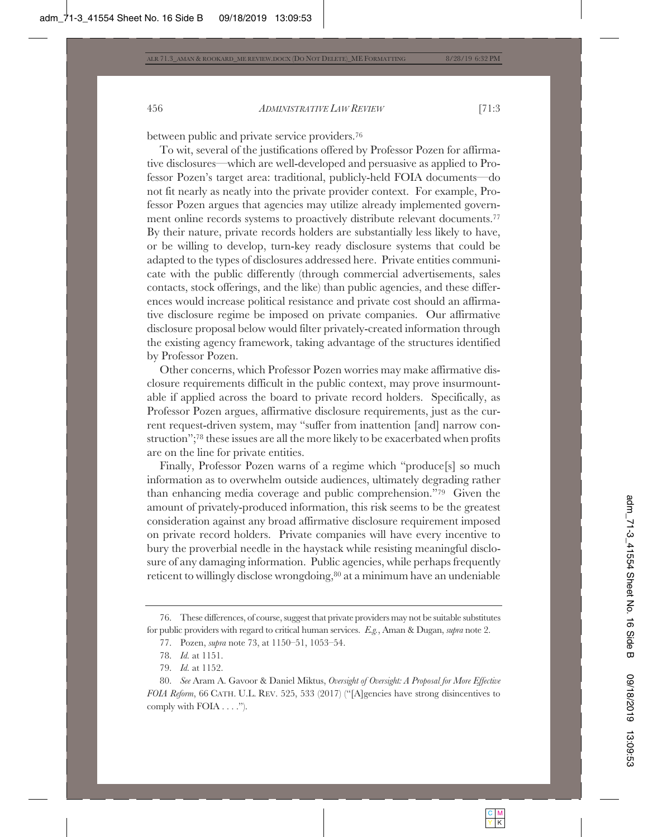between public and private service providers.76

To wit, several of the justifications offered by Professor Pozen for affirmative disclosures—which are well-developed and persuasive as applied to Professor Pozen's target area: traditional, publicly-held FOIA documents—do not fit nearly as neatly into the private provider context. For example, Professor Pozen argues that agencies may utilize already implemented government online records systems to proactively distribute relevant documents.<sup>77</sup> By their nature, private records holders are substantially less likely to have, or be willing to develop, turn-key ready disclosure systems that could be adapted to the types of disclosures addressed here. Private entities communicate with the public differently (through commercial advertisements, sales contacts, stock offerings, and the like) than public agencies, and these differences would increase political resistance and private cost should an affirmative disclosure regime be imposed on private companies. Our affirmative disclosure proposal below would filter privately-created information through the existing agency framework, taking advantage of the structures identified by Professor Pozen.

Other concerns, which Professor Pozen worries may make affirmative disclosure requirements difficult in the public context, may prove insurmountable if applied across the board to private record holders. Specifically, as Professor Pozen argues, affirmative disclosure requirements, just as the current request-driven system, may "suffer from inattention [and] narrow construction";78 these issues are all the more likely to be exacerbated when profits are on the line for private entities.

Finally, Professor Pozen warns of a regime which "produce[s] so much information as to overwhelm outside audiences, ultimately degrading rather than enhancing media coverage and public comprehension."79 Given the amount of privately-produced information, this risk seems to be the greatest consideration against any broad affirmative disclosure requirement imposed on private record holders. Private companies will have every incentive to bury the proverbial needle in the haystack while resisting meaningful disclosure of any damaging information. Public agencies, while perhaps frequently reticent to willingly disclose wrongdoing,<sup>80</sup> at a minimum have an undeniable

<sup>76.</sup> These differences, of course, suggest that private providers may not be suitable substitutes for public providers with regard to critical human services. *E.g.*, Aman & Dugan, *supra* note 2.

<sup>77.</sup> Pozen, *supra* note 73, at 1150–51, 1053–54.

<sup>78.</sup> *Id.* at 1151.

<sup>79.</sup> *Id.* at 1152.

<sup>80.</sup> *See* Aram A. Gavoor & Daniel Miktus, *Oversight of Oversight: A Proposal for More Effective FOIA Reform*, 66 CATH. U.L. REV. 525, 533 (2017) ("[A]gencies have strong disincentives to comply with FOIA . . . .").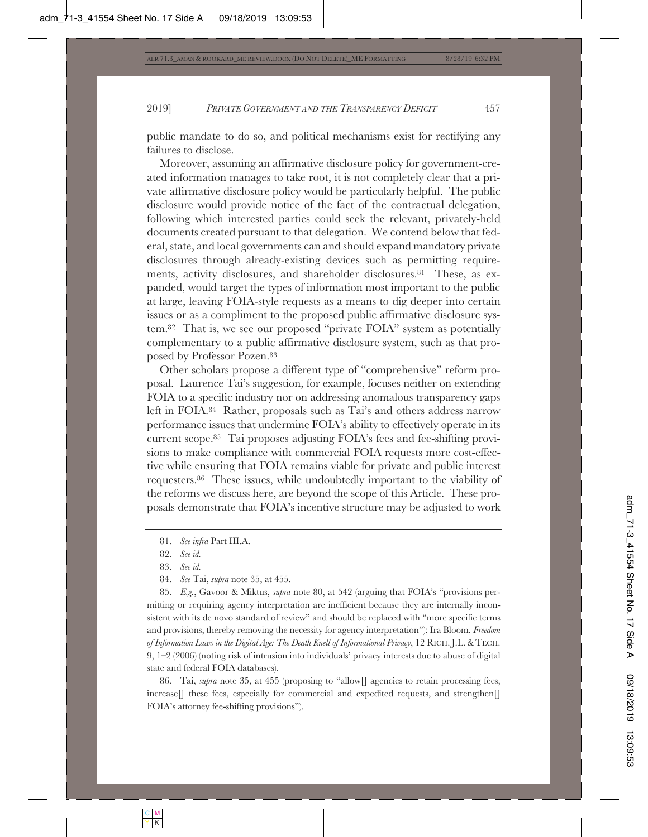public mandate to do so, and political mechanisms exist for rectifying any failures to disclose.

Moreover, assuming an affirmative disclosure policy for government-created information manages to take root, it is not completely clear that a private affirmative disclosure policy would be particularly helpful. The public disclosure would provide notice of the fact of the contractual delegation, following which interested parties could seek the relevant, privately-held documents created pursuant to that delegation. We contend below that federal, state, and local governments can and should expand mandatory private disclosures through already-existing devices such as permitting requirements, activity disclosures, and shareholder disclosures.<sup>81</sup> These, as expanded, would target the types of information most important to the public at large, leaving FOIA-style requests as a means to dig deeper into certain issues or as a compliment to the proposed public affirmative disclosure system.82 That is, we see our proposed "private FOIA" system as potentially complementary to a public affirmative disclosure system, such as that proposed by Professor Pozen.83

Other scholars propose a different type of "comprehensive" reform proposal. Laurence Tai's suggestion, for example, focuses neither on extending FOIA to a specific industry nor on addressing anomalous transparency gaps left in FOIA.84 Rather, proposals such as Tai's and others address narrow performance issues that undermine FOIA's ability to effectively operate in its current scope.85 Tai proposes adjusting FOIA's fees and fee-shifting provisions to make compliance with commercial FOIA requests more cost-effective while ensuring that FOIA remains viable for private and public interest requesters.86 These issues, while undoubtedly important to the viability of the reforms we discuss here, are beyond the scope of this Article. These proposals demonstrate that FOIA's incentive structure may be adjusted to work

84. *See* Tai, *supra* note 35, at 455.

85. *E.g.*, Gavoor & Miktus, *supra* note 80, at 542 (arguing that FOIA's "provisions permitting or requiring agency interpretation are inefficient because they are internally inconsistent with its de novo standard of review" and should be replaced with "more specific terms and provisions, thereby removing the necessity for agency interpretation"); Ira Bloom, *Freedom of Information Laws in the Digital Age: The Death Knell of Informational Privacy*, 12 RICH. J.L. & TECH. 9, 1–2 (2006) (noting risk of intrusion into individuals' privacy interests due to abuse of digital state and federal FOIA databases).

86. Tai, *supra* note 35, at 455 (proposing to "allow[] agencies to retain processing fees, increase<sup>[]</sup> these fees, especially for commercial and expedited requests, and strengthen<sup>[]</sup> FOIA's attorney fee-shifting provisions").

<sup>81.</sup> *See infra* Part III.A.

<sup>82.</sup> *See id.*

<sup>83.</sup> *See id.*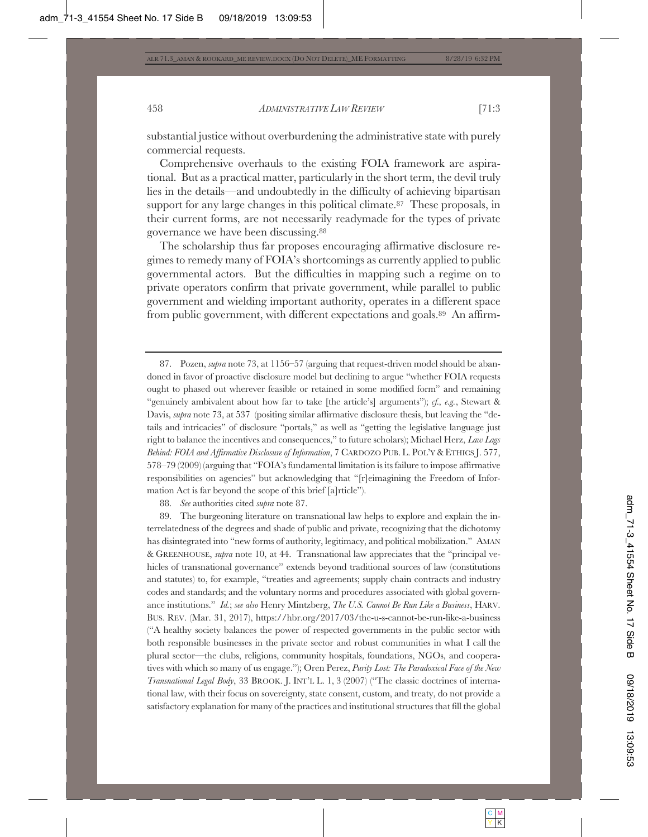substantial justice without overburdening the administrative state with purely commercial requests.

Comprehensive overhauls to the existing FOIA framework are aspirational. But as a practical matter, particularly in the short term, the devil truly lies in the details—and undoubtedly in the difficulty of achieving bipartisan support for any large changes in this political climate.<sup>87</sup> These proposals, in their current forms, are not necessarily readymade for the types of private governance we have been discussing.88

The scholarship thus far proposes encouraging affirmative disclosure regimes to remedy many of FOIA's shortcomings as currently applied to public governmental actors. But the difficulties in mapping such a regime on to private operators confirm that private government, while parallel to public government and wielding important authority, operates in a different space from public government, with different expectations and goals.89 An affirm-

88. *See* authorities cited *supra* note 87.

89. The burgeoning literature on transnational law helps to explore and explain the interrelatedness of the degrees and shade of public and private, recognizing that the dichotomy has disintegrated into "new forms of authority, legitimacy, and political mobilization." AMAN & GREENHOUSE, *supra* note 10, at 44. Transnational law appreciates that the "principal vehicles of transnational governance" extends beyond traditional sources of law (constitutions and statutes) to, for example, "treaties and agreements; supply chain contracts and industry codes and standards; and the voluntary norms and procedures associated with global governance institutions." *Id.*; *see also* Henry Mintzberg, *The U.S. Cannot Be Run Like a Business*, HARV. BUS. REV. (Mar. 31, 2017), https://hbr.org/2017/03/the-u-s-cannot-be-run-like-a-business ("A healthy society balances the power of respected governments in the public sector with both responsible businesses in the private sector and robust communities in what I call the plural sector—the clubs, religions, community hospitals, foundations, NGOs, and cooperatives with which so many of us engage."); Oren Perez, *Purity Lost: The Paradoxical Face of the New Transnational Legal Body*, 33 BROOK. J. INT'L L. 1, 3 (2007) ("The classic doctrines of international law, with their focus on sovereignty, state consent, custom, and treaty, do not provide a satisfactory explanation for many of the practices and institutional structures that fill the global

<sup>87.</sup> Pozen, *supra* note 73, at 1156–57 (arguing that request-driven model should be abandoned in favor of proactive disclosure model but declining to argue "whether FOIA requests ought to phased out wherever feasible or retained in some modified form" and remaining "genuinely ambivalent about how far to take [the article's] arguments"); *cf., e.g.*, Stewart & Davis, *supra* note 73, at 537 (positing similar affirmative disclosure thesis, but leaving the "details and intricacies" of disclosure "portals," as well as "getting the legislative language just right to balance the incentives and consequences," to future scholars); Michael Herz, *Law Lags Behind: FOIA and Affirmative Disclosure of Information*, 7 CARDOZO PUB. L. POL'Y& ETHICS J. 577, 578–79 (2009) (arguing that "FOIA's fundamental limitation is its failure to impose affirmative responsibilities on agencies" but acknowledging that "[r]eimagining the Freedom of Information Act is far beyond the scope of this brief [a]rticle").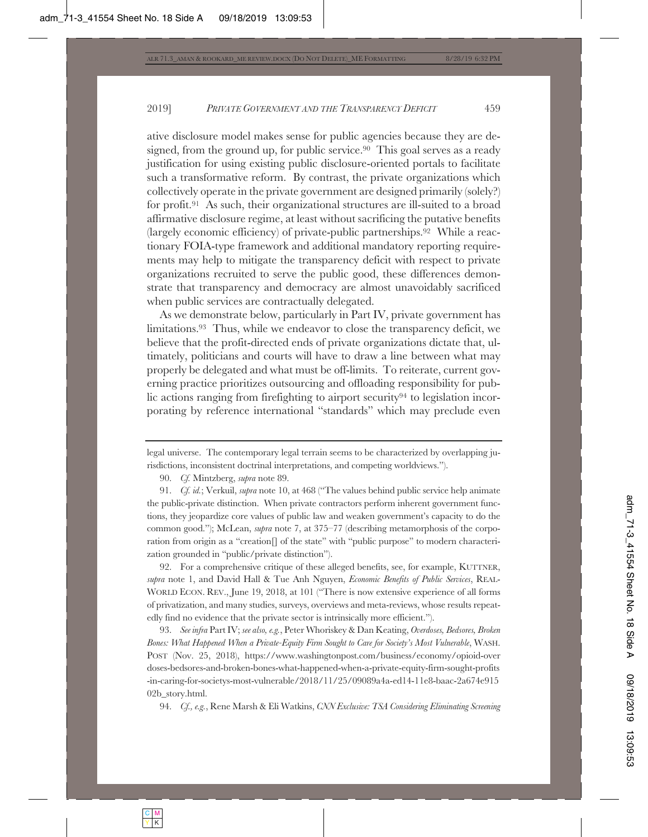ative disclosure model makes sense for public agencies because they are designed, from the ground up, for public service.<sup>90</sup> This goal serves as a ready justification for using existing public disclosure-oriented portals to facilitate such a transformative reform. By contrast, the private organizations which collectively operate in the private government are designed primarily (solely?) for profit.91 As such, their organizational structures are ill-suited to a broad affirmative disclosure regime, at least without sacrificing the putative benefits (largely economic efficiency) of private-public partnerships.92 While a reactionary FOIA-type framework and additional mandatory reporting requirements may help to mitigate the transparency deficit with respect to private organizations recruited to serve the public good, these differences demonstrate that transparency and democracy are almost unavoidably sacrificed when public services are contractually delegated.

As we demonstrate below, particularly in Part IV, private government has limitations.93 Thus, while we endeavor to close the transparency deficit, we believe that the profit-directed ends of private organizations dictate that, ultimately, politicians and courts will have to draw a line between what may properly be delegated and what must be off-limits. To reiterate, current governing practice prioritizes outsourcing and offloading responsibility for public actions ranging from firefighting to airport security<sup>94</sup> to legislation incorporating by reference international "standards" which may preclude even

92. For a comprehensive critique of these alleged benefits, see, for example, KUTTNER, *supra* note 1, and David Hall & Tue Anh Nguyen, *Economic Benefits of Public Services*, REAL-WORLD ECON. REV., June 19, 2018, at 101 ("There is now extensive experience of all forms of privatization, and many studies, surveys, overviews and meta-reviews, whose results repeatedly find no evidence that the private sector is intrinsically more efficient.").

93. *See infra* Part IV; *see also, e.g.*, Peter Whoriskey & Dan Keating, *Overdoses, Bedsores, Broken Bones: What Happened When a Private-Equity Firm Sought to Care for Society's Most Vulnerable*, WASH. POST (Nov. 25, 2018), https://www.washingtonpost.com/business/economy/opioid-over doses-bedsores-and-broken-bones-what-happened-when-a-private-equity-firm-sought-profits -in-caring-for-societys-most-vulnerable/2018/11/25/09089a4a-ed14-11e8-baac-2a674e915 02b story.html.

94. *Cf., e.g.*, Rene Marsh & Eli Watkins, *CNN Exclusive: TSA Considering Eliminating Screening* 

legal universe. The contemporary legal terrain seems to be characterized by overlapping jurisdictions, inconsistent doctrinal interpretations, and competing worldviews.").

<sup>90.</sup> *Cf.* Mintzberg, *supra* note 89.

<sup>91.</sup> *Cf. id.*; Verkuil, *supra* note 10, at 468 ("The values behind public service help animate the public-private distinction. When private contractors perform inherent government functions, they jeopardize core values of public law and weaken government's capacity to do the common good."); McLean, *supra* note 7, at 375–77 (describing metamorphosis of the corporation from origin as a "creation[] of the state" with "public purpose" to modern characterization grounded in "public/private distinction").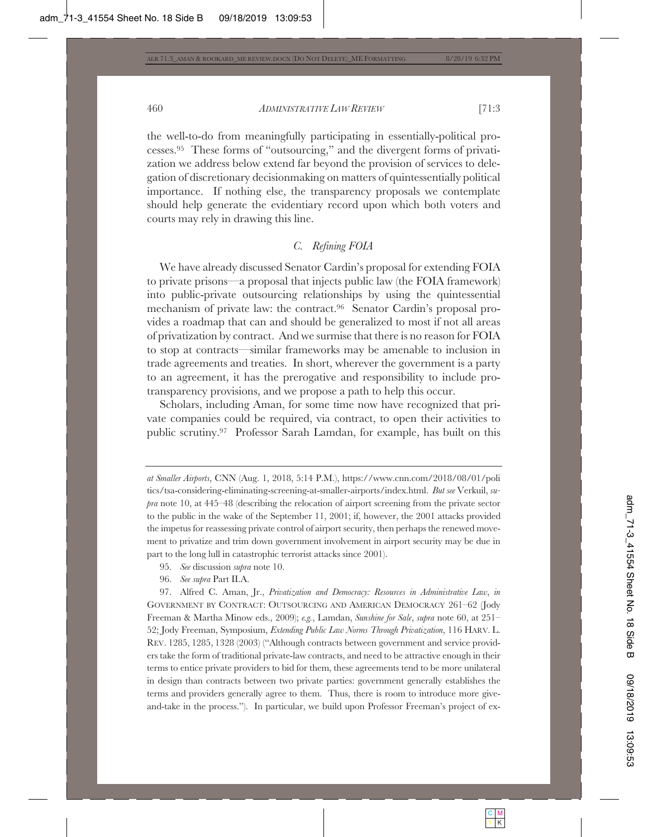the well-to-do from meaningfully participating in essentially-political processes.95 These forms of "outsourcing," and the divergent forms of privatization we address below extend far beyond the provision of services to delegation of discretionary decisionmaking on matters of quintessentially political importance. If nothing else, the transparency proposals we contemplate should help generate the evidentiary record upon which both voters and courts may rely in drawing this line.

# *C. Refining FOIA*

We have already discussed Senator Cardin's proposal for extending FOIA to private prisons—a proposal that injects public law (the FOIA framework) into public-private outsourcing relationships by using the quintessential mechanism of private law: the contract.96 Senator Cardin's proposal provides a roadmap that can and should be generalized to most if not all areas of privatization by contract. And we surmise that there is no reason for FOIA to stop at contracts—similar frameworks may be amenable to inclusion in trade agreements and treaties. In short, wherever the government is a party to an agreement, it has the prerogative and responsibility to include protransparency provisions, and we propose a path to help this occur.

Scholars, including Aman, for some time now have recognized that private companies could be required, via contract, to open their activities to public scrutiny.97 Professor Sarah Lamdan, for example, has built on this

- 95. *See* discussion *supra* note 10.
- 96. *See supra* Part II.A.

*at Smaller Airports*, CNN (Aug. 1, 2018, 5:14 P.M.), https://www.cnn.com/2018/08/01/poli tics/tsa-considering-eliminating-screening-at-smaller-airports/index.html. *But see* Verkuil, *supra* note 10, at 445–48 (describing the relocation of airport screening from the private sector to the public in the wake of the September 11, 2001; if, however, the 2001 attacks provided the impetus for reassessing private control of airport security, then perhaps the renewed movement to privatize and trim down government involvement in airport security may be due in part to the long lull in catastrophic terrorist attacks since 2001).

<sup>97.</sup> Alfred C. Aman, Jr., *Privatization and Democracy: Resources in Administrative Law*, *in* GOVERNMENT BY CONTRACT: OUTSOURCING AND AMERICAN DEMOCRACY 261–62 (Jody Freeman & Martha Minow eds., 2009); *e.g.*, Lamdan, *Sunshine for Sale*, *supra* note 60, at 251– 52; Jody Freeman, Symposium, *Extending Public Law Norms Through Privatization*, 116 HARV. L. REV. 1285, 1285, 1328 (2003) ("Although contracts between government and service providers take the form of traditional private-law contracts, and need to be attractive enough in their terms to entice private providers to bid for them, these agreements tend to be more unilateral in design than contracts between two private parties: government generally establishes the terms and providers generally agree to them. Thus, there is room to introduce more giveand-take in the process."). In particular, we build upon Professor Freeman's project of ex-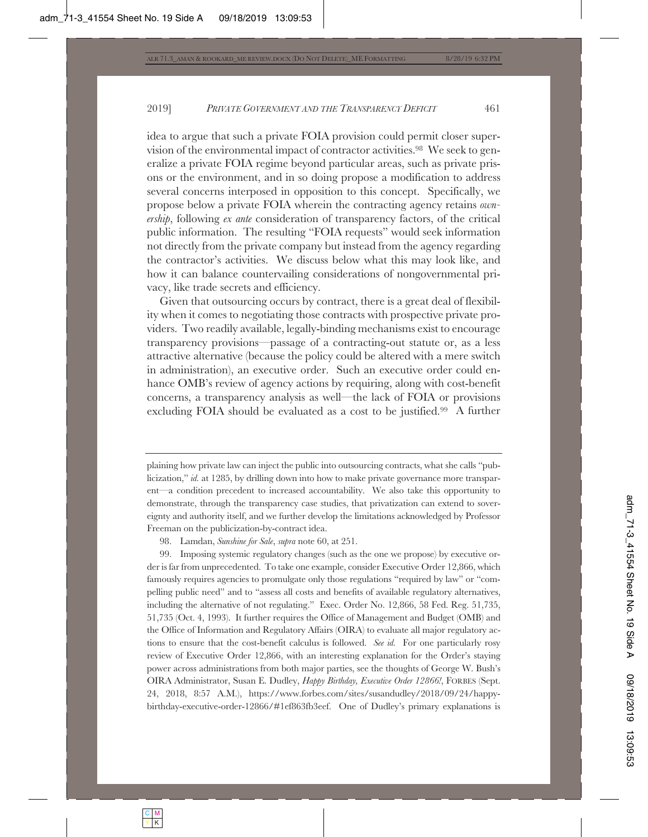idea to argue that such a private FOIA provision could permit closer supervision of the environmental impact of contractor activities.98 We seek to generalize a private FOIA regime beyond particular areas, such as private prisons or the environment, and in so doing propose a modification to address several concerns interposed in opposition to this concept. Specifically, we propose below a private FOIA wherein the contracting agency retains *ownership*, following *ex ante* consideration of transparency factors, of the critical public information. The resulting "FOIA requests" would seek information not directly from the private company but instead from the agency regarding the contractor's activities. We discuss below what this may look like, and how it can balance countervailing considerations of nongovernmental privacy, like trade secrets and efficiency.

Given that outsourcing occurs by contract, there is a great deal of flexibility when it comes to negotiating those contracts with prospective private providers. Two readily available, legally-binding mechanisms exist to encourage transparency provisions—passage of a contracting-out statute or, as a less attractive alternative (because the policy could be altered with a mere switch in administration), an executive order. Such an executive order could enhance OMB's review of agency actions by requiring, along with cost-benefit concerns, a transparency analysis as well—the lack of FOIA or provisions excluding FOIA should be evaluated as a cost to be justified.99 A further

plaining how private law can inject the public into outsourcing contracts, what she calls "publicization," *id.* at 1285, by drilling down into how to make private governance more transparent—a condition precedent to increased accountability. We also take this opportunity to demonstrate, through the transparency case studies, that privatization can extend to sovereignty and authority itself, and we further develop the limitations acknowledged by Professor Freeman on the publicization-by-contract idea.

98. Lamdan, *Sunshine for Sale*, *supra* note 60, at 251.

99. Imposing systemic regulatory changes (such as the one we propose) by executive order is far from unprecedented. To take one example, consider Executive Order 12,866, which famously requires agencies to promulgate only those regulations "required by law" or "compelling public need" and to "assess all costs and benefits of available regulatory alternatives, including the alternative of not regulating." Exec. Order No. 12,866, 58 Fed. Reg. 51,735, 51,735 (Oct. 4, 1993). It further requires the Office of Management and Budget (OMB) and the Office of Information and Regulatory Affairs (OIRA) to evaluate all major regulatory actions to ensure that the cost-benefit calculus is followed. *See id.* For one particularly rosy review of Executive Order 12,866, with an interesting explanation for the Order's staying power across administrations from both major parties, see the thoughts of George W. Bush's OIRA Administrator, Susan E. Dudley, *Happy Birthday, Executive Order 12866!*, FORBES (Sept. 24, 2018, 8:57 A.M.), https://www.forbes.com/sites/susandudley/2018/09/24/happybirthday-executive-order-12866/#1ef863fb3eef. One of Dudley's primary explanations is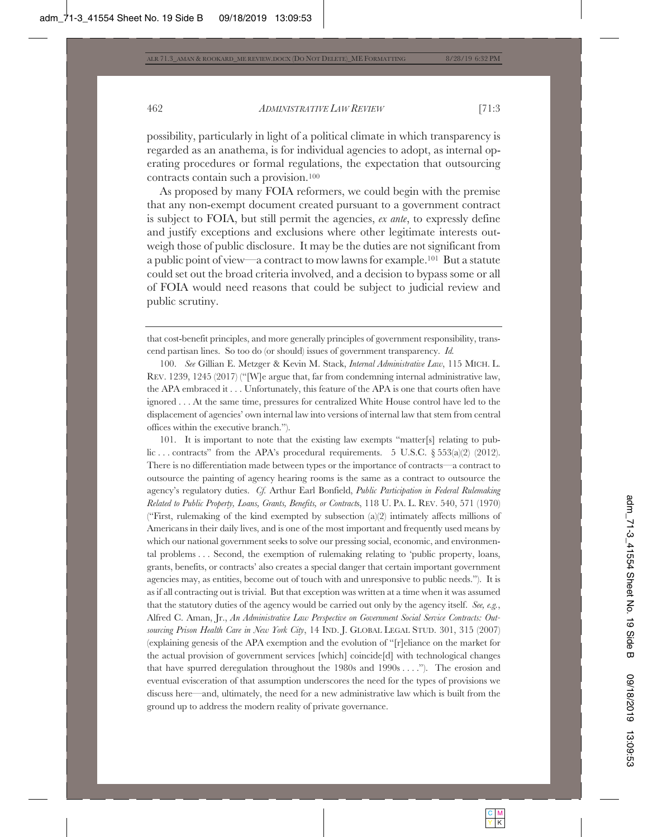possibility, particularly in light of a political climate in which transparency is regarded as an anathema, is for individual agencies to adopt, as internal operating procedures or formal regulations, the expectation that outsourcing contracts contain such a provision.100

As proposed by many FOIA reformers, we could begin with the premise that any non-exempt document created pursuant to a government contract is subject to FOIA, but still permit the agencies, *ex ante*, to expressly define and justify exceptions and exclusions where other legitimate interests outweigh those of public disclosure. It may be the duties are not significant from a public point of view—a contract to mow lawns for example.101 But a statute could set out the broad criteria involved, and a decision to bypass some or all of FOIA would need reasons that could be subject to judicial review and public scrutiny.

100. *See* Gillian E. Metzger & Kevin M. Stack, *Internal Administrative Law*, 115 MICH. L. REV. 1239, 1245 (2017) ("[W]e argue that, far from condemning internal administrative law, the APA embraced it . . . Unfortunately, this feature of the APA is one that courts often have ignored . . . At the same time, pressures for centralized White House control have led to the displacement of agencies' own internal law into versions of internal law that stem from central offices within the executive branch.").

101. It is important to note that the existing law exempts "matter[s] relating to public ... contracts" from the APA's procedural requirements. 5 U.S.C.  $\S 553(a)(2) (2012)$ . There is no differentiation made between types or the importance of contracts—a contract to outsource the painting of agency hearing rooms is the same as a contract to outsource the agency's regulatory duties. *Cf.* Arthur Earl Bonfield, *Public Participation in Federal Rulemaking Related to Public Property, Loans, Grants, Benefits, or Contract*s, 118 U. PA. L. REV. 540, 571 (1970) ("First, rulemaking of the kind exempted by subsection (a)(2) intimately affects millions of Americans in their daily lives, and is one of the most important and frequently used means by which our national government seeks to solve our pressing social, economic, and environmental problems . . . Second, the exemption of rulemaking relating to 'public property, loans, grants, benefits, or contracts' also creates a special danger that certain important government agencies may, as entities, become out of touch with and unresponsive to public needs."). It is as if all contracting out is trivial. But that exception was written at a time when it was assumed that the statutory duties of the agency would be carried out only by the agency itself. *See, e.g.*, Alfred C. Aman, Jr., *An Administrative Law Perspective on Government Social Service Contracts: Outsourcing Prison Health Care in New York City*, 14 IND. J. GLOBAL LEGAL STUD. 301, 315 (2007) (explaining genesis of the APA exemption and the evolution of "[r]eliance on the market for the actual provision of government services [which] coincide[d] with technological changes that have spurred deregulation throughout the  $1980s$  and  $1990s$ ...."). The erosion and eventual evisceration of that assumption underscores the need for the types of provisions we discuss here—and, ultimately, the need for a new administrative law which is built from the ground up to address the modern reality of private governance.

that cost-benefit principles, and more generally principles of government responsibility, transcend partisan lines. So too do (or should) issues of government transparency. *Id.*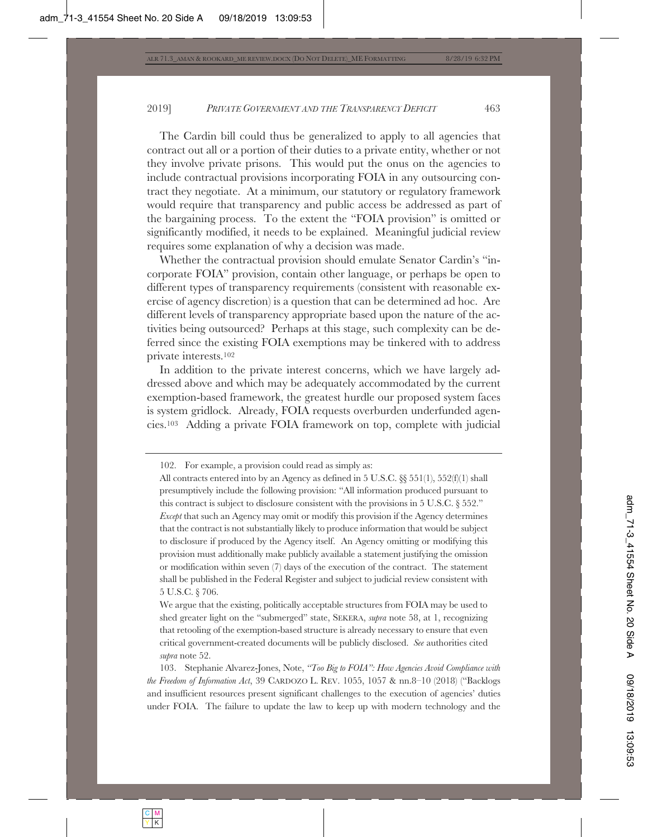The Cardin bill could thus be generalized to apply to all agencies that contract out all or a portion of their duties to a private entity, whether or not they involve private prisons. This would put the onus on the agencies to include contractual provisions incorporating FOIA in any outsourcing contract they negotiate. At a minimum, our statutory or regulatory framework would require that transparency and public access be addressed as part of the bargaining process. To the extent the "FOIA provision" is omitted or significantly modified, it needs to be explained. Meaningful judicial review requires some explanation of why a decision was made.

Whether the contractual provision should emulate Senator Cardin's "incorporate FOIA" provision, contain other language, or perhaps be open to different types of transparency requirements (consistent with reasonable exercise of agency discretion) is a question that can be determined ad hoc. Are different levels of transparency appropriate based upon the nature of the activities being outsourced? Perhaps at this stage, such complexity can be deferred since the existing FOIA exemptions may be tinkered with to address private interests.102

In addition to the private interest concerns, which we have largely addressed above and which may be adequately accommodated by the current exemption-based framework, the greatest hurdle our proposed system faces is system gridlock. Already, FOIA requests overburden underfunded agencies.103 Adding a private FOIA framework on top, complete with judicial

We argue that the existing, politically acceptable structures from FOIA may be used to shed greater light on the "submerged" state, SEKERA, *supra* note 58, at 1, recognizing that retooling of the exemption-based structure is already necessary to ensure that even critical government-created documents will be publicly disclosed. *See* authorities cited *supra* note 52.

103. Stephanie Alvarez-Jones, Note, *"Too Big to FOIA": How Agencies Avoid Compliance with the Freedom of Information Act*, 39 CARDOZO L. REV. 1055, 1057 & nn.8–10 (2018) ("Backlogs and insufficient resources present significant challenges to the execution of agencies' duties under FOIA. The failure to update the law to keep up with modern technology and the

<sup>102.</sup> For example, a provision could read as simply as:

All contracts entered into by an Agency as defined in 5 U.S.C.  $\&$  551(1), 552(f)(1) shall presumptively include the following provision: "All information produced pursuant to this contract is subject to disclosure consistent with the provisions in 5 U.S.C. § 552." *Except* that such an Agency may omit or modify this provision if the Agency determines that the contract is not substantially likely to produce information that would be subject to disclosure if produced by the Agency itself. An Agency omitting or modifying this provision must additionally make publicly available a statement justifying the omission or modification within seven (7) days of the execution of the contract. The statement shall be published in the Federal Register and subject to judicial review consistent with 5 U.S.C. § 706.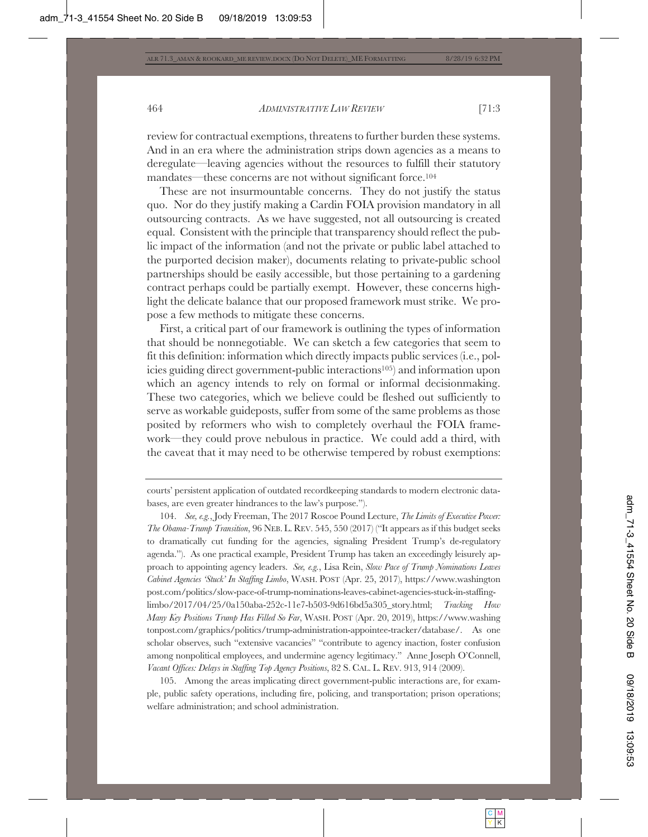review for contractual exemptions, threatens to further burden these systems. And in an era where the administration strips down agencies as a means to deregulate—leaving agencies without the resources to fulfill their statutory mandates—these concerns are not without significant force.<sup>104</sup>

These are not insurmountable concerns. They do not justify the status quo. Nor do they justify making a Cardin FOIA provision mandatory in all outsourcing contracts. As we have suggested, not all outsourcing is created equal. Consistent with the principle that transparency should reflect the public impact of the information (and not the private or public label attached to the purported decision maker), documents relating to private-public school partnerships should be easily accessible, but those pertaining to a gardening contract perhaps could be partially exempt. However, these concerns highlight the delicate balance that our proposed framework must strike. We propose a few methods to mitigate these concerns.

First, a critical part of our framework is outlining the types of information that should be nonnegotiable. We can sketch a few categories that seem to fit this definition: information which directly impacts public services (i.e., policies guiding direct government-public interactions105) and information upon which an agency intends to rely on formal or informal decisionmaking. These two categories, which we believe could be fleshed out sufficiently to serve as workable guideposts, suffer from some of the same problems as those posited by reformers who wish to completely overhaul the FOIA framework—they could prove nebulous in practice. We could add a third, with the caveat that it may need to be otherwise tempered by robust exemptions:

courts' persistent application of outdated recordkeeping standards to modern electronic databases, are even greater hindrances to the law's purpose.").

104. *See, e.g.*, Jody Freeman, The 2017 Roscoe Pound Lecture, *The Limits of Executive Power: The Obama-Trump Transition*, 96 NEB. L. REV. 545, 550 (2017) ("It appears as if this budget seeks to dramatically cut funding for the agencies, signaling President Trump's de-regulatory agenda."). As one practical example, President Trump has taken an exceedingly leisurely approach to appointing agency leaders. *See, e.g.*, Lisa Rein, *Slow Pace of Trump Nominations Leaves Cabinet Agencies 'Stuck' In Staffing Limbo*, WASH. POST (Apr. 25, 2017), https://www.washington post.com/politics/slow-pace-of-trump-nominations-leaves-cabinet-agencies-stuck-in-staffinglimbo/2017/04/25/0a150aba-252c-11e7-b503-9d616bd5a305\_story.html; *Tracking How Many Key Positions Trump Has Filled So Far*, WASH. POST (Apr. 20, 2019), https://www.washing tonpost.com/graphics/politics/trump-administration-appointee-tracker/database/. As one scholar observes, such "extensive vacancies" "contribute to agency inaction, foster confusion among nonpolitical employees, and undermine agency legitimacy." Anne Joseph O'Connell, *Vacant Offices: Delays in Staffing Top Agency Positions*, 82 S. CAL. L. REV. 913, 914 (2009).

105. Among the areas implicating direct government-public interactions are, for example, public safety operations, including fire, policing, and transportation; prison operations; welfare administration; and school administration.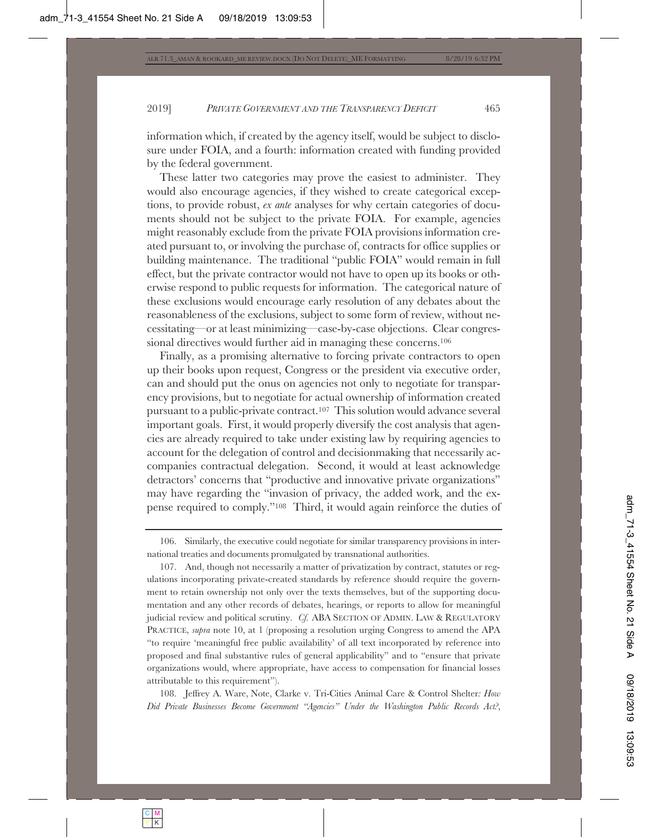information which, if created by the agency itself, would be subject to disclosure under FOIA, and a fourth: information created with funding provided by the federal government.

These latter two categories may prove the easiest to administer. They would also encourage agencies, if they wished to create categorical exceptions, to provide robust, *ex ante* analyses for why certain categories of documents should not be subject to the private FOIA. For example, agencies might reasonably exclude from the private FOIA provisions information created pursuant to, or involving the purchase of, contracts for office supplies or building maintenance. The traditional "public FOIA" would remain in full effect, but the private contractor would not have to open up its books or otherwise respond to public requests for information. The categorical nature of these exclusions would encourage early resolution of any debates about the reasonableness of the exclusions, subject to some form of review, without necessitating—or at least minimizing—case-by-case objections. Clear congressional directives would further aid in managing these concerns.106

Finally, as a promising alternative to forcing private contractors to open up their books upon request, Congress or the president via executive order, can and should put the onus on agencies not only to negotiate for transparency provisions, but to negotiate for actual ownership of information created pursuant to a public-private contract.107 This solution would advance several important goals. First, it would properly diversify the cost analysis that agencies are already required to take under existing law by requiring agencies to account for the delegation of control and decisionmaking that necessarily accompanies contractual delegation. Second, it would at least acknowledge detractors' concerns that "productive and innovative private organizations" may have regarding the "invasion of privacy, the added work, and the expense required to comply."108 Third, it would again reinforce the duties of

108. Jeffrey A. Ware, Note, Clarke v. Tri-Cities Animal Care & Control Shelter*: How Did Private Businesses Become Government "Agencies" Under the Washington Public Records Act?*,

<sup>106.</sup> Similarly, the executive could negotiate for similar transparency provisions in international treaties and documents promulgated by transnational authorities.

<sup>107.</sup> And, though not necessarily a matter of privatization by contract, statutes or regulations incorporating private-created standards by reference should require the government to retain ownership not only over the texts themselves, but of the supporting documentation and any other records of debates, hearings, or reports to allow for meaningful judicial review and political scrutiny. *Cf.* ABA SECTION OF ADMIN. LAW & REGULATORY PRACTICE, *supra* note 10, at 1 (proposing a resolution urging Congress to amend the APA "to require 'meaningful free public availability' of all text incorporated by reference into proposed and final substantive rules of general applicability" and to "ensure that private organizations would, where appropriate, have access to compensation for financial losses attributable to this requirement").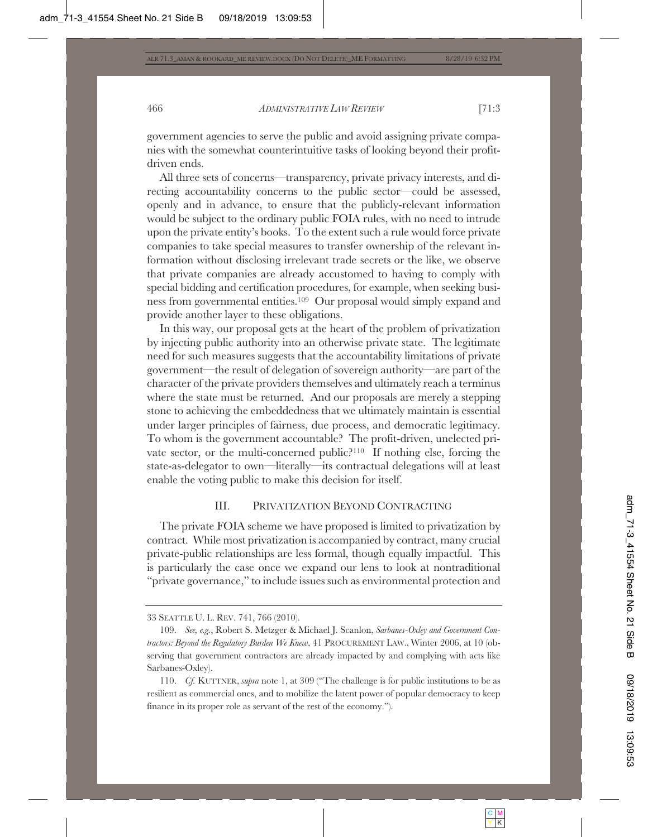government agencies to serve the public and avoid assigning private companies with the somewhat counterintuitive tasks of looking beyond their profitdriven ends.

All three sets of concerns—transparency, private privacy interests, and directing accountability concerns to the public sector—could be assessed, openly and in advance, to ensure that the publicly-relevant information would be subject to the ordinary public FOIA rules, with no need to intrude upon the private entity's books. To the extent such a rule would force private companies to take special measures to transfer ownership of the relevant information without disclosing irrelevant trade secrets or the like, we observe that private companies are already accustomed to having to comply with special bidding and certification procedures, for example, when seeking business from governmental entities.109 Our proposal would simply expand and provide another layer to these obligations.

In this way, our proposal gets at the heart of the problem of privatization by injecting public authority into an otherwise private state. The legitimate need for such measures suggests that the accountability limitations of private government—the result of delegation of sovereign authority—are part of the character of the private providers themselves and ultimately reach a terminus where the state must be returned. And our proposals are merely a stepping stone to achieving the embeddedness that we ultimately maintain is essential under larger principles of fairness, due process, and democratic legitimacy. To whom is the government accountable? The profit-driven, unelected private sector, or the multi-concerned public?110 If nothing else, forcing the state-as-delegator to own—literally—its contractual delegations will at least enable the voting public to make this decision for itself.

#### III. PRIVATIZATION BEYOND CONTRACTING

The private FOIA scheme we have proposed is limited to privatization by contract. While most privatization is accompanied by contract, many crucial private-public relationships are less formal, though equally impactful. This is particularly the case once we expand our lens to look at nontraditional "private governance," to include issues such as environmental protection and

<sup>33</sup> SEATTLE U. L. REV. 741, 766 (2010).

<sup>109.</sup> *See, e.g.*, Robert S. Metzger & Michael J. Scanlon, *Sarbanes-Oxley and Government Contractors: Beyond the Regulatory Burden We Knew*, 41 PROCUREMENT LAW., Winter 2006, at 10 (observing that government contractors are already impacted by and complying with acts like Sarbanes-Oxley).

<sup>110.</sup> *Cf.* KUTTNER, *supra* note 1, at 309 ("The challenge is for public institutions to be as resilient as commercial ones, and to mobilize the latent power of popular democracy to keep finance in its proper role as servant of the rest of the economy.").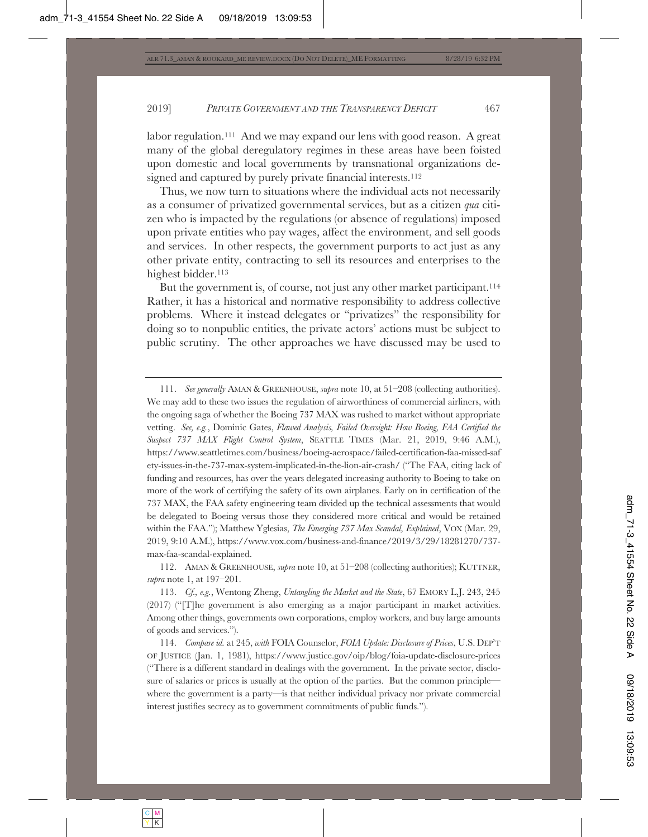labor regulation.<sup>111</sup> And we may expand our lens with good reason. A great many of the global deregulatory regimes in these areas have been foisted upon domestic and local governments by transnational organizations designed and captured by purely private financial interests.<sup>112</sup>

Thus, we now turn to situations where the individual acts not necessarily as a consumer of privatized governmental services, but as a citizen *qua* citizen who is impacted by the regulations (or absence of regulations) imposed upon private entities who pay wages, affect the environment, and sell goods and services. In other respects, the government purports to act just as any other private entity, contracting to sell its resources and enterprises to the highest bidder.<sup>113</sup>

But the government is, of course, not just any other market participant.<sup>114</sup> Rather, it has a historical and normative responsibility to address collective problems. Where it instead delegates or "privatizes" the responsibility for doing so to nonpublic entities, the private actors' actions must be subject to public scrutiny. The other approaches we have discussed may be used to

111. *See generally* AMAN & GREENHOUSE, *supra* note 10, at 51–208 (collecting authorities). We may add to these two issues the regulation of airworthiness of commercial airliners, with the ongoing saga of whether the Boeing 737 MAX was rushed to market without appropriate vetting. *See, e.g.*, Dominic Gates, *Flawed Analysis, Failed Oversight: How Boeing, FAA Certified the Suspect 737 MAX Flight Control System*, SEATTLE TIMES (Mar. 21, 2019, 9:46 A.M.), https://www.seattletimes.com/business/boeing-aerospace/failed-certification-faa-missed-saf ety-issues-in-the-737-max-system-implicated-in-the-lion-air-crash/ ("The FAA, citing lack of funding and resources, has over the years delegated increasing authority to Boeing to take on more of the work of certifying the safety of its own airplanes. Early on in certification of the 737 MAX, the FAA safety engineering team divided up the technical assessments that would be delegated to Boeing versus those they considered more critical and would be retained within the FAA."); Matthew Yglesias, *The Emerging 737 Max Scandal, Explained*, VOX (Mar. 29, 2019, 9:10 A.M.), https://www.vox.com/business-and-finance/2019/3/29/18281270/737 max-faa-scandal-explained.

112. AMAN & GREENHOUSE, *supra* note 10, at 51–208 (collecting authorities); KUTTNER, *supra* note 1, at 197–201.

113. *Cf., e.g.*, Wentong Zheng, *Untangling the Market and the State*, 67 EMORY L.J. 243, 245 (2017) ("[T]he government is also emerging as a major participant in market activities. Among other things, governments own corporations, employ workers, and buy large amounts of goods and services.").

114. *Compare id.* at 245, *with* FOIA Counselor, *FOIA Update: Disclosure of Prices*, U.S. DEP'T OF JUSTICE (Jan. 1, 1981), https://www.justice.gov/oip/blog/foia-update-disclosure-prices ("There is a different standard in dealings with the government. In the private sector, disclosure of salaries or prices is usually at the option of the parties. But the common principle where the government is a party—is that neither individual privacy nor private commercial interest justifies secrecy as to government commitments of public funds.").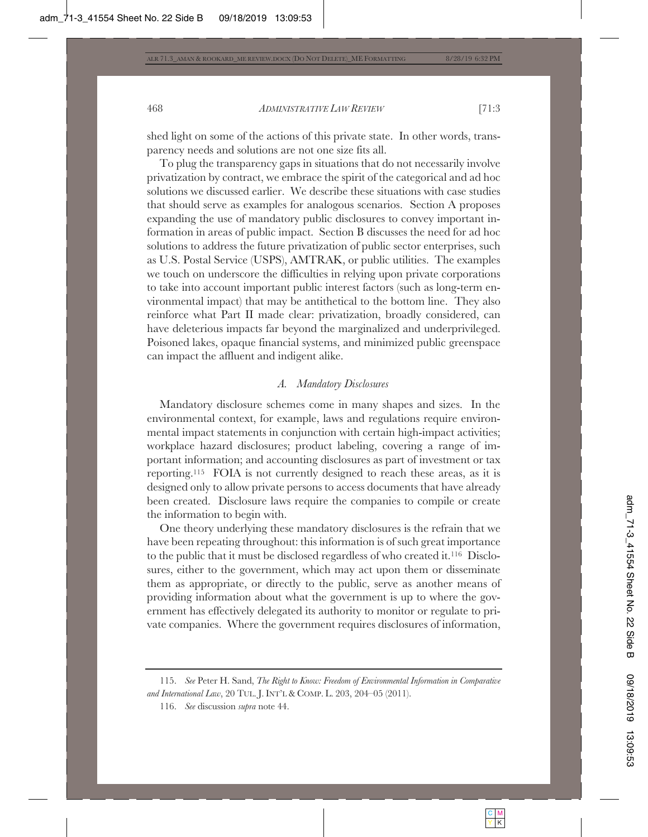shed light on some of the actions of this private state. In other words, transparency needs and solutions are not one size fits all.

To plug the transparency gaps in situations that do not necessarily involve privatization by contract, we embrace the spirit of the categorical and ad hoc solutions we discussed earlier. We describe these situations with case studies that should serve as examples for analogous scenarios. Section A proposes expanding the use of mandatory public disclosures to convey important information in areas of public impact. Section B discusses the need for ad hoc solutions to address the future privatization of public sector enterprises, such as U.S. Postal Service (USPS), AMTRAK, or public utilities. The examples we touch on underscore the difficulties in relying upon private corporations to take into account important public interest factors (such as long-term environmental impact) that may be antithetical to the bottom line. They also reinforce what Part II made clear: privatization, broadly considered, can have deleterious impacts far beyond the marginalized and underprivileged. Poisoned lakes, opaque financial systems, and minimized public greenspace can impact the affluent and indigent alike.

# *A. Mandatory Disclosures*

Mandatory disclosure schemes come in many shapes and sizes. In the environmental context, for example, laws and regulations require environmental impact statements in conjunction with certain high-impact activities; workplace hazard disclosures; product labeling, covering a range of important information; and accounting disclosures as part of investment or tax reporting.115 FOIA is not currently designed to reach these areas, as it is designed only to allow private persons to access documents that have already been created. Disclosure laws require the companies to compile or create the information to begin with.

One theory underlying these mandatory disclosures is the refrain that we have been repeating throughout: this information is of such great importance to the public that it must be disclosed regardless of who created it.116 Disclosures, either to the government, which may act upon them or disseminate them as appropriate, or directly to the public, serve as another means of providing information about what the government is up to where the government has effectively delegated its authority to monitor or regulate to private companies. Where the government requires disclosures of information,

<sup>115.</sup> *See* Peter H. Sand, *The Right to Know: Freedom of Environmental Information in Comparative and International Law*, 20 TUL. J. INT'L & COMP. L. 203, 204–05 (2011).

<sup>116.</sup> *See* discussion *supra* note 44.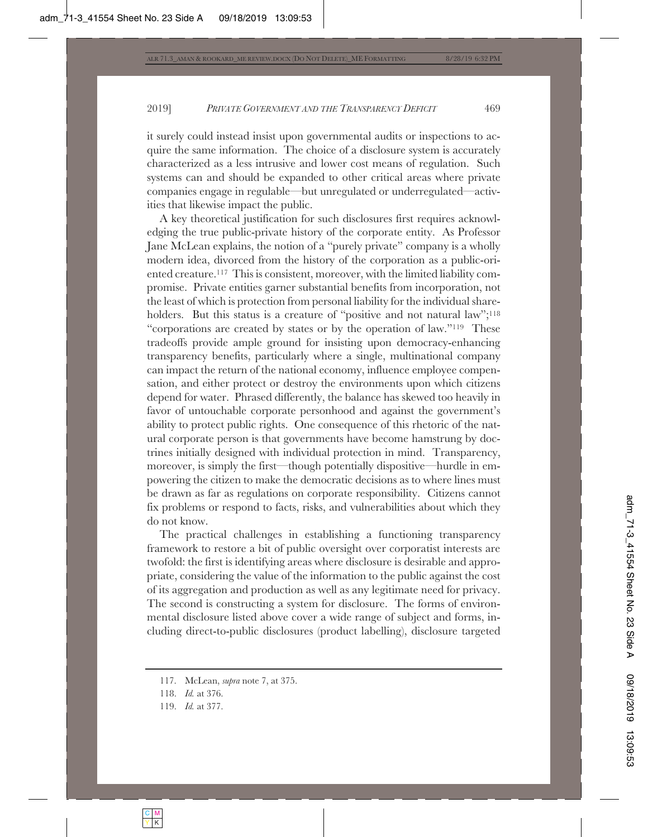it surely could instead insist upon governmental audits or inspections to acquire the same information. The choice of a disclosure system is accurately characterized as a less intrusive and lower cost means of regulation. Such systems can and should be expanded to other critical areas where private companies engage in regulable—but unregulated or underregulated—activities that likewise impact the public.

A key theoretical justification for such disclosures first requires acknowledging the true public-private history of the corporate entity. As Professor Jane McLean explains, the notion of a "purely private" company is a wholly modern idea, divorced from the history of the corporation as a public-oriented creature.117 This is consistent, moreover, with the limited liability compromise. Private entities garner substantial benefits from incorporation, not the least of which is protection from personal liability for the individual shareholders. But this status is a creature of "positive and not natural law";<sup>118</sup> "corporations are created by states or by the operation of law."119 These tradeoffs provide ample ground for insisting upon democracy-enhancing transparency benefits, particularly where a single, multinational company can impact the return of the national economy, influence employee compensation, and either protect or destroy the environments upon which citizens depend for water. Phrased differently, the balance has skewed too heavily in favor of untouchable corporate personhood and against the government's ability to protect public rights. One consequence of this rhetoric of the natural corporate person is that governments have become hamstrung by doctrines initially designed with individual protection in mind. Transparency, moreover, is simply the first—though potentially dispositive—hurdle in empowering the citizen to make the democratic decisions as to where lines must be drawn as far as regulations on corporate responsibility. Citizens cannot fix problems or respond to facts, risks, and vulnerabilities about which they do not know.

The practical challenges in establishing a functioning transparency framework to restore a bit of public oversight over corporatist interests are twofold: the first is identifying areas where disclosure is desirable and appropriate, considering the value of the information to the public against the cost of its aggregation and production as well as any legitimate need for privacy. The second is constructing a system for disclosure. The forms of environmental disclosure listed above cover a wide range of subject and forms, including direct-to-public disclosures (product labelling), disclosure targeted

<sup>117.</sup> McLean, *supra* note 7, at 375.

<sup>118.</sup> *Id.* at 376.

<sup>119.</sup> *Id.* at 377.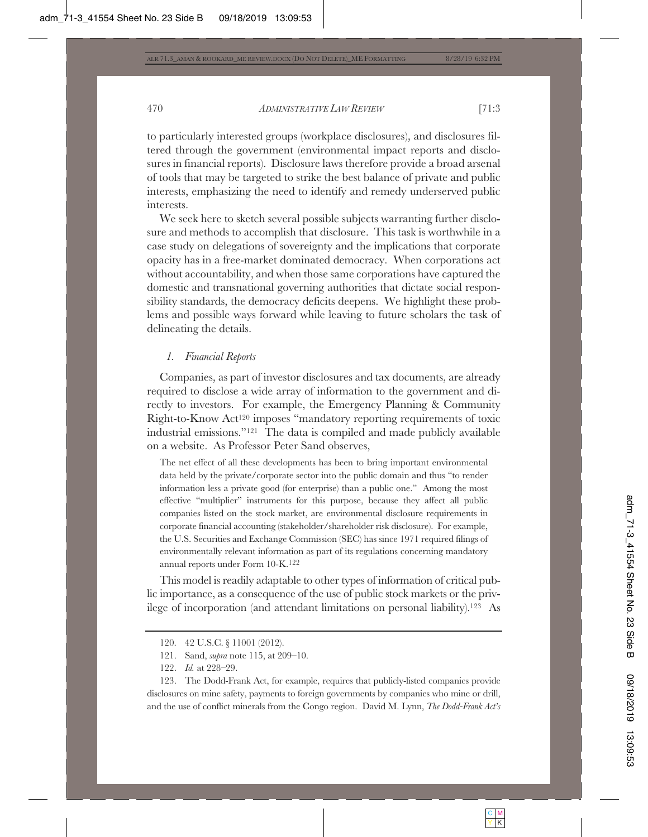to particularly interested groups (workplace disclosures), and disclosures filtered through the government (environmental impact reports and disclosures in financial reports). Disclosure laws therefore provide a broad arsenal of tools that may be targeted to strike the best balance of private and public interests, emphasizing the need to identify and remedy underserved public interests.

We seek here to sketch several possible subjects warranting further disclosure and methods to accomplish that disclosure. This task is worthwhile in a case study on delegations of sovereignty and the implications that corporate opacity has in a free-market dominated democracy. When corporations act without accountability, and when those same corporations have captured the domestic and transnational governing authorities that dictate social responsibility standards, the democracy deficits deepens. We highlight these problems and possible ways forward while leaving to future scholars the task of delineating the details.

#### *1. Financial Reports*

Companies, as part of investor disclosures and tax documents, are already required to disclose a wide array of information to the government and directly to investors. For example, the Emergency Planning & Community Right-to-Know Act120 imposes "mandatory reporting requirements of toxic industrial emissions."121 The data is compiled and made publicly available on a website. As Professor Peter Sand observes,

The net effect of all these developments has been to bring important environmental data held by the private/corporate sector into the public domain and thus "to render information less a private good (for enterprise) than a public one." Among the most effective "multiplier" instruments for this purpose, because they affect all public companies listed on the stock market, are environmental disclosure requirements in corporate financial accounting (stakeholder/shareholder risk disclosure). For example, the U.S. Securities and Exchange Commission (SEC) has since 1971 required filings of environmentally relevant information as part of its regulations concerning mandatory annual reports under Form 10-K.122

This model is readily adaptable to other types of information of critical public importance, as a consequence of the use of public stock markets or the privilege of incorporation (and attendant limitations on personal liability).123 As

123. The Dodd-Frank Act, for example, requires that publicly-listed companies provide disclosures on mine safety, payments to foreign governments by companies who mine or drill, and the use of conflict minerals from the Congo region. David M. Lynn, *The Dodd-Frank Act's* 

<sup>120. 42</sup> U.S.C. § 11001 (2012).

<sup>121.</sup> Sand, *supra* note 115, at 209–10.

<sup>122.</sup> *Id.* at 228–29.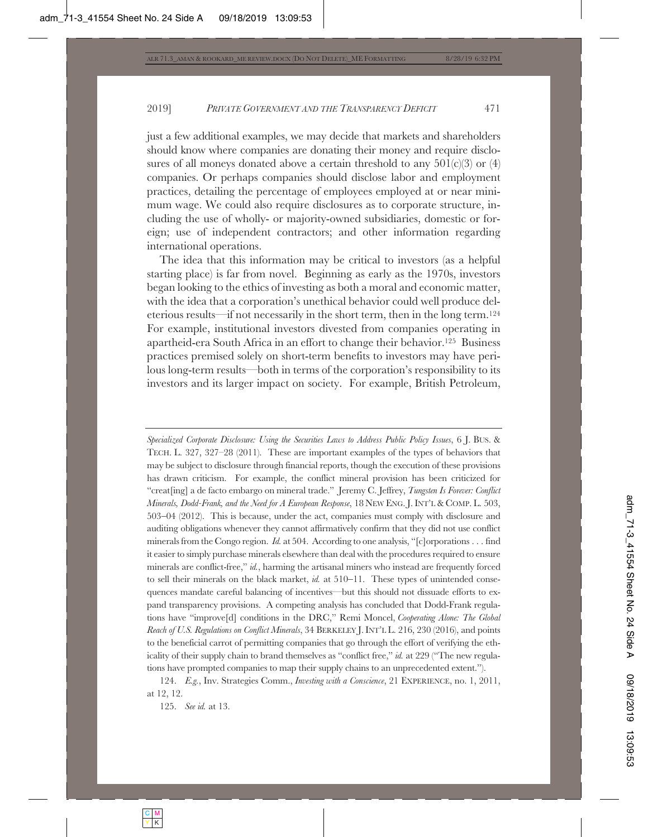just a few additional examples, we may decide that markets and shareholders should know where companies are donating their money and require disclosures of all moneys donated above a certain threshold to any  $501(c)(3)$  or  $(4)$ companies. Or perhaps companies should disclose labor and employment practices, detailing the percentage of employees employed at or near minimum wage. We could also require disclosures as to corporate structure, including the use of wholly- or majority-owned subsidiaries, domestic or foreign; use of independent contractors; and other information regarding international operations.

The idea that this information may be critical to investors (as a helpful starting place) is far from novel. Beginning as early as the 1970s, investors began looking to the ethics of investing as both a moral and economic matter, with the idea that a corporation's unethical behavior could well produce deleterious results—if not necessarily in the short term, then in the long term.124 For example, institutional investors divested from companies operating in apartheid-era South Africa in an effort to change their behavior.125 Business practices premised solely on short-term benefits to investors may have perilous long-term results—both in terms of the corporation's responsibility to its investors and its larger impact on society. For example, British Petroleum,

*Specialized Corporate Disclosure: Using the Securities Laws to Address Public Policy Issues*, 6 J. BUS. & TECH. L. 327, 327–28 (2011). These are important examples of the types of behaviors that may be subject to disclosure through financial reports, though the execution of these provisions has drawn criticism. For example, the conflict mineral provision has been criticized for "creat[ing] a de facto embargo on mineral trade." Jeremy C. Jeffrey, *Tungsten Is Forever: Conflict Minerals, Dodd-Frank, and the Need for A European Response*, 18 NEW ENG. J. INT'L & COMP. L. 503,  $503-04$   $(2012)$ . This is because, under the act, companies must comply with disclosure and auditing obligations whenever they cannot affirmatively confirm that they did not use conflict minerals from the Congo region. *Id.* at 504. According to one analysis, "[c]orporations . . . find it easier to simply purchase minerals elsewhere than deal with the procedures required to ensure minerals are conflict-free," *id.*, harming the artisanal miners who instead are frequently forced to sell their minerals on the black market,  $id$  at  $510-11$ . These types of unintended consequences mandate careful balancing of incentives—but this should not dissuade efforts to expand transparency provisions. A competing analysis has concluded that Dodd-Frank regulations have "improve[d] conditions in the DRC," Remi Moncel, *Cooperating Alone: The Global Reach of U.S. Regulations on Conflict Minerals*, 34 BERKELEY J. INT'L L. 216, 230 (2016), and points to the beneficial carrot of permitting companies that go through the effort of verifying the ethicality of their supply chain to brand themselves as "conflict free," *id.* at 229 ("The new regulations have prompted companies to map their supply chains to an unprecedented extent.").

124. *E.g.*, Inv. Strategies Comm., *Investing with a Conscience*, 21 EXPERIENCE, no. 1, 2011, at 12, 12.

125. *See id.* at 13.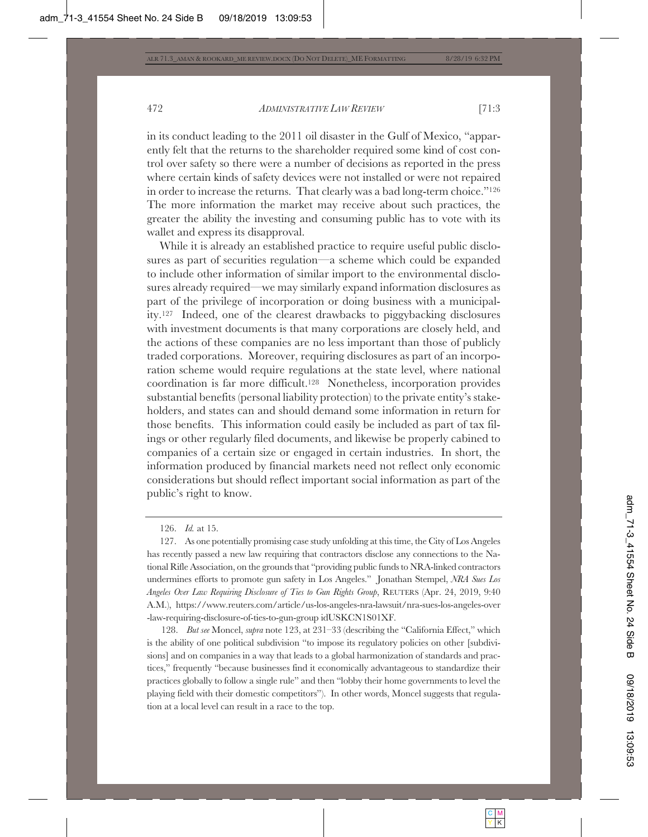in its conduct leading to the 2011 oil disaster in the Gulf of Mexico, "apparently felt that the returns to the shareholder required some kind of cost control over safety so there were a number of decisions as reported in the press where certain kinds of safety devices were not installed or were not repaired in order to increase the returns. That clearly was a bad long-term choice."126 The more information the market may receive about such practices, the greater the ability the investing and consuming public has to vote with its wallet and express its disapproval.

While it is already an established practice to require useful public disclosures as part of securities regulation—a scheme which could be expanded to include other information of similar import to the environmental disclosures already required—we may similarly expand information disclosures as part of the privilege of incorporation or doing business with a municipality.127 Indeed, one of the clearest drawbacks to piggybacking disclosures with investment documents is that many corporations are closely held, and the actions of these companies are no less important than those of publicly traded corporations. Moreover, requiring disclosures as part of an incorporation scheme would require regulations at the state level, where national coordination is far more difficult.128 Nonetheless, incorporation provides substantial benefits (personal liability protection) to the private entity's stakeholders, and states can and should demand some information in return for those benefits. This information could easily be included as part of tax filings or other regularly filed documents, and likewise be properly cabined to companies of a certain size or engaged in certain industries. In short, the information produced by financial markets need not reflect only economic considerations but should reflect important social information as part of the public's right to know.

 128. *But see* Moncel, *supra* note 123, at 231–33 (describing the "California Effect," which is the ability of one political subdivision "to impose its regulatory policies on other [subdivisions] and on companies in a way that leads to a global harmonization of standards and practices," frequently "because businesses find it economically advantageous to standardize their practices globally to follow a single rule" and then "lobby their home governments to level the playing field with their domestic competitors"). In other words, Moncel suggests that regulation at a local level can result in a race to the top.

<sup>126.</sup> *Id.* at 15.

<sup>127.</sup> As one potentially promising case study unfolding at this time, the City of Los Angeles has recently passed a new law requiring that contractors disclose any connections to the National Rifle Association, on the grounds that "providing public funds to NRA-linked contractors undermines efforts to promote gun safety in Los Angeles." Jonathan Stempel, *NRA Sues Los Angeles Over Law Requiring Disclosure of Ties to Gun Rights Group*, REUTERS (Apr. 24, 2019, 9:40 A.M.), https://www.reuters.com/article/us-los-angeles-nra-lawsuit/nra-sues-los-angeles-over -law-requiring-disclosure-of-ties-to-gun-group idUSKCN1S01XF.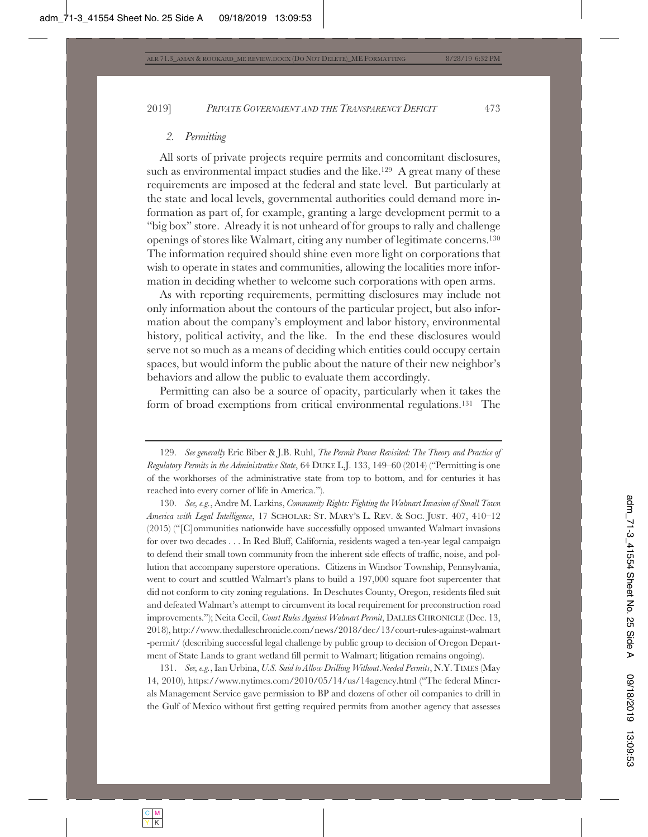# *2. Permitting*

All sorts of private projects require permits and concomitant disclosures, such as environmental impact studies and the like.<sup>129</sup> A great many of these requirements are imposed at the federal and state level. But particularly at the state and local levels, governmental authorities could demand more information as part of, for example, granting a large development permit to a "big box" store. Already it is not unheard of for groups to rally and challenge openings of stores like Walmart, citing any number of legitimate concerns.130 The information required should shine even more light on corporations that wish to operate in states and communities, allowing the localities more information in deciding whether to welcome such corporations with open arms.

As with reporting requirements, permitting disclosures may include not only information about the contours of the particular project, but also information about the company's employment and labor history, environmental history, political activity, and the like. In the end these disclosures would serve not so much as a means of deciding which entities could occupy certain spaces, but would inform the public about the nature of their new neighbor's behaviors and allow the public to evaluate them accordingly.

Permitting can also be a source of opacity, particularly when it takes the form of broad exemptions from critical environmental regulations.131 The

130. *See, e.g.*, Andre M. Larkins, *Community Rights: Fighting the Walmart Invasion of Small Town America with Legal Intelligence*, 17 SCHOLAR: ST. MARY'S L. REV.&SOC. JUST. 407, 410–12 (2015) ("[C]ommunities nationwide have successfully opposed unwanted Walmart invasions for over two decades . . . In Red Bluff, California, residents waged a ten-year legal campaign to defend their small town community from the inherent side effects of traffic, noise, and pollution that accompany superstore operations. Citizens in Windsor Township, Pennsylvania, went to court and scuttled Walmart's plans to build a 197,000 square foot supercenter that did not conform to city zoning regulations. In Deschutes County, Oregon, residents filed suit and defeated Walmart's attempt to circumvent its local requirement for preconstruction road improvements."); Neita Cecil, *Court Rules Against Walmart Permit*, DALLES CHRONICLE (Dec. 13, 2018), http://www.thedalleschronicle.com/news/2018/dec/13/court-rules-against-walmart -permit/ (describing successful legal challenge by public group to decision of Oregon Department of State Lands to grant wetland fill permit to Walmart; litigation remains ongoing).

131. *See, e.g.*, Ian Urbina, *U.S. Said to Allow Drilling Without Needed Permits*, N.Y.TIMES (May 14, 2010), https://www.nytimes.com/2010/05/14/us/14agency.html ("The federal Minerals Management Service gave permission to BP and dozens of other oil companies to drill in the Gulf of Mexico without first getting required permits from another agency that assesses

<sup>129.</sup> *See generally* Eric Biber & J.B. Ruhl, *The Permit Power Revisited: The Theory and Practice of Regulatory Permits in the Administrative State*, 64 DUKE L.J. 133, 149–60 (2014) ("Permitting is one of the workhorses of the administrative state from top to bottom, and for centuries it has reached into every corner of life in America.").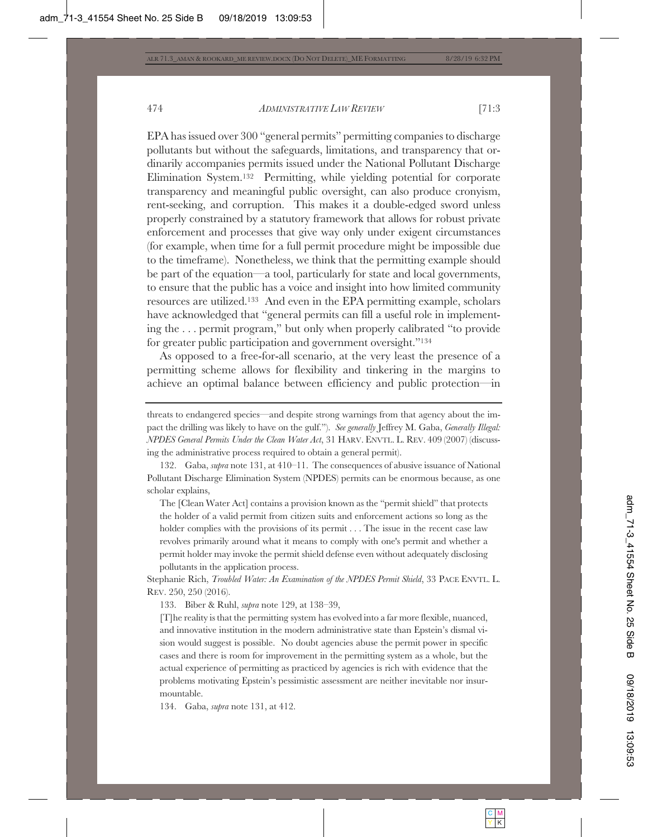EPA has issued over 300 "general permits" permitting companies to discharge pollutants but without the safeguards, limitations, and transparency that ordinarily accompanies permits issued under the National Pollutant Discharge Elimination System.132 Permitting, while yielding potential for corporate transparency and meaningful public oversight, can also produce cronyism, rent-seeking, and corruption. This makes it a double-edged sword unless properly constrained by a statutory framework that allows for robust private enforcement and processes that give way only under exigent circumstances (for example, when time for a full permit procedure might be impossible due to the timeframe). Nonetheless, we think that the permitting example should be part of the equation—a tool, particularly for state and local governments, to ensure that the public has a voice and insight into how limited community resources are utilized.133 And even in the EPA permitting example, scholars have acknowledged that "general permits can fill a useful role in implementing the . . . permit program," but only when properly calibrated "to provide for greater public participation and government oversight."134

As opposed to a free-for-all scenario, at the very least the presence of a permitting scheme allows for flexibility and tinkering in the margins to achieve an optimal balance between efficiency and public protection—in

132. Gaba, *supra* note 131, at 410–11. The consequences of abusive issuance of National Pollutant Discharge Elimination System (NPDES) permits can be enormous because, as one scholar explains,

The [Clean Water Act] contains a provision known as the "permit shield" that protects the holder of a valid permit from citizen suits and enforcement actions so long as the holder complies with the provisions of its permit . . . The issue in the recent case law revolves primarily around what it means to comply with one's permit and whether a permit holder may invoke the permit shield defense even without adequately disclosing pollutants in the application process.

Stephanie Rich, *Troubled Water: An Examination of the NPDES Permit Shield*, 33 PACE ENVTL. L. REV. 250, 250 (2016).

133. Biber & Ruhl, *supra* note 129, at 138–39,

[T]he reality is that the permitting system has evolved into a far more flexible, nuanced, and innovative institution in the modern administrative state than Epstein's dismal vision would suggest is possible. No doubt agencies abuse the permit power in specific cases and there is room for improvement in the permitting system as a whole, but the actual experience of permitting as practiced by agencies is rich with evidence that the problems motivating Epstein's pessimistic assessment are neither inevitable nor insurmountable.

134. Gaba, *supra* note 131, at 412.

threats to endangered species—and despite strong warnings from that agency about the impact the drilling was likely to have on the gulf."). *See generally* Jeffrey M. Gaba, *Generally Illegal: NPDES General Permits Under the Clean Water Act*, 31 HARV. ENVTL. L. REV. 409 (2007) (discussing the administrative process required to obtain a general permit).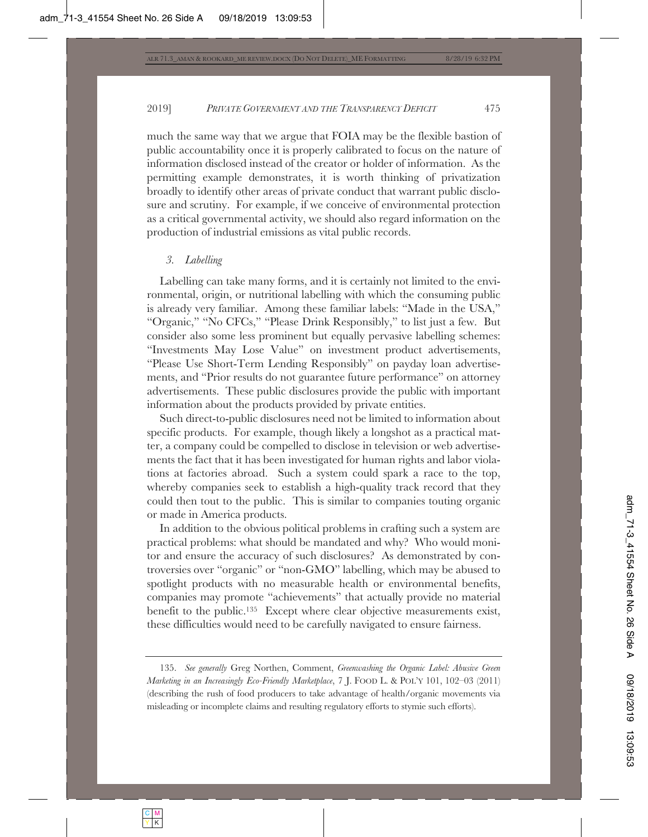much the same way that we argue that FOIA may be the flexible bastion of public accountability once it is properly calibrated to focus on the nature of information disclosed instead of the creator or holder of information. As the permitting example demonstrates, it is worth thinking of privatization broadly to identify other areas of private conduct that warrant public disclosure and scrutiny. For example, if we conceive of environmental protection as a critical governmental activity, we should also regard information on the production of industrial emissions as vital public records.

# *3. Labelling*

Labelling can take many forms, and it is certainly not limited to the environmental, origin, or nutritional labelling with which the consuming public is already very familiar. Among these familiar labels: "Made in the USA," "Organic," "No CFCs," "Please Drink Responsibly," to list just a few. But consider also some less prominent but equally pervasive labelling schemes: "Investments May Lose Value" on investment product advertisements, "Please Use Short-Term Lending Responsibly" on payday loan advertisements, and "Prior results do not guarantee future performance" on attorney advertisements. These public disclosures provide the public with important information about the products provided by private entities.

Such direct-to-public disclosures need not be limited to information about specific products. For example, though likely a longshot as a practical matter, a company could be compelled to disclose in television or web advertisements the fact that it has been investigated for human rights and labor violations at factories abroad. Such a system could spark a race to the top, whereby companies seek to establish a high-quality track record that they could then tout to the public. This is similar to companies touting organic or made in America products.

In addition to the obvious political problems in crafting such a system are practical problems: what should be mandated and why? Who would monitor and ensure the accuracy of such disclosures? As demonstrated by controversies over "organic" or "non-GMO" labelling, which may be abused to spotlight products with no measurable health or environmental benefits, companies may promote "achievements" that actually provide no material benefit to the public.135 Except where clear objective measurements exist, these difficulties would need to be carefully navigated to ensure fairness.

<sup>135.</sup> *See generally* Greg Northen, Comment, *Greenwashing the Organic Label: Abusive Green Marketing in an Increasingly Eco-Friendly Marketplace*, 7 J. FOOD L. & POL'Y 101, 102–03 (2011) (describing the rush of food producers to take advantage of health/organic movements via misleading or incomplete claims and resulting regulatory efforts to stymie such efforts).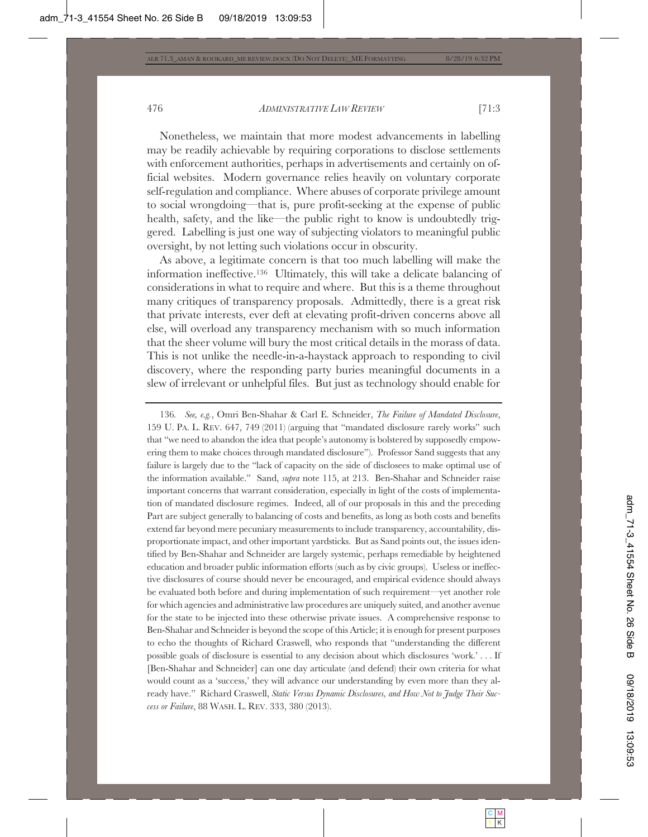Nonetheless, we maintain that more modest advancements in labelling may be readily achievable by requiring corporations to disclose settlements with enforcement authorities, perhaps in advertisements and certainly on official websites. Modern governance relies heavily on voluntary corporate self-regulation and compliance. Where abuses of corporate privilege amount to social wrongdoing—that is, pure profit-seeking at the expense of public health, safety, and the like—the public right to know is undoubtedly triggered. Labelling is just one way of subjecting violators to meaningful public oversight, by not letting such violations occur in obscurity.

As above, a legitimate concern is that too much labelling will make the information ineffective.136 Ultimately, this will take a delicate balancing of considerations in what to require and where. But this is a theme throughout many critiques of transparency proposals. Admittedly, there is a great risk that private interests, ever deft at elevating profit-driven concerns above all else, will overload any transparency mechanism with so much information that the sheer volume will bury the most critical details in the morass of data. This is not unlike the needle-in-a-haystack approach to responding to civil discovery, where the responding party buries meaningful documents in a slew of irrelevant or unhelpful files. But just as technology should enable for

136*. See, e.g.*, Omri Ben-Shahar & Carl E. Schneider, *The Failure of Mandated Disclosure*, 159 U. PA. L. REV. 647, 749 (2011) (arguing that "mandated disclosure rarely works" such that "we need to abandon the idea that people's autonomy is bolstered by supposedly empowering them to make choices through mandated disclosure"). Professor Sand suggests that any failure is largely due to the "lack of capacity on the side of disclosees to make optimal use of the information available." Sand, *supra* note 115, at 213. Ben-Shahar and Schneider raise important concerns that warrant consideration, especially in light of the costs of implementation of mandated disclosure regimes. Indeed, all of our proposals in this and the preceding Part are subject generally to balancing of costs and benefits, as long as both costs and benefits extend far beyond mere pecuniary measurements to include transparency, accountability, disproportionate impact, and other important yardsticks. But as Sand points out, the issues identified by Ben-Shahar and Schneider are largely systemic, perhaps remediable by heightened education and broader public information efforts (such as by civic groups). Useless or ineffective disclosures of course should never be encouraged, and empirical evidence should always be evaluated both before and during implementation of such requirement—yet another role for which agencies and administrative law procedures are uniquely suited, and another avenue for the state to be injected into these otherwise private issues. A comprehensive response to Ben-Shahar and Schneider is beyond the scope of this Article; it is enough for present purposes to echo the thoughts of Richard Craswell, who responds that "understanding the different possible goals of disclosure is essential to any decision about which disclosures 'work.' . . . If [Ben-Shahar and Schneider] can one day articulate (and defend) their own criteria for what would count as a 'success,' they will advance our understanding by even more than they already have." Richard Craswell, *Static Versus Dynamic Disclosures, and How Not to Judge Their Success or Failure*, 88 WASH. L. REV. 333, 380 (2013).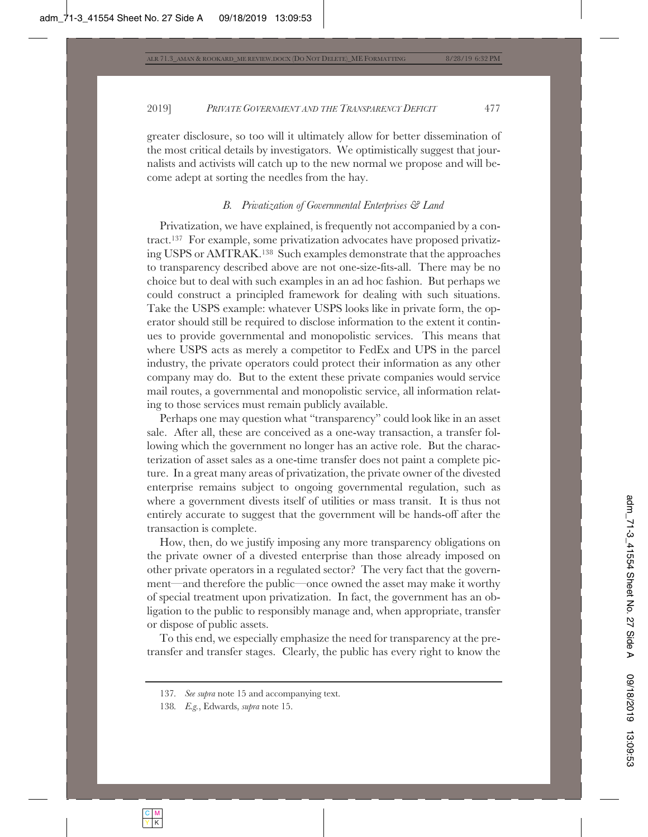greater disclosure, so too will it ultimately allow for better dissemination of the most critical details by investigators. We optimistically suggest that journalists and activists will catch up to the new normal we propose and will become adept at sorting the needles from the hay.

# *B. Privatization of Governmental Enterprises & Land*

Privatization, we have explained, is frequently not accompanied by a contract.137 For example, some privatization advocates have proposed privatizing USPS or AMTRAK.138 Such examples demonstrate that the approaches to transparency described above are not one-size-fits-all. There may be no choice but to deal with such examples in an ad hoc fashion. But perhaps we could construct a principled framework for dealing with such situations. Take the USPS example: whatever USPS looks like in private form, the operator should still be required to disclose information to the extent it continues to provide governmental and monopolistic services. This means that where USPS acts as merely a competitor to FedEx and UPS in the parcel industry, the private operators could protect their information as any other company may do. But to the extent these private companies would service mail routes, a governmental and monopolistic service, all information relating to those services must remain publicly available.

Perhaps one may question what "transparency" could look like in an asset sale. After all, these are conceived as a one-way transaction, a transfer following which the government no longer has an active role. But the characterization of asset sales as a one-time transfer does not paint a complete picture. In a great many areas of privatization, the private owner of the divested enterprise remains subject to ongoing governmental regulation, such as where a government divests itself of utilities or mass transit. It is thus not entirely accurate to suggest that the government will be hands-off after the transaction is complete.

How, then, do we justify imposing any more transparency obligations on the private owner of a divested enterprise than those already imposed on other private operators in a regulated sector? The very fact that the government—and therefore the public—once owned the asset may make it worthy of special treatment upon privatization. In fact, the government has an obligation to the public to responsibly manage and, when appropriate, transfer or dispose of public assets.

To this end, we especially emphasize the need for transparency at the pretransfer and transfer stages. Clearly, the public has every right to know the

<sup>137</sup>*. See supra* note 15 and accompanying text.

<sup>138</sup>*. E.g.*, Edwards, *supra* note 15.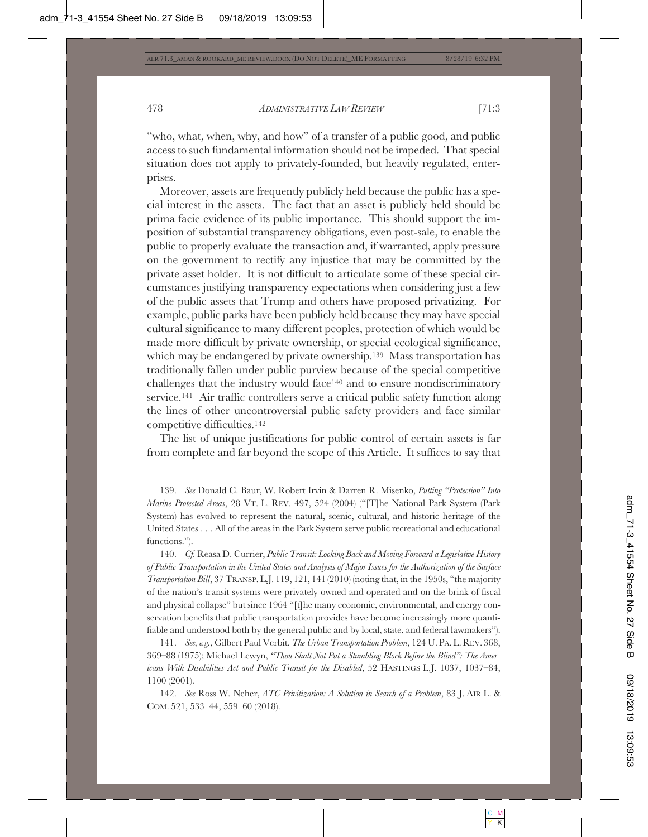"who, what, when, why, and how" of a transfer of a public good, and public access to such fundamental information should not be impeded. That special situation does not apply to privately-founded, but heavily regulated, enterprises.

Moreover, assets are frequently publicly held because the public has a special interest in the assets. The fact that an asset is publicly held should be prima facie evidence of its public importance. This should support the imposition of substantial transparency obligations, even post-sale, to enable the public to properly evaluate the transaction and, if warranted, apply pressure on the government to rectify any injustice that may be committed by the private asset holder. It is not difficult to articulate some of these special circumstances justifying transparency expectations when considering just a few of the public assets that Trump and others have proposed privatizing. For example, public parks have been publicly held because they may have special cultural significance to many different peoples, protection of which would be made more difficult by private ownership, or special ecological significance, which may be endangered by private ownership.<sup>139</sup> Mass transportation has traditionally fallen under public purview because of the special competitive challenges that the industry would face140 and to ensure nondiscriminatory service.141 Air traffic controllers serve a critical public safety function along the lines of other uncontroversial public safety providers and face similar competitive difficulties.142

The list of unique justifications for public control of certain assets is far from complete and far beyond the scope of this Article. It suffices to say that

141. *See, e.g.*, Gilbert Paul Verbit, *The Urban Transportation Problem*, 124 U. PA. L. REV. 368, 369–88 (1975); Michael Lewyn, *"Thou Shalt Not Put a Stumbling Block Before the Blind": The Americans With Disabilities Act and Public Transit for the Disabled*, 52 HASTINGS L.J. 1037, 1037–84, 1100 (2001).

142. *See* Ross W. Neher, *ATC Privitization: A Solution in Search of a Problem*, 83 J. AIR L. & COM. 521, 533–44, 559–60 (2018).

<sup>139.</sup> *See* Donald C. Baur, W. Robert Irvin & Darren R. Misenko, *Putting "Protection" Into Marine Protected Areas*, 28 VT. L. REV. 497, 524 (2004) ("[T]he National Park System (Park System) has evolved to represent the natural, scenic, cultural, and historic heritage of the United States . . . All of the areas in the Park System serve public recreational and educational functions.").

<sup>140.</sup> *Cf.* Reasa D. Currier, *Public Transit: Looking Back and Moving Forward a Legislative History of Public Transportation in the United States and Analysis of Major Issues for the Authorization of the Surface Transportation Bill*, 37 TRANSP. L.J. 119, 121, 141 (2010) (noting that, in the 1950s, "the majority of the nation's transit systems were privately owned and operated and on the brink of fiscal and physical collapse" but since 1964 "[t]he many economic, environmental, and energy conservation benefits that public transportation provides have become increasingly more quantifiable and understood both by the general public and by local, state, and federal lawmakers").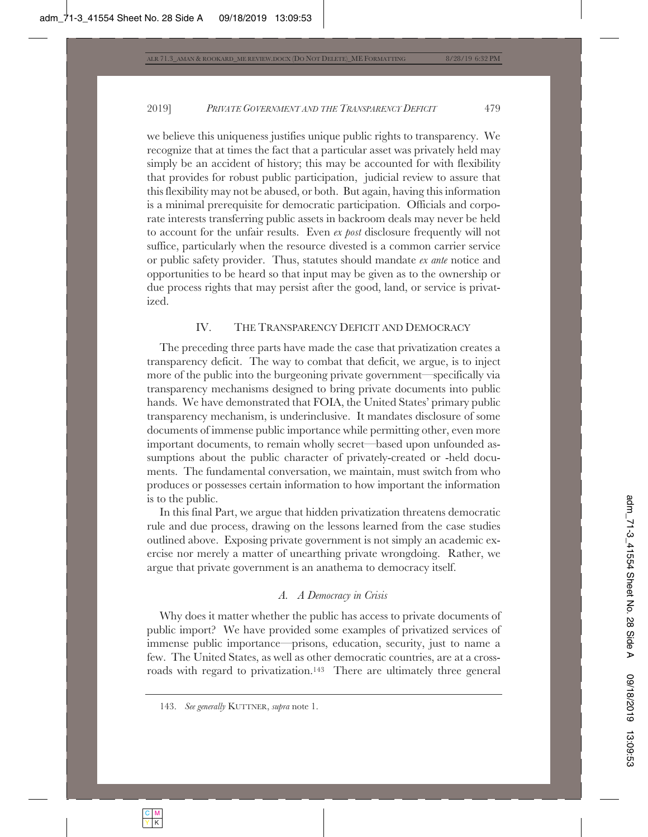we believe this uniqueness justifies unique public rights to transparency. We recognize that at times the fact that a particular asset was privately held may simply be an accident of history; this may be accounted for with flexibility that provides for robust public participation, judicial review to assure that this flexibility may not be abused, or both. But again, having this information is a minimal prerequisite for democratic participation. Officials and corporate interests transferring public assets in backroom deals may never be held to account for the unfair results. Even *ex post* disclosure frequently will not suffice, particularly when the resource divested is a common carrier service or public safety provider. Thus, statutes should mandate *ex ante* notice and opportunities to be heard so that input may be given as to the ownership or due process rights that may persist after the good, land, or service is privatized.

# IV. THE TRANSPARENCY DEFICIT AND DEMOCRACY

The preceding three parts have made the case that privatization creates a transparency deficit. The way to combat that deficit, we argue, is to inject more of the public into the burgeoning private government—specifically via transparency mechanisms designed to bring private documents into public hands. We have demonstrated that FOIA, the United States' primary public transparency mechanism, is underinclusive. It mandates disclosure of some documents of immense public importance while permitting other, even more important documents, to remain wholly secret—based upon unfounded assumptions about the public character of privately-created or -held documents. The fundamental conversation, we maintain, must switch from who produces or possesses certain information to how important the information is to the public.

In this final Part, we argue that hidden privatization threatens democratic rule and due process, drawing on the lessons learned from the case studies outlined above. Exposing private government is not simply an academic exercise nor merely a matter of unearthing private wrongdoing. Rather, we argue that private government is an anathema to democracy itself.

# *A. A Democracy in Crisis*

Why does it matter whether the public has access to private documents of public import? We have provided some examples of privatized services of immense public importance—prisons, education, security, just to name a few. The United States, as well as other democratic countries, are at a crossroads with regard to privatization.143 There are ultimately three general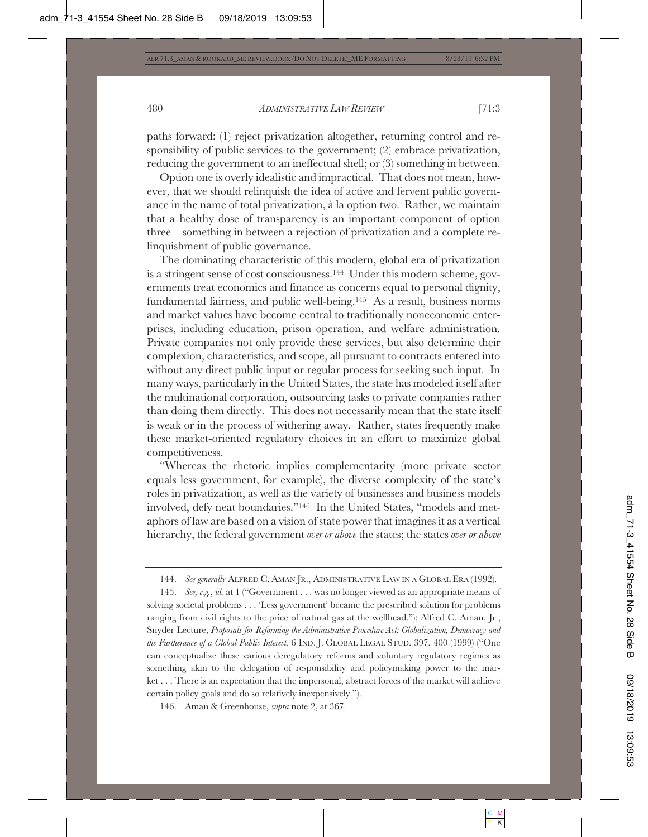paths forward: (1) reject privatization altogether, returning control and responsibility of public services to the government; (2) embrace privatization, reducing the government to an ineffectual shell; or (3) something in between.

Option one is overly idealistic and impractical. That does not mean, however, that we should relinquish the idea of active and fervent public governance in the name of total privatization, à la option two. Rather, we maintain that a healthy dose of transparency is an important component of option three—something in between a rejection of privatization and a complete relinquishment of public governance.

The dominating characteristic of this modern, global era of privatization is a stringent sense of cost consciousness.144 Under this modern scheme, governments treat economics and finance as concerns equal to personal dignity, fundamental fairness, and public well-being.145 As a result, business norms and market values have become central to traditionally noneconomic enterprises, including education, prison operation, and welfare administration. Private companies not only provide these services, but also determine their complexion, characteristics, and scope, all pursuant to contracts entered into without any direct public input or regular process for seeking such input. In many ways, particularly in the United States, the state has modeled itself after the multinational corporation, outsourcing tasks to private companies rather than doing them directly. This does not necessarily mean that the state itself is weak or in the process of withering away. Rather, states frequently make these market-oriented regulatory choices in an effort to maximize global competitiveness.

"Whereas the rhetoric implies complementarity (more private sector equals less government, for example), the diverse complexity of the state's roles in privatization, as well as the variety of businesses and business models involved, defy neat boundaries."146 In the United States, "models and metaphors of law are based on a vision of state power that imagines it as a vertical hierarchy, the federal government *over or above* the states; the states *over or above*

<sup>144.</sup> *See generally* ALFRED C. AMAN JR., ADMINISTRATIVE LAW IN A GLOBAL ERA (1992).

<sup>145.</sup> *See, e.g.*, *id.* at 1 ("Government . . . was no longer viewed as an appropriate means of solving societal problems . . . 'Less government' became the prescribed solution for problems ranging from civil rights to the price of natural gas at the wellhead."); Alfred C. Aman, Jr., Snyder Lecture, *Proposals for Reforming the Administrative Procedure Act: Globalization, Democracy and the Furtherance of a Global Public Interest,* 6 IND. J. GLOBAL LEGAL STUD. 397, 400 (1999) ("One can conceptualize these various deregulatory reforms and voluntary regulatory regimes as something akin to the delegation of responsibility and policymaking power to the market . . . There is an expectation that the impersonal, abstract forces of the market will achieve certain policy goals and do so relatively inexpensively.").

<sup>146.</sup> Aman & Greenhouse, *supra* note 2, at 367.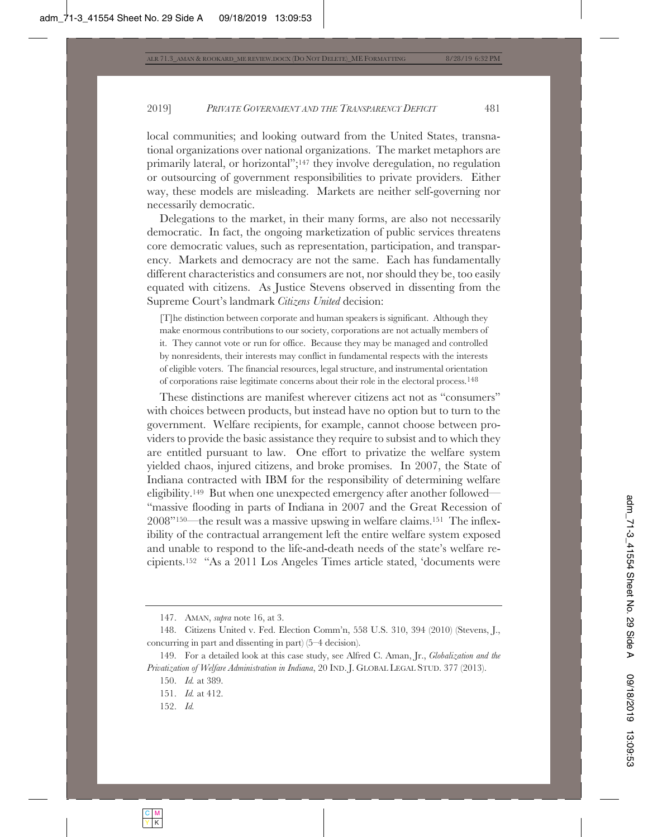local communities; and looking outward from the United States, transnational organizations over national organizations. The market metaphors are primarily lateral, or horizontal";147 they involve deregulation, no regulation or outsourcing of government responsibilities to private providers. Either way, these models are misleading. Markets are neither self-governing nor necessarily democratic.

Delegations to the market, in their many forms, are also not necessarily democratic. In fact, the ongoing marketization of public services threatens core democratic values, such as representation, participation, and transparency. Markets and democracy are not the same. Each has fundamentally different characteristics and consumers are not, nor should they be, too easily equated with citizens. As Justice Stevens observed in dissenting from the Supreme Court's landmark *Citizens United* decision:

[T]he distinction between corporate and human speakers is significant. Although they make enormous contributions to our society, corporations are not actually members of it. They cannot vote or run for office. Because they may be managed and controlled by nonresidents, their interests may conflict in fundamental respects with the interests of eligible voters. The financial resources, legal structure, and instrumental orientation of corporations raise legitimate concerns about their role in the electoral process.148

These distinctions are manifest wherever citizens act not as "consumers" with choices between products, but instead have no option but to turn to the government. Welfare recipients, for example, cannot choose between providers to provide the basic assistance they require to subsist and to which they are entitled pursuant to law. One effort to privatize the welfare system yielded chaos, injured citizens, and broke promises. In 2007, the State of Indiana contracted with IBM for the responsibility of determining welfare eligibility.149 But when one unexpected emergency after another followed— "massive flooding in parts of Indiana in 2007 and the Great Recession of 2008"150—the result was a massive upswing in welfare claims.151 The inflexibility of the contractual arrangement left the entire welfare system exposed and unable to respond to the life-and-death needs of the state's welfare recipients.152 "As a 2011 Los Angeles Times article stated, 'documents were

<sup>147.</sup> AMAN, *supra* note 16, at 3.

<sup>148.</sup> Citizens United v. Fed. Election Comm'n, 558 U.S. 310, 394 (2010) (Stevens, J., concurring in part and dissenting in part) (5–4 decision).

<sup>149.</sup> For a detailed look at this case study, see Alfred C. Aman, Jr., *Globalization and the Privatization of Welfare Administration in Indiana*, 20 IND. J. GLOBAL LEGAL STUD. 377 (2013).

<sup>150.</sup> *Id.* at 389.

<sup>151.</sup> *Id.* at 412.

<sup>152.</sup> *Id.*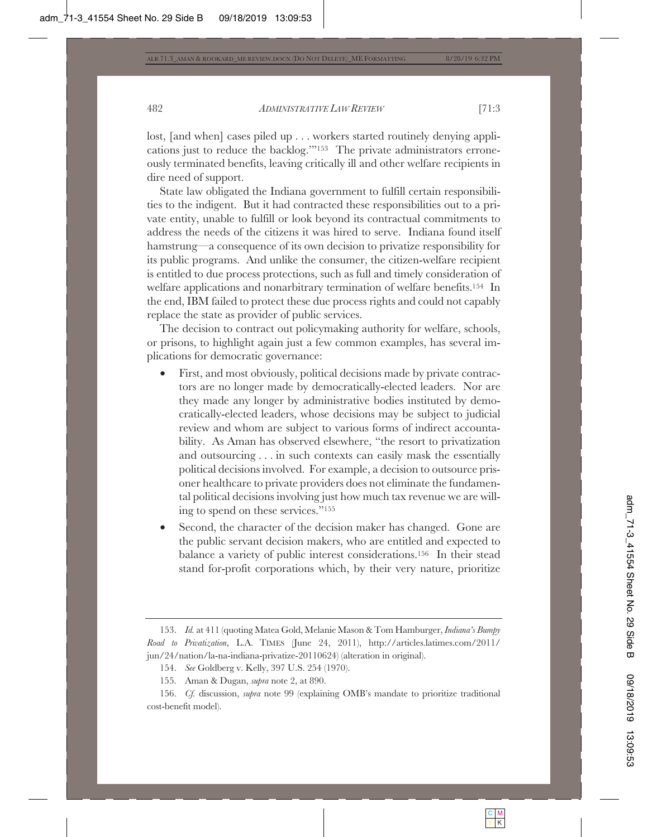lost, [and when] cases piled up . . . workers started routinely denying applications just to reduce the backlog.'"153 The private administrators erroneously terminated benefits, leaving critically ill and other welfare recipients in dire need of support.

State law obligated the Indiana government to fulfill certain responsibilities to the indigent. But it had contracted these responsibilities out to a private entity, unable to fulfill or look beyond its contractual commitments to address the needs of the citizens it was hired to serve. Indiana found itself hamstrung—a consequence of its own decision to privatize responsibility for its public programs. And unlike the consumer, the citizen-welfare recipient is entitled to due process protections, such as full and timely consideration of welfare applications and nonarbitrary termination of welfare benefits.154 In the end, IBM failed to protect these due process rights and could not capably replace the state as provider of public services.

The decision to contract out policymaking authority for welfare, schools, or prisons, to highlight again just a few common examples, has several implications for democratic governance:

- First, and most obviously, political decisions made by private contractors are no longer made by democratically-elected leaders. Nor are they made any longer by administrative bodies instituted by democratically-elected leaders, whose decisions may be subject to judicial review and whom are subject to various forms of indirect accountability. As Aman has observed elsewhere, "the resort to privatization and outsourcing . . . in such contexts can easily mask the essentially political decisions involved. For example, a decision to outsource prisoner healthcare to private providers does not eliminate the fundamental political decisions involving just how much tax revenue we are willing to spend on these services."155
- Second, the character of the decision maker has changed. Gone are the public servant decision makers, who are entitled and expected to balance a variety of public interest considerations.156 In their stead stand for-profit corporations which, by their very nature, prioritize

<sup>153.</sup> *Id.* at 411 (quoting Matea Gold, Melanie Mason & Tom Hamburger, *Indiana's Bumpy Road to Privatization*, L.A. TIMES (June 24, 2011), http://articles.latimes.com/2011/ jun/24/nation/la-na-indiana-privatize-20110624) (alteration in original).

<sup>154.</sup> *See* Goldberg v. Kelly, 397 U.S. 254 (1970).

<sup>155.</sup> Aman & Dugan, *supra* note 2, at 890.

<sup>156.</sup> *Cf.* discussion, *supra* note 99 (explaining OMB's mandate to prioritize traditional cost-benefit model).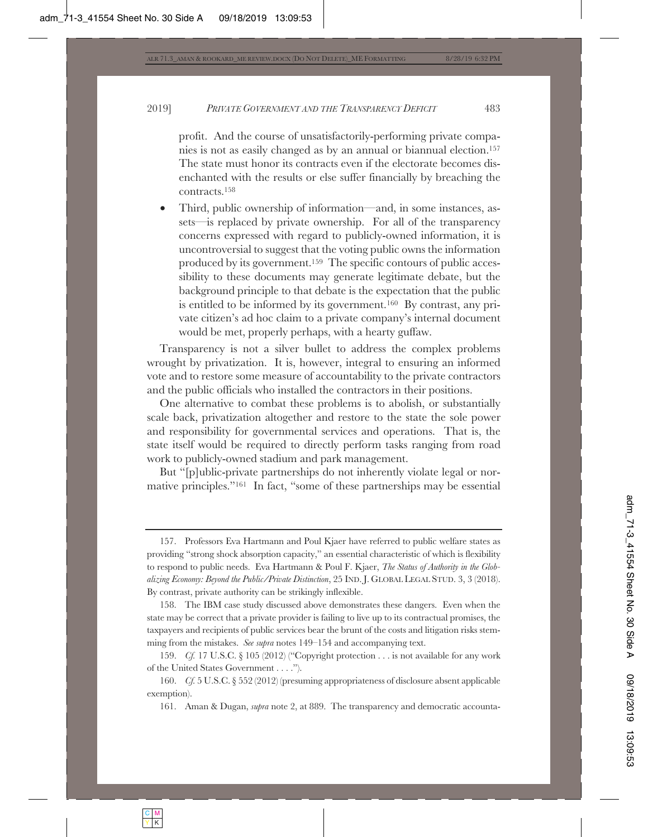profit. And the course of unsatisfactorily-performing private companies is not as easily changed as by an annual or biannual election.157 The state must honor its contracts even if the electorate becomes disenchanted with the results or else suffer financially by breaching the contracts.158

• Third, public ownership of information—and, in some instances, assets—is replaced by private ownership. For all of the transparency concerns expressed with regard to publicly-owned information, it is uncontroversial to suggest that the voting public owns the information produced by its government.159 The specific contours of public accessibility to these documents may generate legitimate debate, but the background principle to that debate is the expectation that the public is entitled to be informed by its government.160 By contrast, any private citizen's ad hoc claim to a private company's internal document would be met, properly perhaps, with a hearty guffaw.

Transparency is not a silver bullet to address the complex problems wrought by privatization. It is, however, integral to ensuring an informed vote and to restore some measure of accountability to the private contractors and the public officials who installed the contractors in their positions.

One alternative to combat these problems is to abolish, or substantially scale back, privatization altogether and restore to the state the sole power and responsibility for governmental services and operations. That is, the state itself would be required to directly perform tasks ranging from road work to publicly-owned stadium and park management.

But "[p]ublic-private partnerships do not inherently violate legal or normative principles."161 In fact, "some of these partnerships may be essential

<sup>157.</sup> Professors Eva Hartmann and Poul Kjaer have referred to public welfare states as providing "strong shock absorption capacity," an essential characteristic of which is flexibility to respond to public needs. Eva Hartmann & Poul F. Kjaer, *The Status of Authority in the Globalizing Economy: Beyond the Public/Private Distinction*, 25 IND. J. GLOBAL LEGAL STUD. 3, 3 (2018). By contrast, private authority can be strikingly inflexible.

<sup>158.</sup> The IBM case study discussed above demonstrates these dangers. Even when the state may be correct that a private provider is failing to live up to its contractual promises, the taxpayers and recipients of public services bear the brunt of the costs and litigation risks stemming from the mistakes. *See supra* notes 149–154 and accompanying text.

<sup>159.</sup> *Cf.* 17 U.S.C. § 105 (2012) ("Copyright protection . . . is not available for any work of the United States Government . . . .").

<sup>160.</sup> *Cf.* 5 U.S.C. § 552 (2012) (presuming appropriateness of disclosure absent applicable exemption).

<sup>161.</sup> Aman & Dugan, *supra* note 2, at 889. The transparency and democratic accounta-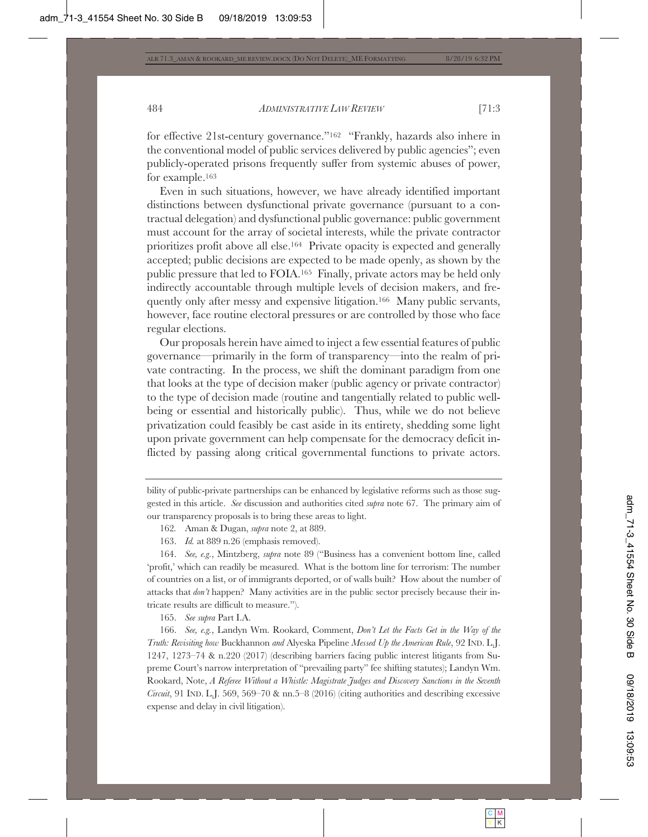for effective 21st-century governance."162 "Frankly, hazards also inhere in the conventional model of public services delivered by public agencies"; even publicly-operated prisons frequently suffer from systemic abuses of power, for example.163

Even in such situations, however, we have already identified important distinctions between dysfunctional private governance (pursuant to a contractual delegation) and dysfunctional public governance: public government must account for the array of societal interests, while the private contractor prioritizes profit above all else.164 Private opacity is expected and generally accepted; public decisions are expected to be made openly, as shown by the public pressure that led to FOIA.165 Finally, private actors may be held only indirectly accountable through multiple levels of decision makers, and frequently only after messy and expensive litigation.166 Many public servants, however, face routine electoral pressures or are controlled by those who face regular elections.

Our proposals herein have aimed to inject a few essential features of public governance—primarily in the form of transparency—into the realm of private contracting. In the process, we shift the dominant paradigm from one that looks at the type of decision maker (public agency or private contractor) to the type of decision made (routine and tangentially related to public wellbeing or essential and historically public). Thus, while we do not believe privatization could feasibly be cast aside in its entirety, shedding some light upon private government can help compensate for the democracy deficit inflicted by passing along critical governmental functions to private actors.

bility of public-private partnerships can be enhanced by legislative reforms such as those suggested in this article. *See* discussion and authorities cited *supra* note 67. The primary aim of our transparency proposals is to bring these areas to light.

- 162*.* Aman & Dugan, *supra* note 2, at 889.
- 163. *Id.* at 889 n.26 (emphasis removed).

164. *See, e.g.*, Mintzberg, *supra* note 89 ("Business has a convenient bottom line, called 'profit,' which can readily be measured. What is the bottom line for terrorism: The number of countries on a list, or of immigrants deported, or of walls built? How about the number of attacks that *don't* happen? Many activities are in the public sector precisely because their intricate results are difficult to measure.").

165. *See supra* Part I.A.

166. *See, e.g.*, Landyn Wm. Rookard, Comment, *Don't Let the Facts Get in the Way of the Truth: Revisiting how* Buckhannon *and* Alyeska Pipeline *Messed Up the American Rule*, 92 IND. L.J. 1247, 1273–74 & n.220 (2017) (describing barriers facing public interest litigants from Supreme Court's narrow interpretation of "prevailing party" fee shifting statutes); Landyn Wm. Rookard, Note, *A Referee Without a Whistle: Magistrate Judges and Discovery Sanctions in the Seventh Circuit*, 91 IND. L.J. 569, 569–70 & nn.5–8 (2016) (citing authorities and describing excessive expense and delay in civil litigation).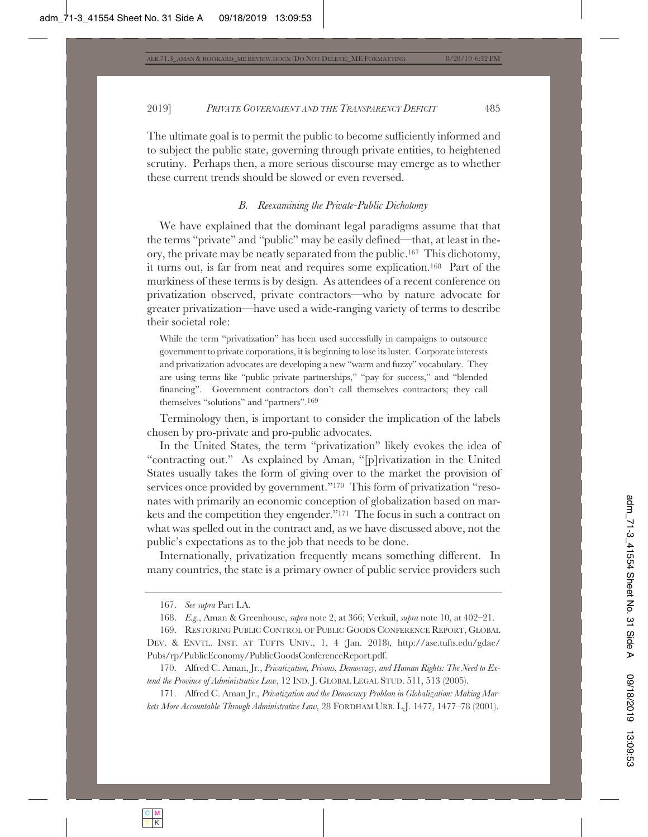The ultimate goal is to permit the public to become sufficiently informed and to subject the public state, governing through private entities, to heightened scrutiny. Perhaps then, a more serious discourse may emerge as to whether these current trends should be slowed or even reversed.

# *B. Reexamining the Private-Public Dichotomy*

We have explained that the dominant legal paradigms assume that that the terms "private" and "public" may be easily defined—that, at least in theory, the private may be neatly separated from the public.167 This dichotomy, it turns out, is far from neat and requires some explication.168 Part of the murkiness of these terms is by design. As attendees of a recent conference on privatization observed, private contractors—who by nature advocate for greater privatization—have used a wide-ranging variety of terms to describe their societal role:

While the term "privatization" has been used successfully in campaigns to outsource government to private corporations, it is beginning to lose its luster. Corporate interests and privatization advocates are developing a new "warm and fuzzy" vocabulary. They are using terms like "public private partnerships," "pay for success," and "blended financing". Government contractors don't call themselves contractors; they call themselves "solutions" and "partners".169

Terminology then, is important to consider the implication of the labels chosen by pro-private and pro-public advocates.

In the United States, the term "privatization" likely evokes the idea of "contracting out." As explained by Aman, "[p]rivatization in the United States usually takes the form of giving over to the market the provision of services once provided by government."<sup>170</sup> This form of privatization "resonates with primarily an economic conception of globalization based on markets and the competition they engender."171 The focus in such a contract on what was spelled out in the contract and, as we have discussed above, not the public's expectations as to the job that needs to be done.

Internationally, privatization frequently means something different. In many countries, the state is a primary owner of public service providers such

<sup>167.</sup> *See supra* Part I.A.

<sup>168.</sup> *E.g.*, Aman & Greenhouse, *supra* note 2, at 366; Verkuil, *supra* note 10, at 402–21.

<sup>169.</sup> RESTORING PUBLIC CONTROL OF PUBLIC GOODS CONFERENCE REPORT, GLOBAL DEV. & ENVTL. INST. AT TUFTS UNIV., 1, 4 (Jan. 2018), http://ase.tufts.edu/gdae/ Pubs/rp/PublicEconomy/PublicGoodsConferenceReport.pdf.

<sup>170.</sup> Alfred C. Aman, Jr., *Privatization, Prisons, Democracy, and Human Rights: The Need to Extend the Province of Administrative Law*, 12 IND. J. GLOBAL LEGAL STUD. 511, 513 (2005).

<sup>171.</sup> Alfred C. Aman Jr., *Privatization and the Democracy Problem in Globalization: Making Markets More Accountable Through Administrative Law*, 28 FORDHAM URB. L.J. 1477, 1477–78 (2001).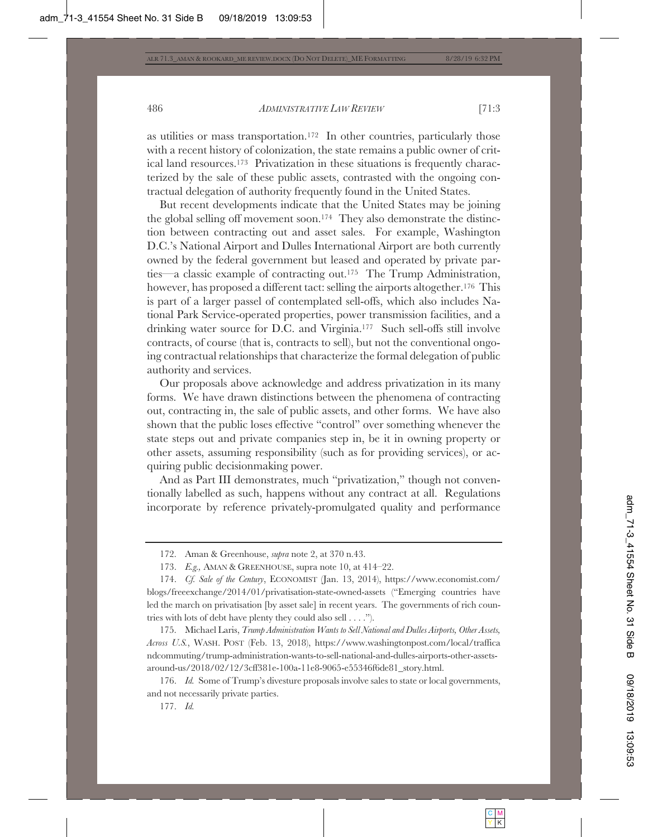as utilities or mass transportation.172 In other countries, particularly those with a recent history of colonization, the state remains a public owner of critical land resources.173 Privatization in these situations is frequently characterized by the sale of these public assets, contrasted with the ongoing contractual delegation of authority frequently found in the United States.

But recent developments indicate that the United States may be joining the global selling off movement soon.174 They also demonstrate the distinction between contracting out and asset sales. For example, Washington D.C.'s National Airport and Dulles International Airport are both currently owned by the federal government but leased and operated by private parties—a classic example of contracting out.175 The Trump Administration, however, has proposed a different tact: selling the airports altogether.<sup>176</sup> This is part of a larger passel of contemplated sell-offs, which also includes National Park Service-operated properties, power transmission facilities, and a drinking water source for D.C. and Virginia.177 Such sell-offs still involve contracts, of course (that is, contracts to sell), but not the conventional ongoing contractual relationships that characterize the formal delegation of public authority and services.

Our proposals above acknowledge and address privatization in its many forms. We have drawn distinctions between the phenomena of contracting out, contracting in, the sale of public assets, and other forms. We have also shown that the public loses effective "control" over something whenever the state steps out and private companies step in, be it in owning property or other assets, assuming responsibility (such as for providing services), or acquiring public decisionmaking power.

And as Part III demonstrates, much "privatization," though not conventionally labelled as such, happens without any contract at all. Regulations incorporate by reference privately-promulgated quality and performance

177. *Id.*

<sup>172.</sup> Aman & Greenhouse, *supra* note 2, at 370 n.43.

<sup>173.</sup> *E.g.,* AMAN & GREENHOUSE, supra note 10, at 414–22.

<sup>174.</sup> *Cf. Sale of the Century*, ECONOMIST (Jan. 13, 2014), https://www.economist.com/ blogs/freeexchange/2014/01/privatisation-state-owned-assets ("Emerging countries have led the march on privatisation [by asset sale] in recent years. The governments of rich countries with lots of debt have plenty they could also sell . . . .").

<sup>175.</sup> Michael Laris, *Trump Administration Wants to Sell National and Dulles Airports, Other Assets, Across U.S.*, WASH. POST (Feb. 13, 2018), https://www.washingtonpost.com/local/traffica ndcommuting/trump-administration-wants-to-sell-national-and-dulles-airports-other-assetsaround-us/2018/02/12/3cff381e-100a-11e8-9065-e55346f6de81\_story.html.

<sup>176.</sup> *Id.* Some of Trump's divesture proposals involve sales to state or local governments, and not necessarily private parties.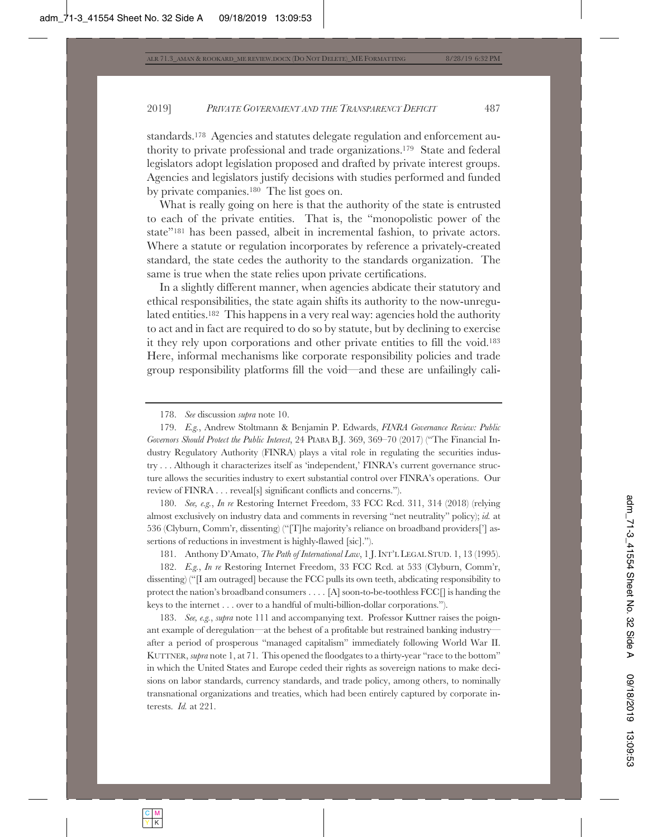standards.178 Agencies and statutes delegate regulation and enforcement authority to private professional and trade organizations.179 State and federal legislators adopt legislation proposed and drafted by private interest groups. Agencies and legislators justify decisions with studies performed and funded by private companies.180 The list goes on.

What is really going on here is that the authority of the state is entrusted to each of the private entities. That is, the "monopolistic power of the state"181 has been passed, albeit in incremental fashion, to private actors. Where a statute or regulation incorporates by reference a privately-created standard, the state cedes the authority to the standards organization. The same is true when the state relies upon private certifications.

In a slightly different manner, when agencies abdicate their statutory and ethical responsibilities, the state again shifts its authority to the now-unregulated entities.182 This happens in a very real way: agencies hold the authority to act and in fact are required to do so by statute, but by declining to exercise it they rely upon corporations and other private entities to fill the void.183 Here, informal mechanisms like corporate responsibility policies and trade group responsibility platforms fill the void—and these are unfailingly cali-

180. *See, e.g.*, *In re* Restoring Internet Freedom, 33 FCC Rcd. 311, 314 (2018) (relying almost exclusively on industry data and comments in reversing "net neutrality" policy); *id.* at 536 (Clyburn, Comm'r, dissenting) ("[T]he majority's reliance on broadband providers['] assertions of reductions in investment is highly-flawed [sic].").

181. Anthony D'Amato, *The Path of International Law*, 1 J.INT'L LEGAL STUD. 1, 13 (1995).

182. *E.g.*, *In re* Restoring Internet Freedom, 33 FCC Rcd. at 533 (Clyburn, Comm'r, dissenting) ("[I am outraged] because the FCC pulls its own teeth, abdicating responsibility to protect the nation's broadband consumers . . . . [A] soon-to-be-toothless FCC[] is handing the keys to the internet . . . over to a handful of multi-billion-dollar corporations.").

183. *See, e.g.*, *supra* note 111 and accompanying text. Professor Kuttner raises the poignant example of deregulation—at the behest of a profitable but restrained banking industry after a period of prosperous "managed capitalism" immediately following World War II. KUTTNER, *supra* note 1, at 71. This opened the floodgates to a thirty-year "race to the bottom" in which the United States and Europe ceded their rights as sovereign nations to make decisions on labor standards, currency standards, and trade policy, among others, to nominally transnational organizations and treaties, which had been entirely captured by corporate interests. *Id.* at 221.

<sup>178.</sup> *See* discussion *supra* note 10.

<sup>179.</sup> *E.g.*, Andrew Stoltmann & Benjamin P. Edwards, *FINRA Governance Review: Public Governors Should Protect the Public Interest*, 24 PIABA B.J. 369, 369–70 (2017) ("The Financial Industry Regulatory Authority (FINRA) plays a vital role in regulating the securities industry . . . Although it characterizes itself as 'independent,' FINRA's current governance structure allows the securities industry to exert substantial control over FINRA's operations. Our review of FINRA . . . reveal[s] significant conflicts and concerns.").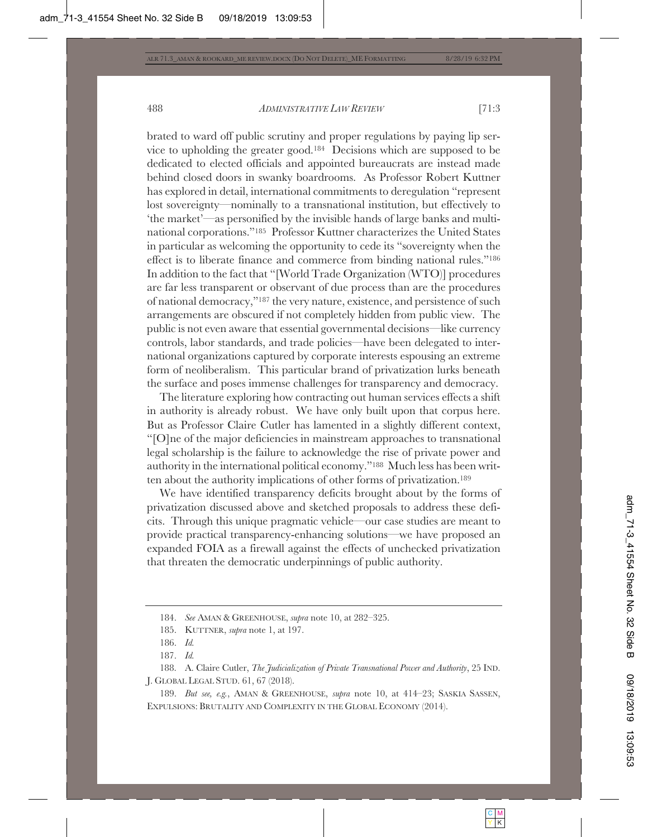brated to ward off public scrutiny and proper regulations by paying lip service to upholding the greater good.184 Decisions which are supposed to be dedicated to elected officials and appointed bureaucrats are instead made behind closed doors in swanky boardrooms. As Professor Robert Kuttner has explored in detail, international commitments to deregulation "represent lost sovereignty—nominally to a transnational institution, but effectively to 'the market'—as personified by the invisible hands of large banks and multinational corporations."185 Professor Kuttner characterizes the United States in particular as welcoming the opportunity to cede its "sovereignty when the effect is to liberate finance and commerce from binding national rules."186 In addition to the fact that "[World Trade Organization (WTO)] procedures are far less transparent or observant of due process than are the procedures of national democracy,"187 the very nature, existence, and persistence of such arrangements are obscured if not completely hidden from public view. The public is not even aware that essential governmental decisions—like currency controls, labor standards, and trade policies—have been delegated to international organizations captured by corporate interests espousing an extreme form of neoliberalism. This particular brand of privatization lurks beneath the surface and poses immense challenges for transparency and democracy.

The literature exploring how contracting out human services effects a shift in authority is already robust. We have only built upon that corpus here. But as Professor Claire Cutler has lamented in a slightly different context, "[O]ne of the major deficiencies in mainstream approaches to transnational legal scholarship is the failure to acknowledge the rise of private power and authority in the international political economy."188 Much less has been written about the authority implications of other forms of privatization.189

We have identified transparency deficits brought about by the forms of privatization discussed above and sketched proposals to address these deficits. Through this unique pragmatic vehicle—our case studies are meant to provide practical transparency-enhancing solutions—we have proposed an expanded FOIA as a firewall against the effects of unchecked privatization that threaten the democratic underpinnings of public authority.

189. *But see, e.g.*, AMAN & GREENHOUSE, *supra* note 10, at 414–23; SASKIA SASSEN, EXPULSIONS: BRUTALITY AND COMPLEXITY IN THE GLOBAL ECONOMY (2014).

<sup>184.</sup> *See* AMAN & GREENHOUSE, *supra* note 10, at 282–325.

<sup>185.</sup> KUTTNER, *supra* note 1, at 197.

<sup>186.</sup> *Id.*

<sup>187.</sup> *Id.*

<sup>188.</sup> A. Claire Cutler, *The Judicialization of Private Transnational Power and Authority*, 25 IND. J. GLOBAL LEGAL STUD. 61, 67 (2018).